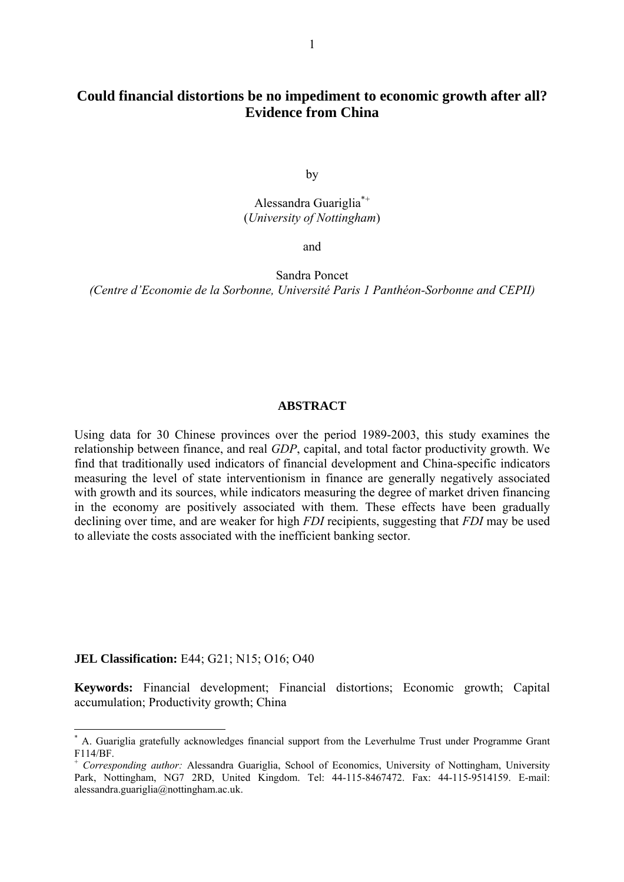# **Could financial distortions be no impediment to economic growth after all? Evidence from China**

by

Alessandra Guariglia\*+ (*University of Nottingham*)

and

Sandra Poncet *(Centre d'Economie de la Sorbonne, Université Paris 1 Panthéon-Sorbonne and CEPII)* 

### **ABSTRACT**

Using data for 30 Chinese provinces over the period 1989-2003, this study examines the relationship between finance, and real *GDP*, capital, and total factor productivity growth. We find that traditionally used indicators of financial development and China-specific indicators measuring the level of state interventionism in finance are generally negatively associated with growth and its sources, while indicators measuring the degree of market driven financing in the economy are positively associated with them. These effects have been gradually declining over time, and are weaker for high *FDI* recipients, suggesting that *FDI* may be used to alleviate the costs associated with the inefficient banking sector.

**JEL Classification:** E44; G21; N15; O16; O40

 $\overline{a}$ 

**Keywords:** Financial development; Financial distortions; Economic growth; Capital accumulation; Productivity growth; China

<sup>\*</sup> A. Guariglia gratefully acknowledges financial support from the Leverhulme Trust under Programme Grant F114/BF.

<sup>+</sup> *Corresponding author:* Alessandra Guariglia, School of Economics, University of Nottingham, University Park, Nottingham, NG7 2RD, United Kingdom. Tel: 44-115-8467472. Fax: 44-115-9514159. E-mail: alessandra.guariglia@nottingham.ac.uk.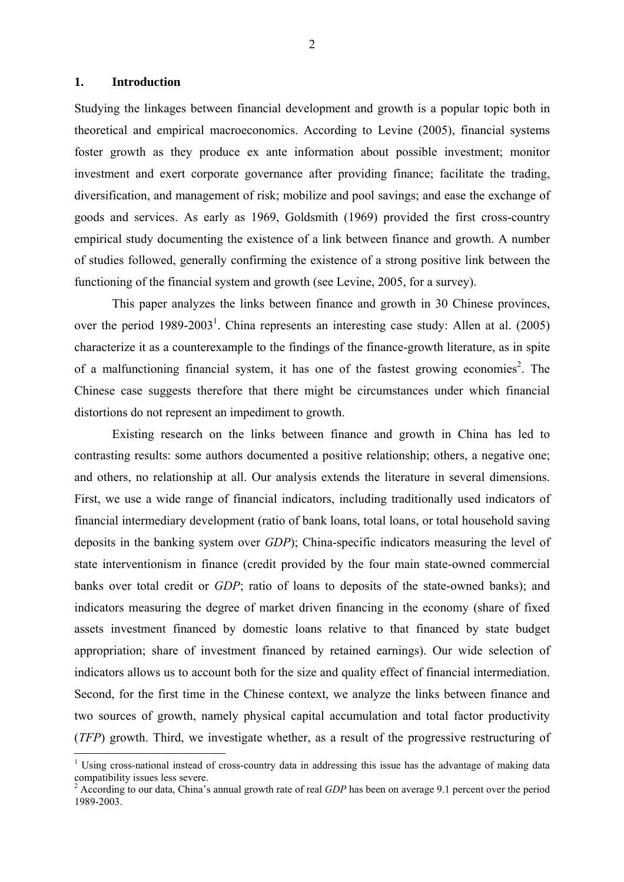# **1. Introduction**

 $\overline{a}$ 

Studying the linkages between financial development and growth is a popular topic both in theoretical and empirical macroeconomics. According to Levine (2005), financial systems foster growth as they produce ex ante information about possible investment; monitor investment and exert corporate governance after providing finance; facilitate the trading, diversification, and management of risk; mobilize and pool savings; and ease the exchange of goods and services. As early as 1969, Goldsmith (1969) provided the first cross-country empirical study documenting the existence of a link between finance and growth. A number of studies followed, generally confirming the existence of a strong positive link between the functioning of the financial system and growth (see Levine, 2005, for a survey).

 This paper analyzes the links between finance and growth in 30 Chinese provinces, over the period  $1989-2003<sup>1</sup>$ . China represents an interesting case study: Allen at al. (2005) characterize it as a counterexample to the findings of the finance-growth literature, as in spite of a malfunctioning financial system, it has one of the fastest growing economies<sup>2</sup>. The Chinese case suggests therefore that there might be circumstances under which financial distortions do not represent an impediment to growth.

Existing research on the links between finance and growth in China has led to contrasting results: some authors documented a positive relationship; others, a negative one; and others, no relationship at all. Our analysis extends the literature in several dimensions. First, we use a wide range of financial indicators, including traditionally used indicators of financial intermediary development (ratio of bank loans, total loans, or total household saving deposits in the banking system over *GDP*); China-specific indicators measuring the level of state interventionism in finance (credit provided by the four main state-owned commercial banks over total credit or *GDP*; ratio of loans to deposits of the state-owned banks); and indicators measuring the degree of market driven financing in the economy (share of fixed assets investment financed by domestic loans relative to that financed by state budget appropriation; share of investment financed by retained earnings). Our wide selection of indicators allows us to account both for the size and quality effect of financial intermediation. Second, for the first time in the Chinese context, we analyze the links between finance and two sources of growth, namely physical capital accumulation and total factor productivity (*TFP*) growth. Third, we investigate whether, as a result of the progressive restructuring of

<sup>&</sup>lt;sup>1</sup> Using cross-national instead of cross-country data in addressing this issue has the advantage of making data compatibility issues less severe.

<sup>2</sup> According to our data, China's annual growth rate of real *GDP* has been on average 9.1 percent over the period 1989-2003.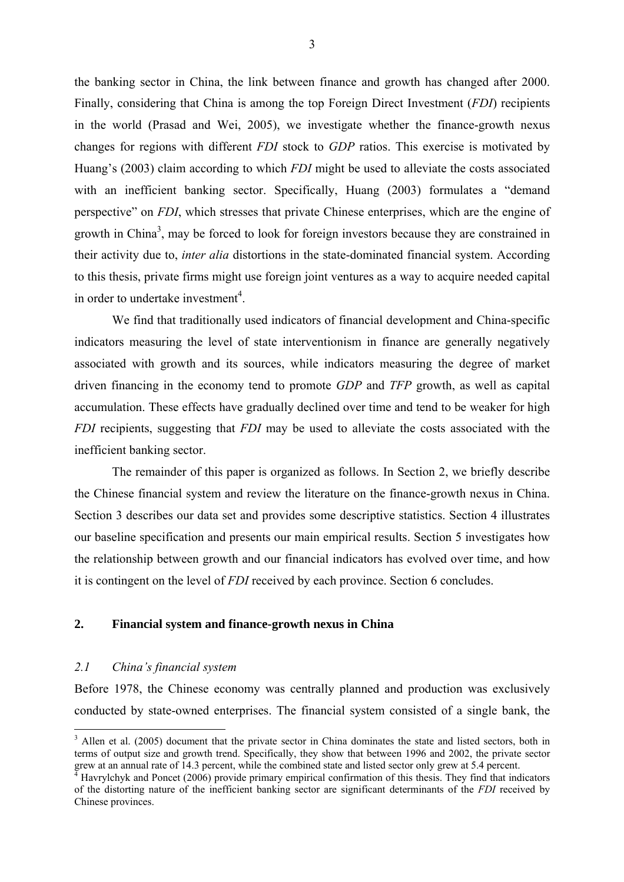the banking sector in China, the link between finance and growth has changed after 2000. Finally, considering that China is among the top Foreign Direct Investment (*FDI*) recipients in the world (Prasad and Wei, 2005), we investigate whether the finance-growth nexus changes for regions with different *FDI* stock to *GDP* ratios. This exercise is motivated by Huang's (2003) claim according to which *FDI* might be used to alleviate the costs associated with an inefficient banking sector. Specifically, Huang (2003) formulates a "demand perspective" on *FDI*, which stresses that private Chinese enterprises, which are the engine of growth in China<sup>3</sup>, may be forced to look for foreign investors because they are constrained in their activity due to, *inter alia* distortions in the state-dominated financial system. According to this thesis, private firms might use foreign joint ventures as a way to acquire needed capital in order to undertake investment<sup>4</sup>.

We find that traditionally used indicators of financial development and China-specific indicators measuring the level of state interventionism in finance are generally negatively associated with growth and its sources, while indicators measuring the degree of market driven financing in the economy tend to promote *GDP* and *TFP* growth, as well as capital accumulation. These effects have gradually declined over time and tend to be weaker for high *FDI* recipients, suggesting that *FDI* may be used to alleviate the costs associated with the inefficient banking sector.

 The remainder of this paper is organized as follows. In Section 2, we briefly describe the Chinese financial system and review the literature on the finance-growth nexus in China. Section 3 describes our data set and provides some descriptive statistics. Section 4 illustrates our baseline specification and presents our main empirical results. Section 5 investigates how the relationship between growth and our financial indicators has evolved over time, and how it is contingent on the level of *FDI* received by each province. Section 6 concludes.

## **2. Financial system and finance-growth nexus in China**

#### *2.1 China's financial system*

 $\overline{a}$ 

Before 1978, the Chinese economy was centrally planned and production was exclusively conducted by state-owned enterprises. The financial system consisted of a single bank, the

 $3$  Allen et al. (2005) document that the private sector in China dominates the state and listed sectors, both in terms of output size and growth trend. Specifically, they show that between 1996 and 2002, the private sector grew at an annual rate of 14.3 percent, while the combined state and listed sector only grew at 5.4 percent. 4

 $H$ Havrylchyk and Poncet (2006) provide primary empirical confirmation of this thesis. They find that indicators of the distorting nature of the inefficient banking sector are significant determinants of the *FDI* received by Chinese provinces.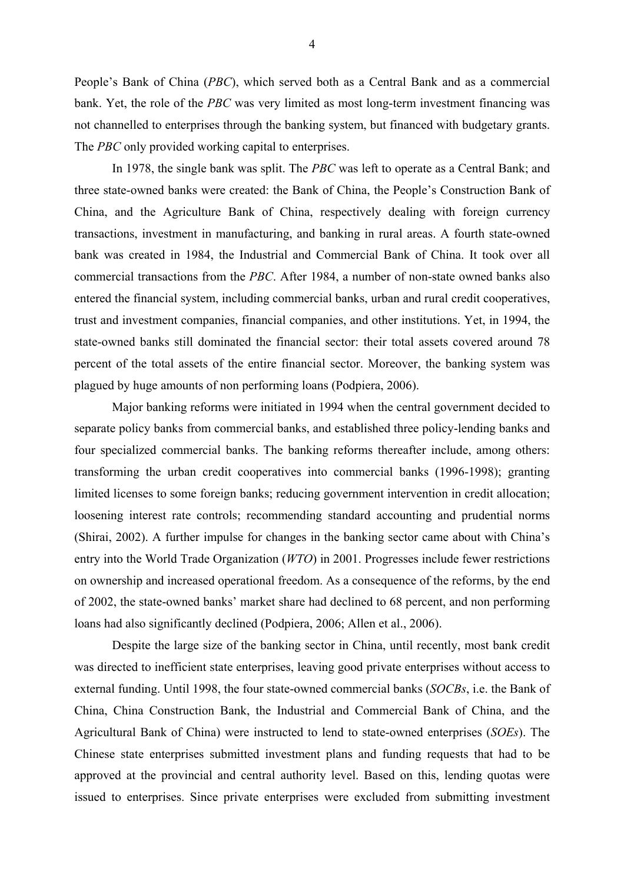People's Bank of China (*PBC*), which served both as a Central Bank and as a commercial bank. Yet, the role of the *PBC* was very limited as most long-term investment financing was not channelled to enterprises through the banking system, but financed with budgetary grants. The *PBC* only provided working capital to enterprises.

In 1978, the single bank was split. The *PBC* was left to operate as a Central Bank; and three state-owned banks were created: the Bank of China, the People's Construction Bank of China, and the Agriculture Bank of China, respectively dealing with foreign currency transactions, investment in manufacturing, and banking in rural areas. A fourth state-owned bank was created in 1984, the Industrial and Commercial Bank of China. It took over all commercial transactions from the *PBC*. After 1984, a number of non-state owned banks also entered the financial system, including commercial banks, urban and rural credit cooperatives, trust and investment companies, financial companies, and other institutions. Yet, in 1994, the state-owned banks still dominated the financial sector: their total assets covered around 78 percent of the total assets of the entire financial sector. Moreover, the banking system was plagued by huge amounts of non performing loans (Podpiera, 2006).

 Major banking reforms were initiated in 1994 when the central government decided to separate policy banks from commercial banks, and established three policy-lending banks and four specialized commercial banks. The banking reforms thereafter include, among others: transforming the urban credit cooperatives into commercial banks (1996-1998); granting limited licenses to some foreign banks; reducing government intervention in credit allocation; loosening interest rate controls; recommending standard accounting and prudential norms (Shirai, 2002). A further impulse for changes in the banking sector came about with China's entry into the World Trade Organization (*WTO*) in 2001. Progresses include fewer restrictions on ownership and increased operational freedom. As a consequence of the reforms, by the end of 2002, the state-owned banks' market share had declined to 68 percent, and non performing loans had also significantly declined (Podpiera, 2006; Allen et al., 2006).

Despite the large size of the banking sector in China, until recently, most bank credit was directed to inefficient state enterprises, leaving good private enterprises without access to external funding. Until 1998, the four state-owned commercial banks (*SOCBs*, i.e. the Bank of China, China Construction Bank, the Industrial and Commercial Bank of China, and the Agricultural Bank of China) were instructed to lend to state-owned enterprises (*SOEs*). The Chinese state enterprises submitted investment plans and funding requests that had to be approved at the provincial and central authority level. Based on this, lending quotas were issued to enterprises. Since private enterprises were excluded from submitting investment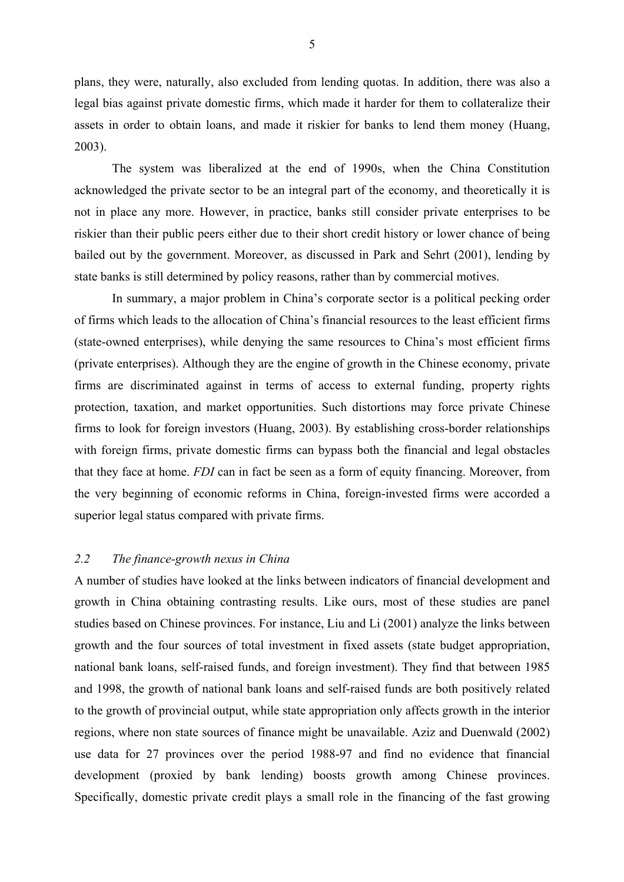plans, they were, naturally, also excluded from lending quotas. In addition, there was also a legal bias against private domestic firms, which made it harder for them to collateralize their assets in order to obtain loans, and made it riskier for banks to lend them money (Huang, 2003).

The system was liberalized at the end of 1990s, when the China Constitution acknowledged the private sector to be an integral part of the economy, and theoretically it is not in place any more. However, in practice, banks still consider private enterprises to be riskier than their public peers either due to their short credit history or lower chance of being bailed out by the government. Moreover, as discussed in Park and Sehrt (2001), lending by state banks is still determined by policy reasons, rather than by commercial motives.

In summary, a major problem in China's corporate sector is a political pecking order of firms which leads to the allocation of China's financial resources to the least efficient firms (state-owned enterprises), while denying the same resources to China's most efficient firms (private enterprises). Although they are the engine of growth in the Chinese economy, private firms are discriminated against in terms of access to external funding, property rights protection, taxation, and market opportunities. Such distortions may force private Chinese firms to look for foreign investors (Huang, 2003). By establishing cross-border relationships with foreign firms, private domestic firms can bypass both the financial and legal obstacles that they face at home. *FDI* can in fact be seen as a form of equity financing. Moreover, from the very beginning of economic reforms in China, foreign-invested firms were accorded a superior legal status compared with private firms.

# *2.2 The finance-growth nexus in China*

A number of studies have looked at the links between indicators of financial development and growth in China obtaining contrasting results. Like ours, most of these studies are panel studies based on Chinese provinces. For instance, Liu and Li (2001) analyze the links between growth and the four sources of total investment in fixed assets (state budget appropriation, national bank loans, self-raised funds, and foreign investment). They find that between 1985 and 1998, the growth of national bank loans and self-raised funds are both positively related to the growth of provincial output, while state appropriation only affects growth in the interior regions, where non state sources of finance might be unavailable. Aziz and Duenwald (2002) use data for 27 provinces over the period 1988-97 and find no evidence that financial development (proxied by bank lending) boosts growth among Chinese provinces. Specifically, domestic private credit plays a small role in the financing of the fast growing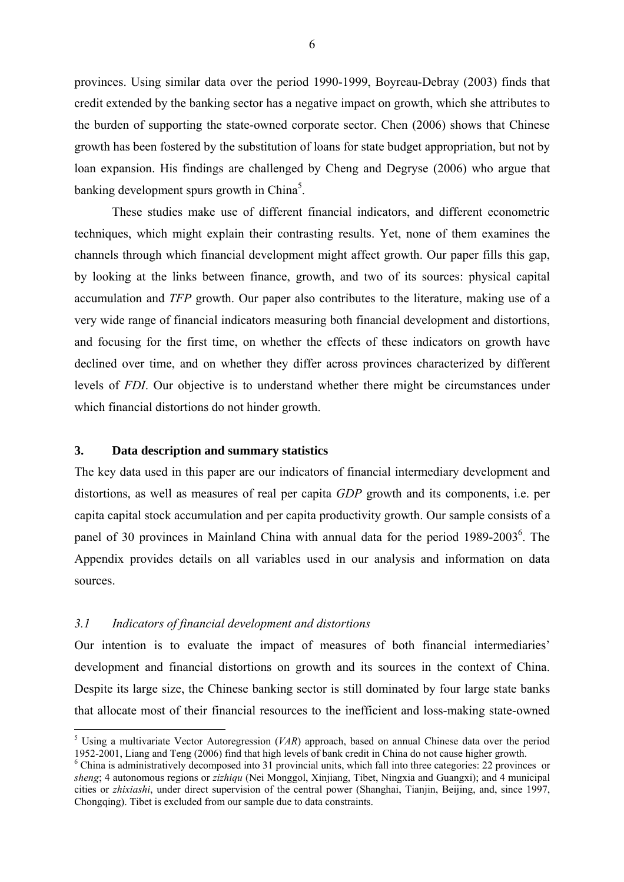provinces. Using similar data over the period 1990-1999, Boyreau-Debray (2003) finds that credit extended by the banking sector has a negative impact on growth, which she attributes to the burden of supporting the state-owned corporate sector. Chen (2006) shows that Chinese growth has been fostered by the substitution of loans for state budget appropriation, but not by loan expansion. His findings are challenged by Cheng and Degryse (2006) who argue that banking development spurs growth in China<sup>5</sup>.

 These studies make use of different financial indicators, and different econometric techniques, which might explain their contrasting results. Yet, none of them examines the channels through which financial development might affect growth. Our paper fills this gap, by looking at the links between finance, growth, and two of its sources: physical capital accumulation and *TFP* growth. Our paper also contributes to the literature, making use of a very wide range of financial indicators measuring both financial development and distortions, and focusing for the first time, on whether the effects of these indicators on growth have declined over time, and on whether they differ across provinces characterized by different levels of *FDI*. Our objective is to understand whether there might be circumstances under which financial distortions do not hinder growth.

#### **3. Data description and summary statistics**

The key data used in this paper are our indicators of financial intermediary development and distortions, as well as measures of real per capita *GDP* growth and its components, i.e. per capita capital stock accumulation and per capita productivity growth. Our sample consists of a panel of 30 provinces in Mainland China with annual data for the period 1989-2003<sup>6</sup>. The Appendix provides details on all variables used in our analysis and information on data sources.

## *3.1 Indicators of financial development and distortions*

 $\overline{a}$ 

Our intention is to evaluate the impact of measures of both financial intermediaries' development and financial distortions on growth and its sources in the context of China. Despite its large size, the Chinese banking sector is still dominated by four large state banks that allocate most of their financial resources to the inefficient and loss-making state-owned

<sup>&</sup>lt;sup>5</sup> Using a multivariate Vector Autoregression (*VAR*) approach, based on annual Chinese data over the period 1952-2001, Liang and Teng (2006) find that high levels of bank credit in China do not cause higher growth.

<sup>&</sup>lt;sup>6</sup> China is administratively decomposed into 31 provincial units, which fall into three categories: 22 provinces or *sheng*; 4 autonomous regions or *zizhiqu* (Nei Monggol, Xinjiang, Tibet, Ningxia and Guangxi); and 4 municipal cities or *zhixiashi*, under direct supervision of the central power (Shanghai, Tianjin, Beijing, and, since 1997, Chongqing). Tibet is excluded from our sample due to data constraints.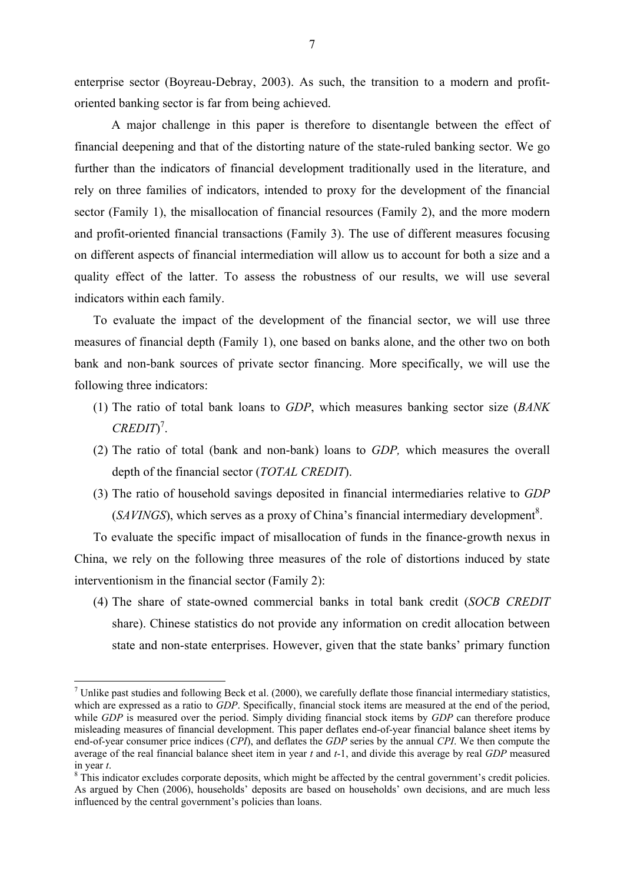enterprise sector (Boyreau-Debray, 2003). As such, the transition to a modern and profitoriented banking sector is far from being achieved.

A major challenge in this paper is therefore to disentangle between the effect of financial deepening and that of the distorting nature of the state-ruled banking sector. We go further than the indicators of financial development traditionally used in the literature, and rely on three families of indicators, intended to proxy for the development of the financial sector (Family 1), the misallocation of financial resources (Family 2), and the more modern and profit-oriented financial transactions (Family 3). The use of different measures focusing on different aspects of financial intermediation will allow us to account for both a size and a quality effect of the latter. To assess the robustness of our results, we will use several indicators within each family.

To evaluate the impact of the development of the financial sector, we will use three measures of financial depth (Family 1), one based on banks alone, and the other two on both bank and non-bank sources of private sector financing. More specifically, we will use the following three indicators:

- (1) The ratio of total bank loans to *GDP*, which measures banking sector size (*BANK*   $CREDIT$ <sup>7</sup>.
- (2) The ratio of total (bank and non-bank) loans to *GDP,* which measures the overall depth of the financial sector (*TOTAL CREDIT*).
- (3) The ratio of household savings deposited in financial intermediaries relative to *GDP*  $(SAVINGS)$ , which serves as a proxy of China's financial intermediary development<sup>8</sup>.

To evaluate the specific impact of misallocation of funds in the finance-growth nexus in China, we rely on the following three measures of the role of distortions induced by state interventionism in the financial sector (Family 2):

(4) The share of state-owned commercial banks in total bank credit (*SOCB CREDIT*  share). Chinese statistics do not provide any information on credit allocation between state and non-state enterprises. However, given that the state banks' primary function

 $\overline{a}$ 

<sup>&</sup>lt;sup>7</sup> Unlike past studies and following Beck et al. (2000), we carefully deflate those financial intermediary statistics, which are expressed as a ratio to *GDP*. Specifically, financial stock items are measured at the end of the period, while *GDP* is measured over the period. Simply dividing financial stock items by *GDP* can therefore produce misleading measures of financial development. This paper deflates end-of-year financial balance sheet items by end-of-year consumer price indices (*CPI*), and deflates the *GDP* series by the annual *CPI*. We then compute the average of the real financial balance sheet item in year *t* and *t*-1, and divide this average by real *GDP* measured in year  $t<sub>i</sub>$ .

<sup>&</sup>lt;sup>8</sup> This indicator excludes corporate deposits, which might be affected by the central government's credit policies. As argued by Chen (2006), households' deposits are based on households' own decisions, and are much less influenced by the central government's policies than loans.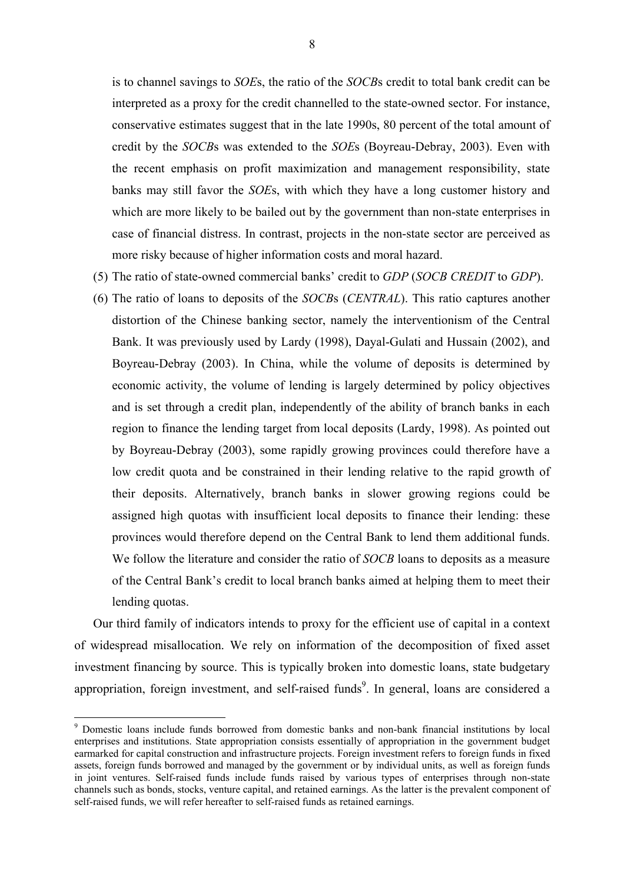is to channel savings to *SOE*s, the ratio of the *SOCB*s credit to total bank credit can be interpreted as a proxy for the credit channelled to the state-owned sector. For instance, conservative estimates suggest that in the late 1990s, 80 percent of the total amount of credit by the *SOCB*s was extended to the *SOE*s (Boyreau-Debray, 2003). Even with the recent emphasis on profit maximization and management responsibility, state banks may still favor the *SOE*s, with which they have a long customer history and which are more likely to be bailed out by the government than non-state enterprises in case of financial distress. In contrast, projects in the non-state sector are perceived as more risky because of higher information costs and moral hazard.

- (5) The ratio of state-owned commercial banks' credit to *GDP* (*SOCB CREDIT* to *GDP*).
- (6) The ratio of loans to deposits of the *SOCB*s (*CENTRAL*). This ratio captures another distortion of the Chinese banking sector, namely the interventionism of the Central Bank. It was previously used by Lardy (1998), Dayal-Gulati and Hussain (2002), and Boyreau-Debray (2003). In China, while the volume of deposits is determined by economic activity, the volume of lending is largely determined by policy objectives and is set through a credit plan, independently of the ability of branch banks in each region to finance the lending target from local deposits (Lardy, 1998). As pointed out by Boyreau-Debray (2003), some rapidly growing provinces could therefore have a low credit quota and be constrained in their lending relative to the rapid growth of their deposits. Alternatively, branch banks in slower growing regions could be assigned high quotas with insufficient local deposits to finance their lending: these provinces would therefore depend on the Central Bank to lend them additional funds. We follow the literature and consider the ratio of *SOCB* loans to deposits as a measure of the Central Bank's credit to local branch banks aimed at helping them to meet their lending quotas.

Our third family of indicators intends to proxy for the efficient use of capital in a context of widespread misallocation. We rely on information of the decomposition of fixed asset investment financing by source. This is typically broken into domestic loans, state budgetary appropriation, foreign investment, and self-raised funds<sup>9</sup>. In general, loans are considered a

 $\overline{a}$ 

<sup>&</sup>lt;sup>9</sup> Domestic loans include funds borrowed from domestic banks and non-bank financial institutions by local enterprises and institutions. State appropriation consists essentially of appropriation in the government budget earmarked for capital construction and infrastructure projects. Foreign investment refers to foreign funds in fixed assets, foreign funds borrowed and managed by the government or by individual units, as well as foreign funds in joint ventures. Self-raised funds include funds raised by various types of enterprises through non-state channels such as bonds, stocks, venture capital, and retained earnings. As the latter is the prevalent component of self-raised funds, we will refer hereafter to self-raised funds as retained earnings.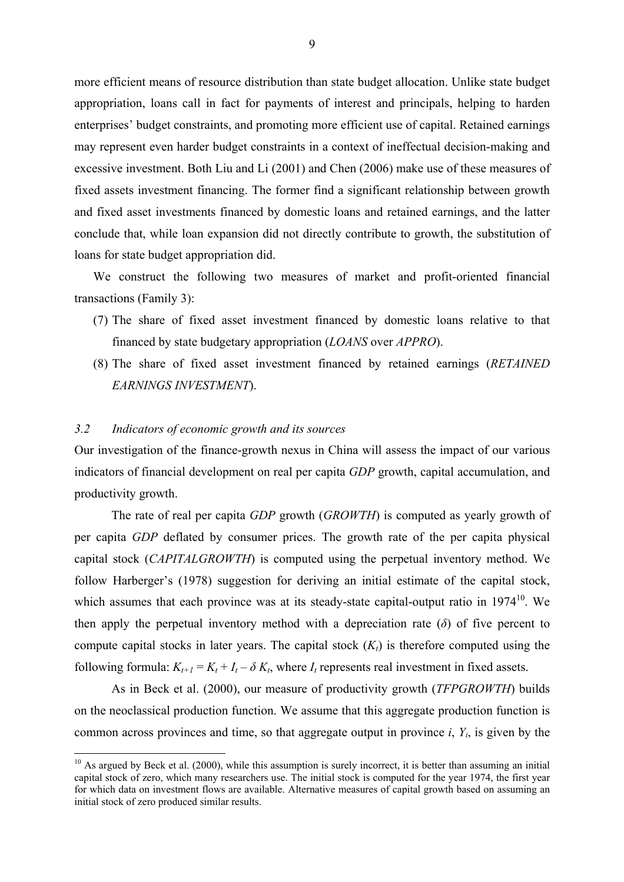more efficient means of resource distribution than state budget allocation. Unlike state budget appropriation, loans call in fact for payments of interest and principals, helping to harden enterprises' budget constraints, and promoting more efficient use of capital. Retained earnings may represent even harder budget constraints in a context of ineffectual decision-making and excessive investment. Both Liu and Li (2001) and Chen (2006) make use of these measures of fixed assets investment financing. The former find a significant relationship between growth and fixed asset investments financed by domestic loans and retained earnings, and the latter conclude that, while loan expansion did not directly contribute to growth, the substitution of loans for state budget appropriation did.

We construct the following two measures of market and profit-oriented financial transactions (Family 3):

- (7) The share of fixed asset investment financed by domestic loans relative to that financed by state budgetary appropriation (*LOANS* over *APPRO*).
- (8) The share of fixed asset investment financed by retained earnings (*RETAINED EARNINGS INVESTMENT*).

### *3.2 Indicators of economic growth and its sources*

 $\overline{a}$ 

Our investigation of the finance-growth nexus in China will assess the impact of our various indicators of financial development on real per capita *GDP* growth, capital accumulation, and productivity growth.

The rate of real per capita *GDP* growth (*GROWTH*) is computed as yearly growth of per capita *GDP* deflated by consumer prices. The growth rate of the per capita physical capital stock (*CAPITALGROWTH*) is computed using the perpetual inventory method. We follow Harberger's (1978) suggestion for deriving an initial estimate of the capital stock, which assumes that each province was at its steady-state capital-output ratio in 1974<sup>10</sup>. We then apply the perpetual inventory method with a depreciation rate  $(\delta)$  of five percent to compute capital stocks in later years. The capital stock  $(K_t)$  is therefore computed using the following formula:  $K_{t+1} = K_t + I_t - \delta K_t$ , where  $I_t$  represents real investment in fixed assets.

As in Beck et al. (2000), our measure of productivity growth (*TFPGROWTH*) builds on the neoclassical production function. We assume that this aggregate production function is common across provinces and time, so that aggregate output in province *i*, *Yi*, is given by the

 $10$  As argued by Beck et al. (2000), while this assumption is surely incorrect, it is better than assuming an initial capital stock of zero, which many researchers use. The initial stock is computed for the year 1974, the first year for which data on investment flows are available. Alternative measures of capital growth based on assuming an initial stock of zero produced similar results.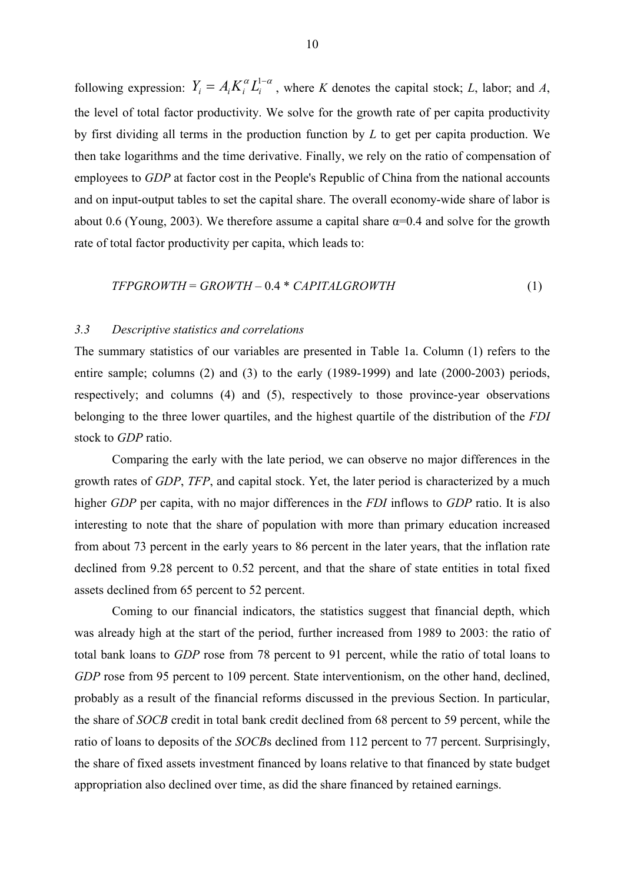following expression:  $Y_i = A_i K_i^{\alpha} L_i^{1-\alpha}$ , where *K* denotes the capital stock; *L*, labor; and *A*, the level of total factor productivity. We solve for the growth rate of per capita productivity by first dividing all terms in the production function by *L* to get per capita production. We then take logarithms and the time derivative. Finally, we rely on the ratio of compensation of employees to *GDP* at factor cost in the People's Republic of China from the national accounts and on input-output tables to set the capital share. The overall economy-wide share of labor is about 0.6 (Young, 2003). We therefore assume a capital share  $\alpha=0.4$  and solve for the growth rate of total factor productivity per capita, which leads to:

$$
TFPGROWTH = GROWTH - 0.4 * CAPITALGROWTH
$$
\n
$$
(1)
$$

# *3.3 Descriptive statistics and correlations*

The summary statistics of our variables are presented in Table 1a. Column (1) refers to the entire sample; columns (2) and (3) to the early (1989-1999) and late (2000-2003) periods, respectively; and columns (4) and (5), respectively to those province-year observations belonging to the three lower quartiles, and the highest quartile of the distribution of the *FDI*  stock to *GDP* ratio.

Comparing the early with the late period, we can observe no major differences in the growth rates of *GDP*, *TFP*, and capital stock. Yet, the later period is characterized by a much higher *GDP* per capita, with no major differences in the *FDI* inflows to *GDP* ratio. It is also interesting to note that the share of population with more than primary education increased from about 73 percent in the early years to 86 percent in the later years, that the inflation rate declined from 9.28 percent to 0.52 percent, and that the share of state entities in total fixed assets declined from 65 percent to 52 percent.

Coming to our financial indicators, the statistics suggest that financial depth, which was already high at the start of the period, further increased from 1989 to 2003: the ratio of total bank loans to *GDP* rose from 78 percent to 91 percent, while the ratio of total loans to *GDP* rose from 95 percent to 109 percent. State interventionism, on the other hand, declined, probably as a result of the financial reforms discussed in the previous Section. In particular, the share of *SOCB* credit in total bank credit declined from 68 percent to 59 percent, while the ratio of loans to deposits of the *SOCB*s declined from 112 percent to 77 percent. Surprisingly, the share of fixed assets investment financed by loans relative to that financed by state budget appropriation also declined over time, as did the share financed by retained earnings.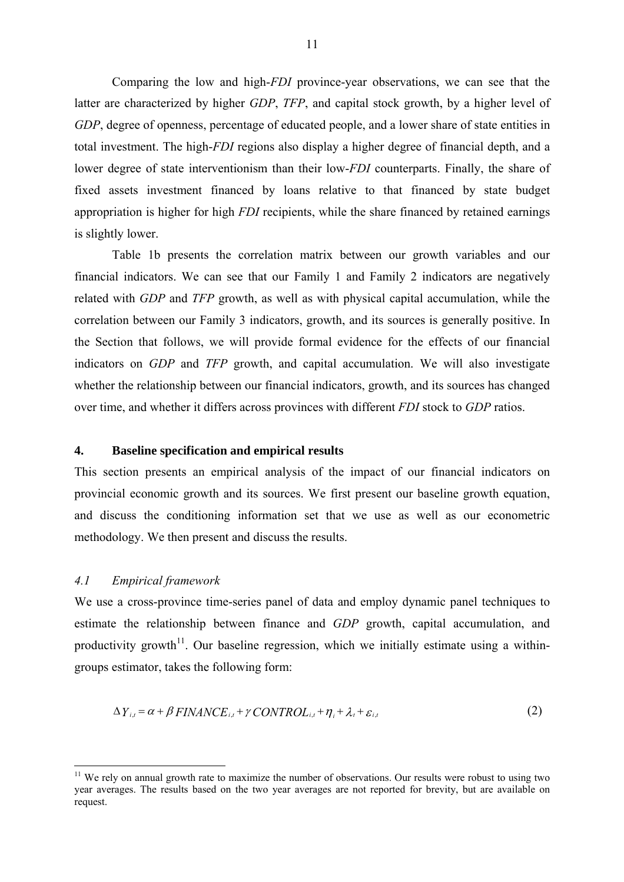Comparing the low and high-*FDI* province-year observations, we can see that the latter are characterized by higher *GDP*, *TFP*, and capital stock growth, by a higher level of *GDP*, degree of openness, percentage of educated people, and a lower share of state entities in total investment. The high-*FDI* regions also display a higher degree of financial depth, and a lower degree of state interventionism than their low-*FDI* counterparts. Finally, the share of fixed assets investment financed by loans relative to that financed by state budget appropriation is higher for high *FDI* recipients, while the share financed by retained earnings is slightly lower.

Table 1b presents the correlation matrix between our growth variables and our financial indicators. We can see that our Family 1 and Family 2 indicators are negatively related with *GDP* and *TFP* growth, as well as with physical capital accumulation, while the correlation between our Family 3 indicators, growth, and its sources is generally positive. In the Section that follows, we will provide formal evidence for the effects of our financial indicators on *GDP* and *TFP* growth, and capital accumulation. We will also investigate whether the relationship between our financial indicators, growth, and its sources has changed over time, and whether it differs across provinces with different *FDI* stock to *GDP* ratios.

#### **4. Baseline specification and empirical results**

This section presents an empirical analysis of the impact of our financial indicators on provincial economic growth and its sources. We first present our baseline growth equation, and discuss the conditioning information set that we use as well as our econometric methodology. We then present and discuss the results.

# *4.1 Empirical framework*

 $\overline{a}$ 

We use a cross-province time-series panel of data and employ dynamic panel techniques to estimate the relationship between finance and *GDP* growth, capital accumulation, and productivity growth<sup>11</sup>. Our baseline regression, which we initially estimate using a withingroups estimator, takes the following form:

$$
\Delta Y_{i,t} = \alpha + \beta \, FINANCE_{i,t} + \gamma \,CONTROL_{i,t} + \eta_i + \lambda_i + \varepsilon_{i,t} \tag{2}
$$

<sup>&</sup>lt;sup>11</sup> We rely on annual growth rate to maximize the number of observations. Our results were robust to using two year averages. The results based on the two year averages are not reported for brevity, but are available on request.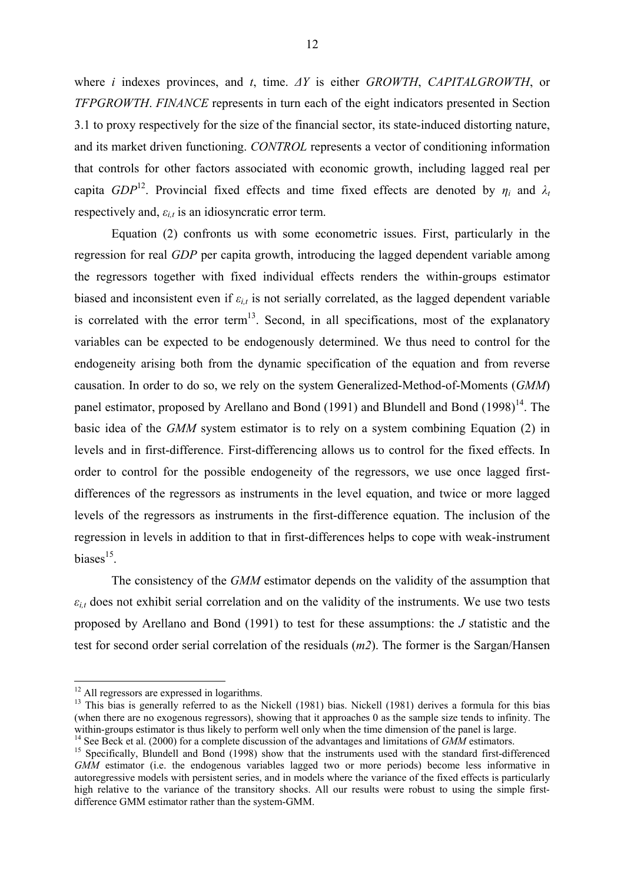where *i* indexes provinces, and *t*, time. *∆Y* is either *GROWTH*, *CAPITALGROWTH*, or *TFPGROWTH*. *FINANCE* represents in turn each of the eight indicators presented in Section 3.1 to proxy respectively for the size of the financial sector, its state-induced distorting nature, and its market driven functioning. *CONTROL* represents a vector of conditioning information that controls for other factors associated with economic growth, including lagged real per capita *GDP*<sup>12</sup>. Provincial fixed effects and time fixed effects are denoted by  $\eta_i$  and  $\lambda_t$ respectively and,  $\varepsilon_{i,t}$  is an idiosyncratic error term.

Equation (2) confronts us with some econometric issues. First, particularly in the regression for real *GDP* per capita growth, introducing the lagged dependent variable among the regressors together with fixed individual effects renders the within-groups estimator biased and inconsistent even if  $\varepsilon$ <sub>*it*</sub> is not serially correlated, as the lagged dependent variable is correlated with the error term<sup>13</sup>. Second, in all specifications, most of the explanatory variables can be expected to be endogenously determined. We thus need to control for the endogeneity arising both from the dynamic specification of the equation and from reverse causation. In order to do so, we rely on the system Generalized-Method-of-Moments (*GMM*) panel estimator, proposed by Arellano and Bond (1991) and Blundell and Bond (1998)<sup>14</sup>. The basic idea of the *GMM* system estimator is to rely on a system combining Equation (2) in levels and in first-difference. First-differencing allows us to control for the fixed effects. In order to control for the possible endogeneity of the regressors, we use once lagged firstdifferences of the regressors as instruments in the level equation, and twice or more lagged levels of the regressors as instruments in the first-difference equation. The inclusion of the regression in levels in addition to that in first-differences helps to cope with weak-instrument biases<sup>15</sup>.

The consistency of the *GMM* estimator depends on the validity of the assumption that  $\varepsilon$ <sub>*i*t</sub> does not exhibit serial correlation and on the validity of the instruments. We use two tests proposed by Arellano and Bond (1991) to test for these assumptions: the *J* statistic and the test for second order serial correlation of the residuals (*m2*). The former is the Sargan/Hansen

 $\overline{a}$ 

<sup>&</sup>lt;sup>12</sup> All regressors are expressed in logarithms.

<sup>&</sup>lt;sup>13</sup> This bias is generally referred to as the Nickell (1981) bias. Nickell (1981) derives a formula for this bias (when there are no exogenous regressors), showing that it approaches 0 as the sample size tends to infinity. The

<sup>&</sup>lt;sup>14</sup> See Beck et al. (2000) for a complete discussion of the advantages and limitations of *GMM* estimators.<br><sup>15</sup> Specifically, Blundell and Bond (1998) show that the instruments used with the standard first-differenced GMM estimator (i.e. the endogenous variables lagged two or more periods) become less informative in autoregressive models with persistent series, and in models where the variance of the fixed effects is particularly high relative to the variance of the transitory shocks. All our results were robust to using the simple firstdifference GMM estimator rather than the system-GMM.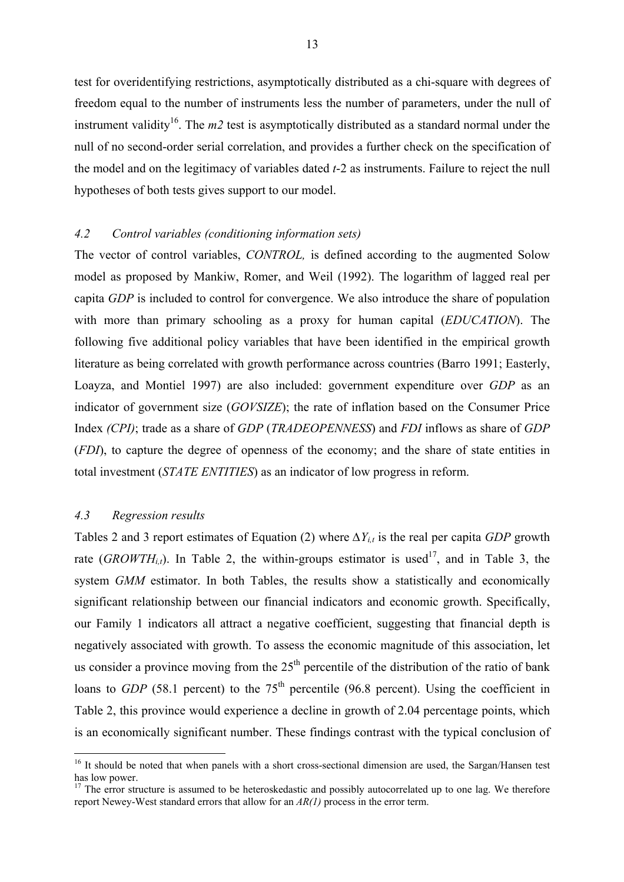test for overidentifying restrictions, asymptotically distributed as a chi-square with degrees of freedom equal to the number of instruments less the number of parameters, under the null of instrument validity<sup>16</sup>. The  $m^2$  test is asymptotically distributed as a standard normal under the null of no second-order serial correlation, and provides a further check on the specification of the model and on the legitimacy of variables dated *t*-2 as instruments. Failure to reject the null hypotheses of both tests gives support to our model.

### *4.2 Control variables (conditioning information sets)*

The vector of control variables, *CONTROL,* is defined according to the augmented Solow model as proposed by Mankiw, Romer, and Weil (1992). The logarithm of lagged real per capita *GDP* is included to control for convergence. We also introduce the share of population with more than primary schooling as a proxy for human capital (*EDUCATION*). The following five additional policy variables that have been identified in the empirical growth literature as being correlated with growth performance across countries (Barro 1991; Easterly, Loayza, and Montiel 1997) are also included: government expenditure over *GDP* as an indicator of government size (*GOVSIZE*); the rate of inflation based on the Consumer Price Index *(CPI)*; trade as a share of *GDP* (*TRADEOPENNESS*) and *FDI* inflows as share of *GDP* (*FDI*), to capture the degree of openness of the economy; and the share of state entities in total investment (*STATE ENTITIES*) as an indicator of low progress in reform.

# *4.3 Regression results*

 $\overline{a}$ 

Tables 2 and 3 report estimates of Equation (2) where *∆Yi,t* is the real per capita *GDP* growth rate (*GROWTH<sub>i,t</sub>*). In Table 2, the within-groups estimator is used<sup>17</sup>, and in Table 3, the system *GMM* estimator. In both Tables, the results show a statistically and economically significant relationship between our financial indicators and economic growth. Specifically, our Family 1 indicators all attract a negative coefficient, suggesting that financial depth is negatively associated with growth. To assess the economic magnitude of this association, let us consider a province moving from the  $25<sup>th</sup>$  percentile of the distribution of the ratio of bank loans to *GDP* (58.1 percent) to the  $75<sup>th</sup>$  percentile (96.8 percent). Using the coefficient in Table 2, this province would experience a decline in growth of 2.04 percentage points, which is an economically significant number. These findings contrast with the typical conclusion of

<sup>&</sup>lt;sup>16</sup> It should be noted that when panels with a short cross-sectional dimension are used, the Sargan/Hansen test has low power.

 $17$  The error structure is assumed to be heteroskedastic and possibly autocorrelated up to one lag. We therefore report Newey-West standard errors that allow for an *AR(1)* process in the error term.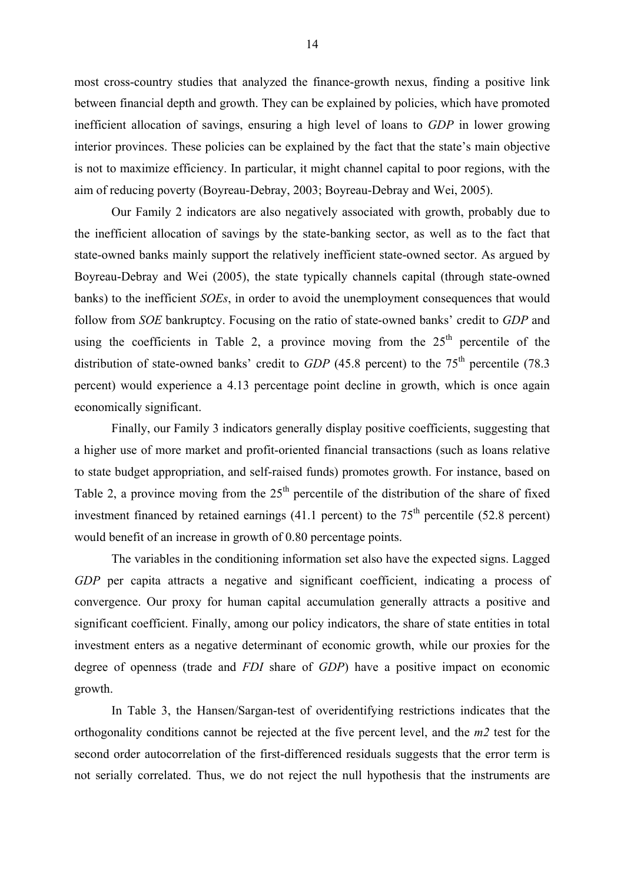most cross-country studies that analyzed the finance-growth nexus, finding a positive link between financial depth and growth. They can be explained by policies, which have promoted inefficient allocation of savings, ensuring a high level of loans to *GDP* in lower growing interior provinces. These policies can be explained by the fact that the state's main objective is not to maximize efficiency. In particular, it might channel capital to poor regions, with the aim of reducing poverty (Boyreau-Debray, 2003; Boyreau-Debray and Wei, 2005).

Our Family 2 indicators are also negatively associated with growth, probably due to the inefficient allocation of savings by the state-banking sector, as well as to the fact that state-owned banks mainly support the relatively inefficient state-owned sector. As argued by Boyreau-Debray and Wei (2005), the state typically channels capital (through state-owned banks) to the inefficient *SOEs*, in order to avoid the unemployment consequences that would follow from *SOE* bankruptcy. Focusing on the ratio of state-owned banks' credit to *GDP* and using the coefficients in Table 2, a province moving from the  $25<sup>th</sup>$  percentile of the distribution of state-owned banks' credit to *GDP* (45.8 percent) to the  $75<sup>th</sup>$  percentile (78.3) percent) would experience a 4.13 percentage point decline in growth, which is once again economically significant.

Finally, our Family 3 indicators generally display positive coefficients, suggesting that a higher use of more market and profit-oriented financial transactions (such as loans relative to state budget appropriation, and self-raised funds) promotes growth. For instance, based on Table 2, a province moving from the  $25<sup>th</sup>$  percentile of the distribution of the share of fixed investment financed by retained earnings  $(41.1 \text{ percent})$  to the  $75^{\text{th}}$  percentile (52.8 percent) would benefit of an increase in growth of 0.80 percentage points.

The variables in the conditioning information set also have the expected signs. Lagged *GDP* per capita attracts a negative and significant coefficient, indicating a process of convergence. Our proxy for human capital accumulation generally attracts a positive and significant coefficient. Finally, among our policy indicators, the share of state entities in total investment enters as a negative determinant of economic growth, while our proxies for the degree of openness (trade and *FDI* share of *GDP*) have a positive impact on economic growth.

In Table 3, the Hansen/Sargan-test of overidentifying restrictions indicates that the orthogonality conditions cannot be rejected at the five percent level, and the *m2* test for the second order autocorrelation of the first-differenced residuals suggests that the error term is not serially correlated. Thus, we do not reject the null hypothesis that the instruments are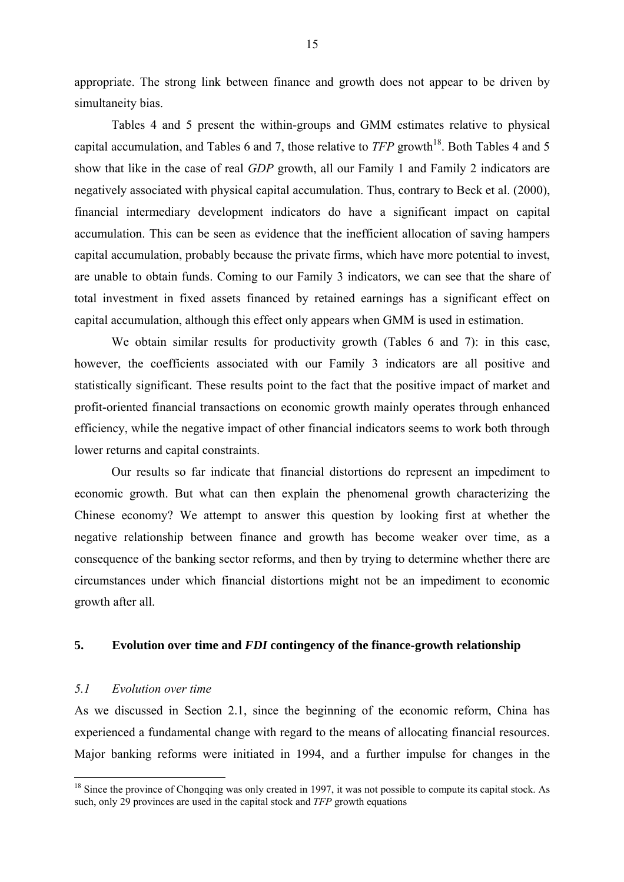appropriate. The strong link between finance and growth does not appear to be driven by simultaneity bias.

Tables 4 and 5 present the within-groups and GMM estimates relative to physical capital accumulation, and Tables 6 and 7, those relative to  $TFP$  growth<sup>18</sup>. Both Tables 4 and 5 show that like in the case of real *GDP* growth, all our Family 1 and Family 2 indicators are negatively associated with physical capital accumulation. Thus, contrary to Beck et al. (2000), financial intermediary development indicators do have a significant impact on capital accumulation. This can be seen as evidence that the inefficient allocation of saving hampers capital accumulation, probably because the private firms, which have more potential to invest, are unable to obtain funds. Coming to our Family 3 indicators, we can see that the share of total investment in fixed assets financed by retained earnings has a significant effect on capital accumulation, although this effect only appears when GMM is used in estimation.

We obtain similar results for productivity growth (Tables 6 and 7): in this case, however, the coefficients associated with our Family 3 indicators are all positive and statistically significant. These results point to the fact that the positive impact of market and profit-oriented financial transactions on economic growth mainly operates through enhanced efficiency, while the negative impact of other financial indicators seems to work both through lower returns and capital constraints.

Our results so far indicate that financial distortions do represent an impediment to economic growth. But what can then explain the phenomenal growth characterizing the Chinese economy? We attempt to answer this question by looking first at whether the negative relationship between finance and growth has become weaker over time, as a consequence of the banking sector reforms, and then by trying to determine whether there are circumstances under which financial distortions might not be an impediment to economic growth after all.

# **5. Evolution over time and** *FDI* **contingency of the finance-growth relationship**

#### *5.1 Evolution over time*

 $\overline{a}$ 

As we discussed in Section 2.1, since the beginning of the economic reform, China has experienced a fundamental change with regard to the means of allocating financial resources. Major banking reforms were initiated in 1994, and a further impulse for changes in the

<sup>&</sup>lt;sup>18</sup> Since the province of Chongqing was only created in 1997, it was not possible to compute its capital stock. As such, only 29 provinces are used in the capital stock and *TFP* growth equations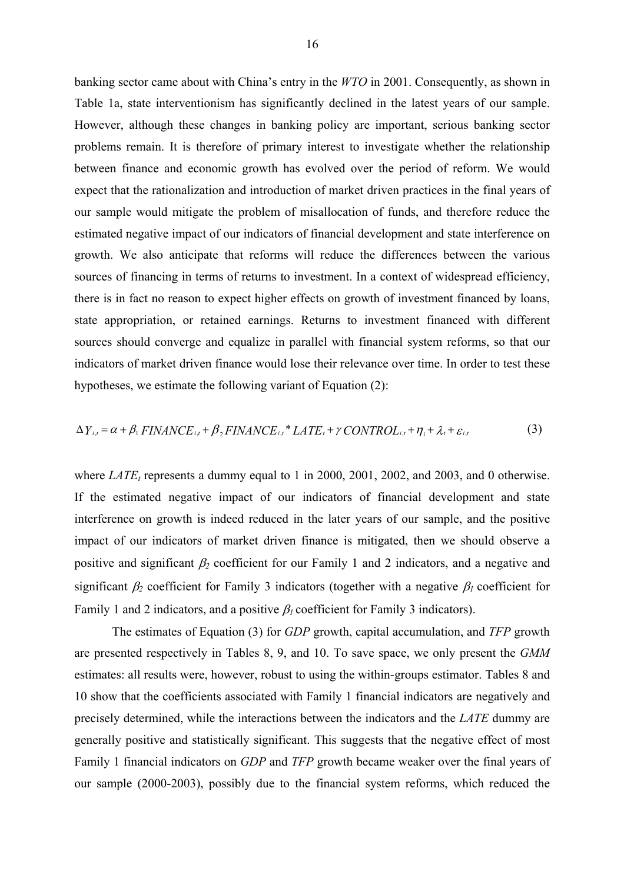banking sector came about with China's entry in the *WTO* in 2001. Consequently, as shown in Table 1a, state interventionism has significantly declined in the latest years of our sample. However, although these changes in banking policy are important, serious banking sector problems remain. It is therefore of primary interest to investigate whether the relationship between finance and economic growth has evolved over the period of reform. We would expect that the rationalization and introduction of market driven practices in the final years of our sample would mitigate the problem of misallocation of funds, and therefore reduce the estimated negative impact of our indicators of financial development and state interference on growth. We also anticipate that reforms will reduce the differences between the various sources of financing in terms of returns to investment. In a context of widespread efficiency, there is in fact no reason to expect higher effects on growth of investment financed by loans, state appropriation, or retained earnings. Returns to investment financed with different sources should converge and equalize in parallel with financial system reforms, so that our indicators of market driven finance would lose their relevance over time. In order to test these hypotheses, we estimate the following variant of Equation (2):

$$
\Delta Y_{i,t} = \alpha + \beta_1 FINANCE_{i,t} + \beta_2 FINANCE_{i,t} * LATE_t + \gamma CONTROL_{i,t} + \eta_i + \lambda_i + \varepsilon_{i,t}
$$
\n(3)

where  $LATE<sub>t</sub>$  represents a dummy equal to 1 in 2000, 2001, 2002, and 2003, and 0 otherwise. If the estimated negative impact of our indicators of financial development and state interference on growth is indeed reduced in the later years of our sample, and the positive impact of our indicators of market driven finance is mitigated, then we should observe a positive and significant β*<sup>2</sup>* coefficient for our Family 1 and 2 indicators, and a negative and significant β*<sup>2</sup>* coefficient for Family 3 indicators (together with a negative β*1* coefficient for Family 1 and 2 indicators, and a positive β*1* coefficient for Family 3 indicators).

 The estimates of Equation (3) for *GDP* growth, capital accumulation, and *TFP* growth are presented respectively in Tables 8, 9, and 10. To save space, we only present the *GMM* estimates: all results were, however, robust to using the within-groups estimator. Tables 8 and 10 show that the coefficients associated with Family 1 financial indicators are negatively and precisely determined, while the interactions between the indicators and the *LATE* dummy are generally positive and statistically significant. This suggests that the negative effect of most Family 1 financial indicators on *GDP* and *TFP* growth became weaker over the final years of our sample (2000-2003), possibly due to the financial system reforms, which reduced the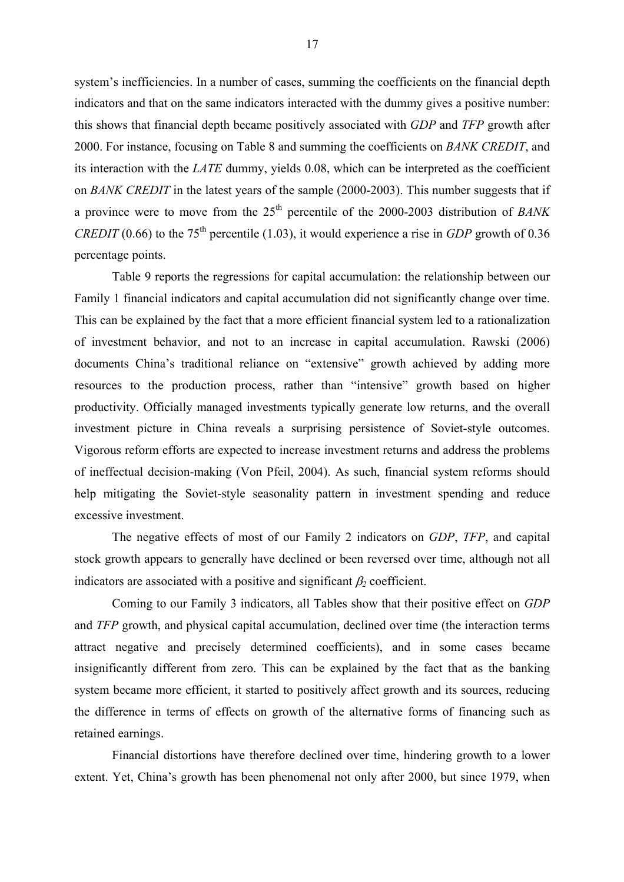system's inefficiencies. In a number of cases, summing the coefficients on the financial depth indicators and that on the same indicators interacted with the dummy gives a positive number: this shows that financial depth became positively associated with *GDP* and *TFP* growth after 2000. For instance, focusing on Table 8 and summing the coefficients on *BANK CREDIT*, and its interaction with the *LATE* dummy, yields 0.08, which can be interpreted as the coefficient on *BANK CREDIT* in the latest years of the sample (2000-2003). This number suggests that if a province were to move from the 25<sup>th</sup> percentile of the 2000-2003 distribution of *BANK CREDIT* (0.66) to the 75<sup>th</sup> percentile (1.03), it would experience a rise in *GDP* growth of 0.36 percentage points.

Table 9 reports the regressions for capital accumulation: the relationship between our Family 1 financial indicators and capital accumulation did not significantly change over time. This can be explained by the fact that a more efficient financial system led to a rationalization of investment behavior, and not to an increase in capital accumulation. Rawski (2006) documents China's traditional reliance on "extensive" growth achieved by adding more resources to the production process, rather than "intensive" growth based on higher productivity. Officially managed investments typically generate low returns, and the overall investment picture in China reveals a surprising persistence of Soviet-style outcomes. Vigorous reform efforts are expected to increase investment returns and address the problems of ineffectual decision-making (Von Pfeil, 2004). As such, financial system reforms should help mitigating the Soviet-style seasonality pattern in investment spending and reduce excessive investment.

The negative effects of most of our Family 2 indicators on *GDP*, *TFP*, and capital stock growth appears to generally have declined or been reversed over time, although not all indicators are associated with a positive and significant  $\beta_2$  coefficient.

Coming to our Family 3 indicators, all Tables show that their positive effect on *GDP* and *TFP* growth, and physical capital accumulation, declined over time (the interaction terms attract negative and precisely determined coefficients), and in some cases became insignificantly different from zero. This can be explained by the fact that as the banking system became more efficient, it started to positively affect growth and its sources, reducing the difference in terms of effects on growth of the alternative forms of financing such as retained earnings.

Financial distortions have therefore declined over time, hindering growth to a lower extent. Yet, China's growth has been phenomenal not only after 2000, but since 1979, when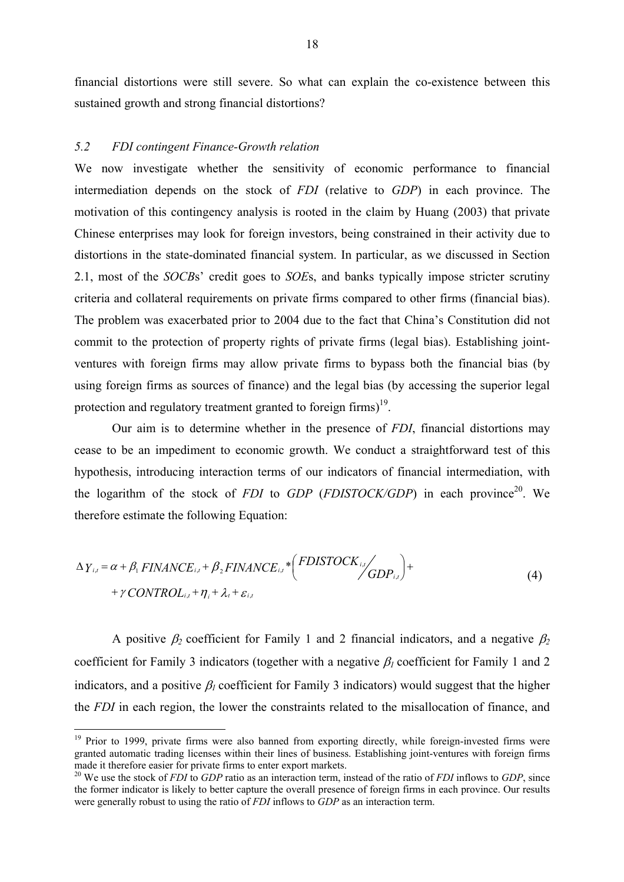financial distortions were still severe. So what can explain the co-existence between this sustained growth and strong financial distortions?

# *5.2 FDI contingent Finance-Growth relation*

 $\overline{a}$ 

We now investigate whether the sensitivity of economic performance to financial intermediation depends on the stock of *FDI* (relative to *GDP*) in each province. The motivation of this contingency analysis is rooted in the claim by Huang (2003) that private Chinese enterprises may look for foreign investors, being constrained in their activity due to distortions in the state-dominated financial system. In particular, as we discussed in Section 2.1, most of the *SOCB*s' credit goes to *SOE*s, and banks typically impose stricter scrutiny criteria and collateral requirements on private firms compared to other firms (financial bias). The problem was exacerbated prior to 2004 due to the fact that China's Constitution did not commit to the protection of property rights of private firms (legal bias). Establishing jointventures with foreign firms may allow private firms to bypass both the financial bias (by using foreign firms as sources of finance) and the legal bias (by accessing the superior legal protection and regulatory treatment granted to foreign firms $1^{19}$ .

Our aim is to determine whether in the presence of *FDI*, financial distortions may cease to be an impediment to economic growth. We conduct a straightforward test of this hypothesis, introducing interaction terms of our indicators of financial intermediation, with the logarithm of the stock of *FDI* to *GDP* (*FDISTOCK/GDP*) in each province<sup>20</sup>. We therefore estimate the following Equation:

$$
\Delta Y_{i,t} = \alpha + \beta_1 FINANCE_{i,t} + \beta_2 FINANCE_{i,t} * \left( \frac{FDISTOCK_{i,t}}{GDP_{i,t}} \right) + \gamma CONTROL_{i,t} + \eta_i + \lambda_t + \varepsilon_{i,t}
$$
\n(4)

A positive  $\beta_2$  coefficient for Family 1 and 2 financial indicators, and a negative  $\beta_2$ coefficient for Family 3 indicators (together with a negative β*1* coefficient for Family 1 and 2 indicators, and a positive β*1* coefficient for Family 3 indicators) would suggest that the higher the *FDI* in each region, the lower the constraints related to the misallocation of finance, and

<sup>&</sup>lt;sup>19</sup> Prior to 1999, private firms were also banned from exporting directly, while foreign-invested firms were granted automatic trading licenses within their lines of business. Establishing joint-ventures with foreign firms made it therefore easier for private firms to enter export markets.

<sup>20</sup> We use the stock of *FDI* to *GDP* ratio as an interaction term, instead of the ratio of *FDI* inflows to *GDP*, since the former indicator is likely to better capture the overall presence of foreign firms in each province. Our results were generally robust to using the ratio of *FDI* inflows to *GDP* as an interaction term.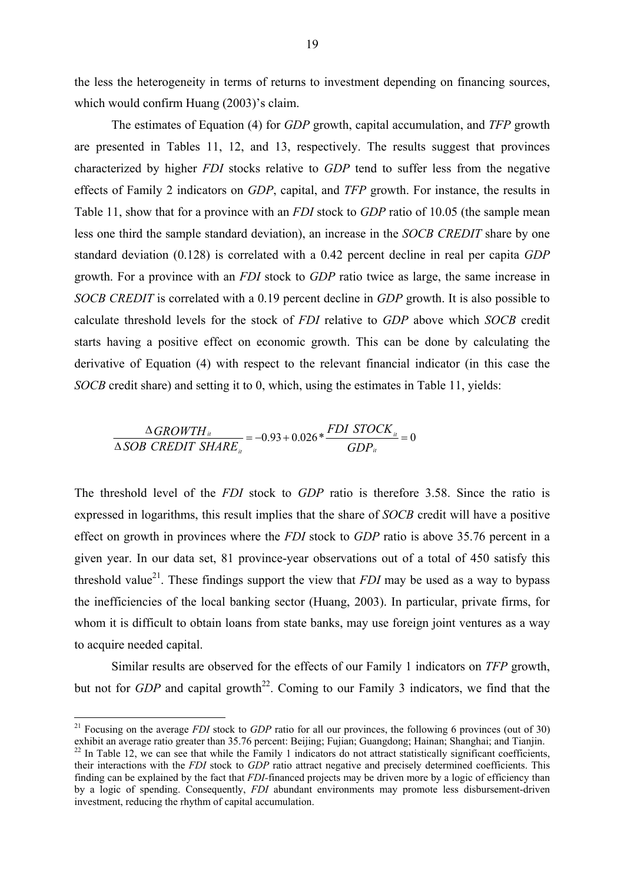the less the heterogeneity in terms of returns to investment depending on financing sources, which would confirm Huang (2003)'s claim.

The estimates of Equation (4) for *GDP* growth, capital accumulation, and *TFP* growth are presented in Tables 11, 12, and 13, respectively. The results suggest that provinces characterized by higher *FDI* stocks relative to *GDP* tend to suffer less from the negative effects of Family 2 indicators on *GDP*, capital, and *TFP* growth. For instance, the results in Table 11, show that for a province with an *FDI* stock to *GDP* ratio of 10.05 (the sample mean less one third the sample standard deviation), an increase in the *SOCB CREDIT* share by one standard deviation (0.128) is correlated with a 0.42 percent decline in real per capita *GDP* growth. For a province with an *FDI* stock to *GDP* ratio twice as large, the same increase in *SOCB CREDIT* is correlated with a 0.19 percent decline in *GDP* growth. It is also possible to calculate threshold levels for the stock of *FDI* relative to *GDP* above which *SOCB* credit starts having a positive effect on economic growth. This can be done by calculating the derivative of Equation (4) with respect to the relevant financial indicator (in this case the *SOCB* credit share) and setting it to 0, which, using the estimates in Table 11, yields:

$$
\frac{\Delta GROWTH_u}{\Delta SOB \text{ CREDIT SHARE}_u} = -0.93 + 0.026 * \frac{FDI \text{ STOCK}_u}{GDP_u} = 0
$$

The threshold level of the *FDI* stock to *GDP* ratio is therefore 3.58. Since the ratio is expressed in logarithms, this result implies that the share of *SOCB* credit will have a positive effect on growth in provinces where the *FDI* stock to *GDP* ratio is above 35.76 percent in a given year. In our data set, 81 province-year observations out of a total of 450 satisfy this threshold value<sup>21</sup>. These findings support the view that *FDI* may be used as a way to bypass the inefficiencies of the local banking sector (Huang, 2003). In particular, private firms, for whom it is difficult to obtain loans from state banks, may use foreign joint ventures as a way to acquire needed capital.

Similar results are observed for the effects of our Family 1 indicators on *TFP* growth, but not for *GDP* and capital growth<sup>22</sup>. Coming to our Family 3 indicators, we find that the

 $\overline{a}$ 

<sup>21</sup> Focusing on the average *FDI* stock to *GDP* ratio for all our provinces, the following 6 provinces (out of 30) exhibit an average ratio greater than 35.76 percent: Beijing; Fujian; Guangdong; Hainan; Shanghai; and Tianjin.

<sup>&</sup>lt;sup>22</sup> In Table 12, we can see that while the Family 1 indicators do not attract statistically significant coefficients, their interactions with the *FDI* stock to *GDP* ratio attract negative and precisely determined coefficients. This finding can be explained by the fact that *FDI-*financed projects may be driven more by a logic of efficiency than by a logic of spending. Consequently, *FDI* abundant environments may promote less disbursement-driven investment, reducing the rhythm of capital accumulation.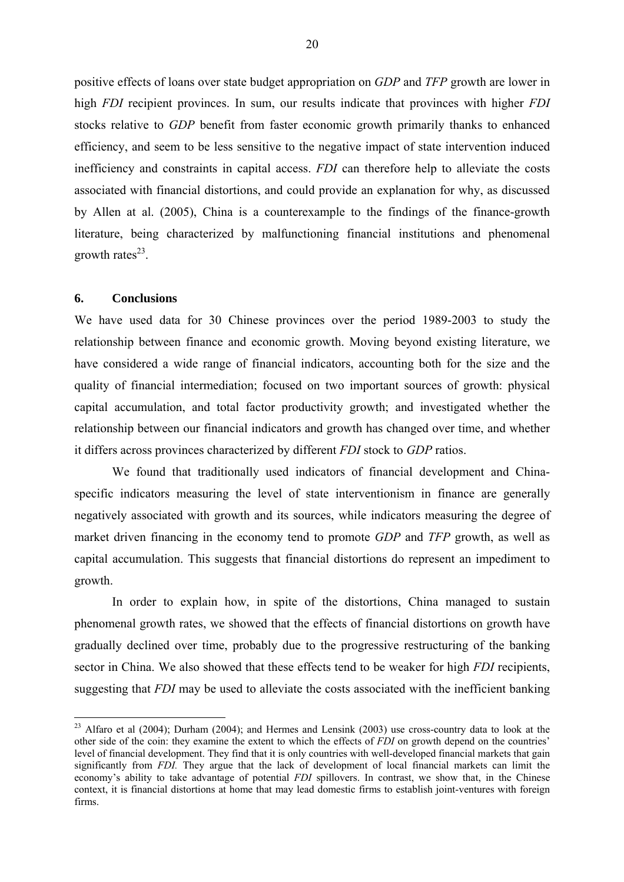positive effects of loans over state budget appropriation on *GDP* and *TFP* growth are lower in high *FDI* recipient provinces. In sum, our results indicate that provinces with higher *FDI* stocks relative to *GDP* benefit from faster economic growth primarily thanks to enhanced efficiency, and seem to be less sensitive to the negative impact of state intervention induced inefficiency and constraints in capital access. *FDI* can therefore help to alleviate the costs associated with financial distortions, and could provide an explanation for why, as discussed by Allen at al. (2005), China is a counterexample to the findings of the finance-growth literature, being characterized by malfunctioning financial institutions and phenomenal growth rates $^{23}$ .

# **6. Conclusions**

 $\overline{a}$ 

We have used data for 30 Chinese provinces over the period 1989-2003 to study the relationship between finance and economic growth. Moving beyond existing literature, we have considered a wide range of financial indicators, accounting both for the size and the quality of financial intermediation; focused on two important sources of growth: physical capital accumulation, and total factor productivity growth; and investigated whether the relationship between our financial indicators and growth has changed over time, and whether it differs across provinces characterized by different *FDI* stock to *GDP* ratios.

We found that traditionally used indicators of financial development and Chinaspecific indicators measuring the level of state interventionism in finance are generally negatively associated with growth and its sources, while indicators measuring the degree of market driven financing in the economy tend to promote *GDP* and *TFP* growth, as well as capital accumulation. This suggests that financial distortions do represent an impediment to growth.

In order to explain how, in spite of the distortions, China managed to sustain phenomenal growth rates, we showed that the effects of financial distortions on growth have gradually declined over time, probably due to the progressive restructuring of the banking sector in China. We also showed that these effects tend to be weaker for high *FDI* recipients, suggesting that *FDI* may be used to alleviate the costs associated with the inefficient banking

<sup>&</sup>lt;sup>23</sup> Alfaro et al (2004); Durham (2004); and Hermes and Lensink (2003) use cross-country data to look at the other side of the coin: they examine the extent to which the effects of *FDI* on growth depend on the countries' level of financial development. They find that it is only countries with well-developed financial markets that gain significantly from *FDI.* They argue that the lack of development of local financial markets can limit the economy's ability to take advantage of potential *FDI* spillovers. In contrast, we show that, in the Chinese context, it is financial distortions at home that may lead domestic firms to establish joint-ventures with foreign firms.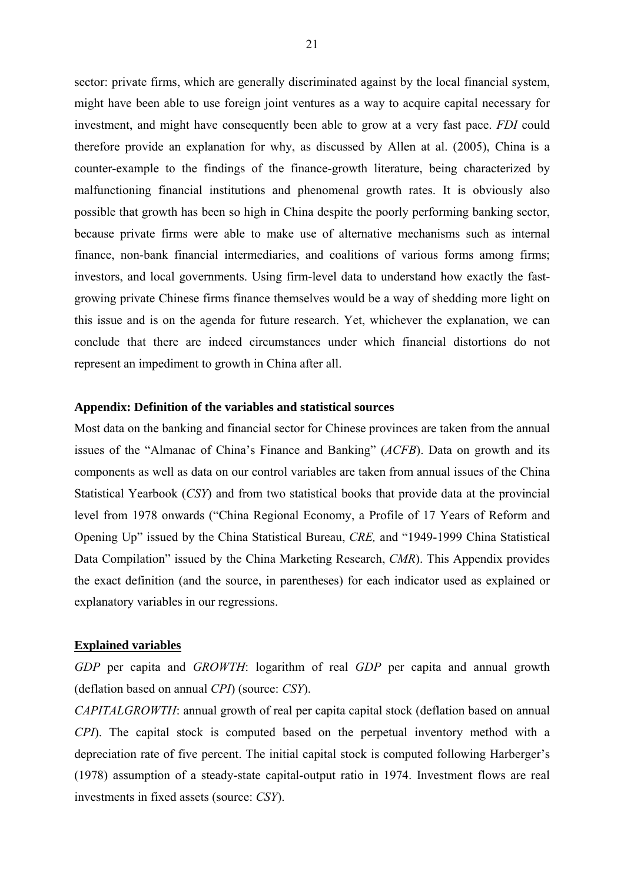sector: private firms, which are generally discriminated against by the local financial system, might have been able to use foreign joint ventures as a way to acquire capital necessary for investment, and might have consequently been able to grow at a very fast pace. *FDI* could therefore provide an explanation for why, as discussed by Allen at al. (2005), China is a counter-example to the findings of the finance-growth literature, being characterized by malfunctioning financial institutions and phenomenal growth rates. It is obviously also possible that growth has been so high in China despite the poorly performing banking sector, because private firms were able to make use of alternative mechanisms such as internal finance, non-bank financial intermediaries, and coalitions of various forms among firms; investors, and local governments. Using firm-level data to understand how exactly the fastgrowing private Chinese firms finance themselves would be a way of shedding more light on this issue and is on the agenda for future research. Yet, whichever the explanation, we can conclude that there are indeed circumstances under which financial distortions do not represent an impediment to growth in China after all.

# **Appendix: Definition of the variables and statistical sources**

Most data on the banking and financial sector for Chinese provinces are taken from the annual issues of the "Almanac of China's Finance and Banking" (*ACFB*). Data on growth and its components as well as data on our control variables are taken from annual issues of the China Statistical Yearbook (*CSY*) and from two statistical books that provide data at the provincial level from 1978 onwards ("China Regional Economy, a Profile of 17 Years of Reform and Opening Up" issued by the China Statistical Bureau, *CRE,* and "1949-1999 China Statistical Data Compilation" issued by the China Marketing Research, *CMR*). This Appendix provides the exact definition (and the source, in parentheses) for each indicator used as explained or explanatory variables in our regressions.

#### **Explained variables**

*GDP* per capita and *GROWTH*: logarithm of real *GDP* per capita and annual growth (deflation based on annual *CPI*) (source: *CSY*).

*CAPITALGROWTH*: annual growth of real per capita capital stock (deflation based on annual *CPI*). The capital stock is computed based on the perpetual inventory method with a depreciation rate of five percent. The initial capital stock is computed following Harberger's (1978) assumption of a steady-state capital-output ratio in 1974. Investment flows are real investments in fixed assets (source: *CSY*).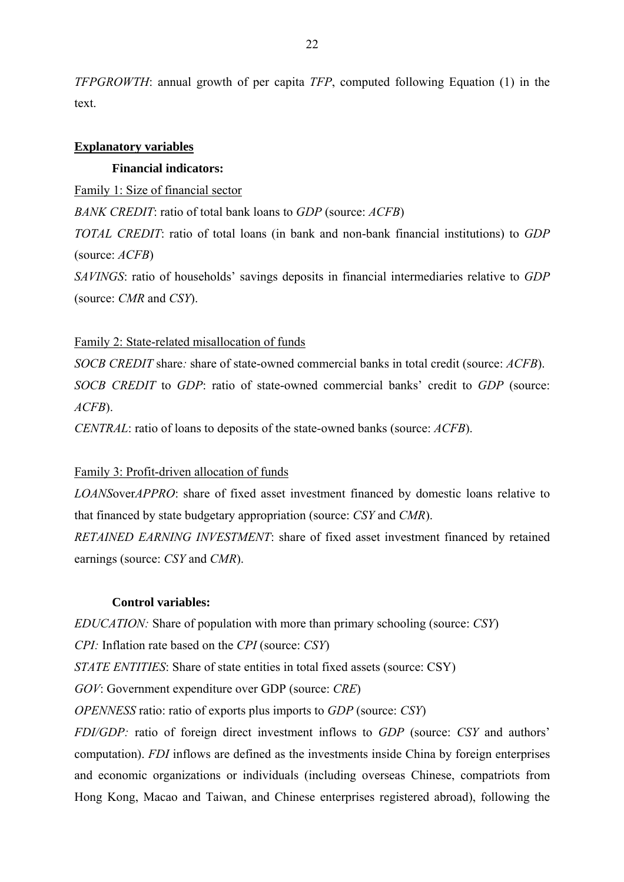*TFPGROWTH*: annual growth of per capita *TFP*, computed following Equation (1) in the text.

# **Explanatory variables**

# **Financial indicators:**

Family 1: Size of financial sector

*BANK CREDIT*: ratio of total bank loans to *GDP* (source: *ACFB*)

*TOTAL CREDIT*: ratio of total loans (in bank and non-bank financial institutions) to *GDP* (source: *ACFB*)

*SAVINGS*: ratio of households' savings deposits in financial intermediaries relative to *GDP* (source: *CMR* and *CSY*).

Family 2: State-related misallocation of funds

*SOCB CREDIT* share*:* share of state-owned commercial banks in total credit (source: *ACFB*). *SOCB CREDIT* to *GDP*: ratio of state-owned commercial banks' credit to *GDP* (source: *ACFB*).

*CENTRAL*: ratio of loans to deposits of the state-owned banks (source: *ACFB*).

## Family 3: Profit-driven allocation of funds

*LOANS*over*APPRO*: share of fixed asset investment financed by domestic loans relative to that financed by state budgetary appropriation (source: *CSY* and *CMR*).

*RETAINED EARNING INVESTMENT*: share of fixed asset investment financed by retained earnings (source: *CSY* and *CMR*).

# **Control variables:**

*EDUCATION:* Share of population with more than primary schooling (source: *CSY*)

*CPI:* Inflation rate based on the *CPI* (source: *CSY*)

*STATE ENTITIES*: Share of state entities in total fixed assets (source: CSY)

*GOV*: Government expenditure over GDP (source: *CRE*)

*OPENNESS* ratio: ratio of exports plus imports to *GDP* (source: *CSY*)

*FDI/GDP:* ratio of foreign direct investment inflows to *GDP* (source: *CSY* and authors' computation). *FDI* inflows are defined as the investments inside China by foreign enterprises and economic organizations or individuals (including overseas Chinese, compatriots from Hong Kong, Macao and Taiwan, and Chinese enterprises registered abroad), following the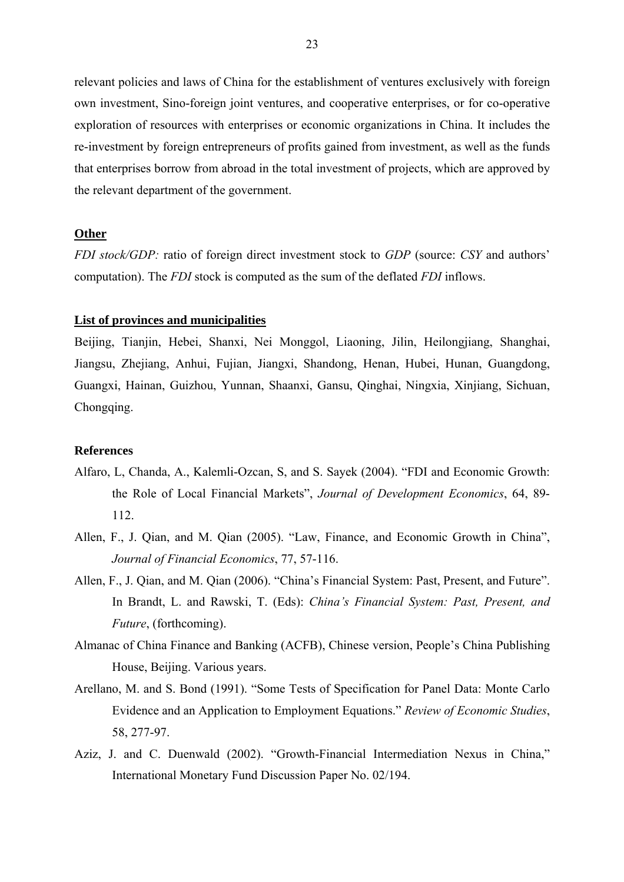relevant policies and laws of China for the establishment of ventures exclusively with foreign own investment, Sino-foreign joint ventures, and cooperative enterprises, or for co-operative exploration of resources with enterprises or economic organizations in China. It includes the re-investment by foreign entrepreneurs of profits gained from investment, as well as the funds that enterprises borrow from abroad in the total investment of projects, which are approved by the relevant department of the government.

### **Other**

*FDI stock/GDP:* ratio of foreign direct investment stock to *GDP* (source: *CSY* and authors' computation). The *FDI* stock is computed as the sum of the deflated *FDI* inflows.

## **List of provinces and municipalities**

Beijing, Tianjin, Hebei, Shanxi, Nei Monggol, Liaoning, Jilin, Heilongjiang, Shanghai, Jiangsu, Zhejiang, Anhui, Fujian, Jiangxi, Shandong, Henan, Hubei, Hunan, Guangdong, Guangxi, Hainan, Guizhou, Yunnan, Shaanxi, Gansu, Qinghai, Ningxia, Xinjiang, Sichuan, Chongqing.

# **References**

- Alfaro, L, Chanda, A., Kalemli-Ozcan, S, and S. Sayek (2004). "FDI and Economic Growth: the Role of Local Financial Markets", *Journal of Development Economics*, 64, 89- 112.
- Allen, F., J. Qian, and M. Qian (2005). "Law, Finance, and Economic Growth in China", *Journal of Financial Economics*, 77, 57-116.
- Allen, F., J. Qian, and M. Qian (2006). "China's Financial System: Past, Present, and Future". In Brandt, L. and Rawski, T. (Eds): *China's Financial System: Past, Present, and Future*, (forthcoming).
- Almanac of China Finance and Banking (ACFB), Chinese version, People's China Publishing House, Beijing. Various years.
- Arellano, M. and S. Bond (1991). "Some Tests of Specification for Panel Data: Monte Carlo Evidence and an Application to Employment Equations." *Review of Economic Studies*, 58, 277-97.
- Aziz, J. and C. Duenwald (2002). "Growth-Financial Intermediation Nexus in China," International Monetary Fund Discussion Paper No. 02/194.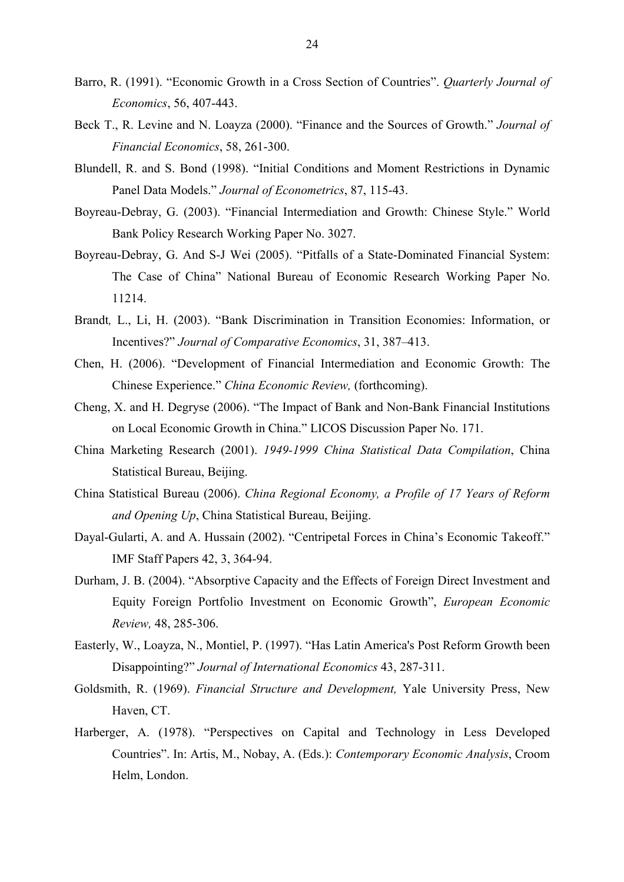- Barro, R. (1991). "Economic Growth in a Cross Section of Countries". *Quarterly Journal of Economics*, 56, 407-443.
- Beck T., R. Levine and N. Loayza (2000). "Finance and the Sources of Growth." *Journal of Financial Economics*, 58, 261-300.
- Blundell, R. and S. Bond (1998). "Initial Conditions and Moment Restrictions in Dynamic Panel Data Models." *Journal of Econometrics*, 87, 115-43.
- Boyreau-Debray, G. (2003). "Financial Intermediation and Growth: Chinese Style." World Bank Policy Research Working Paper No. 3027.
- Boyreau-Debray, G. And S-J Wei (2005). "Pitfalls of a State-Dominated Financial System: The Case of China" National Bureau of Economic Research Working Paper No. 11214.
- Brandt*,* L., Li, H. (2003). "Bank Discrimination in Transition Economies: Information, or Incentives?" *Journal of Comparative Economics*, 31, 387–413.
- Chen, H. (2006). "Development of Financial Intermediation and Economic Growth: The Chinese Experience." *China Economic Review,* (forthcoming).
- Cheng, X. and H. Degryse (2006). "The Impact of Bank and Non-Bank Financial Institutions on Local Economic Growth in China." LICOS Discussion Paper No. 171.
- China Marketing Research (2001). *1949-1999 China Statistical Data Compilation*, China Statistical Bureau, Beijing.
- China Statistical Bureau (2006). *China Regional Economy, a Profile of 17 Years of Reform and Opening Up*, China Statistical Bureau, Beijing.
- Dayal-Gularti, A. and A. Hussain (2002). "Centripetal Forces in China's Economic Takeoff." IMF Staff Papers 42, 3, 364-94.
- Durham, J. B. (2004). "Absorptive Capacity and the Effects of Foreign Direct Investment and Equity Foreign Portfolio Investment on Economic Growth", *European Economic Review,* 48, 285-306.
- Easterly, W., Loayza, N., Montiel, P. (1997). "Has Latin America's Post Reform Growth been Disappointing?" *Journal of International Economics* 43, 287-311.
- Goldsmith, R. (1969). *Financial Structure and Development,* Yale University Press, New Haven, CT.
- Harberger, A. (1978). "Perspectives on Capital and Technology in Less Developed Countries". In: Artis, M., Nobay, A. (Eds.): *Contemporary Economic Analysis*, Croom Helm, London.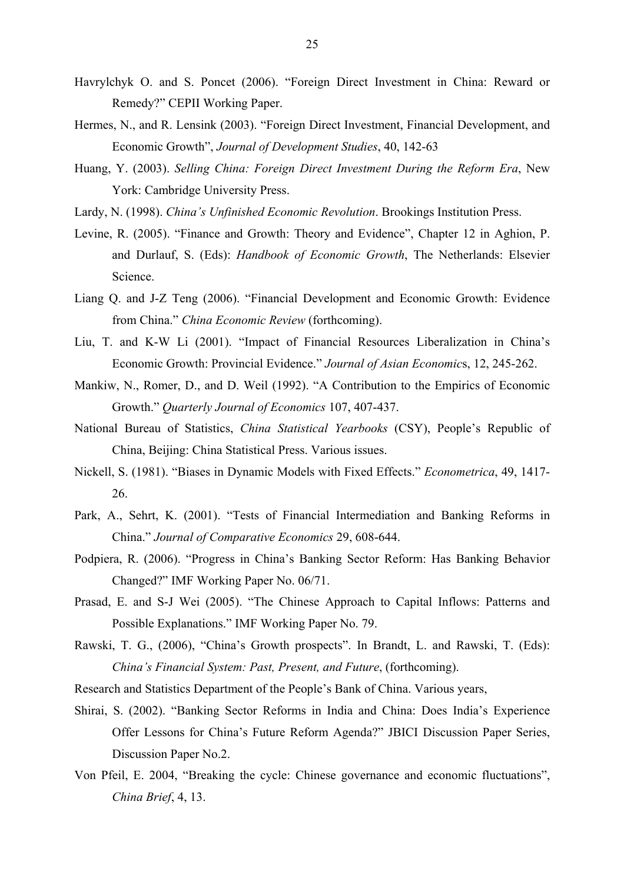- Havrylchyk O. and S. Poncet (2006). "Foreign Direct Investment in China: Reward or Remedy?" CEPII Working Paper.
- Hermes, N., and R. Lensink (2003). "Foreign Direct Investment, Financial Development, and Economic Growth", *Journal of Development Studies*, 40, 142-63
- Huang, Y. (2003). *Selling China: Foreign Direct Investment During the Reform Era*, New York: Cambridge University Press.
- Lardy, N. (1998). *China's Unfinished Economic Revolution*. Brookings Institution Press.
- Levine, R. (2005). "Finance and Growth: Theory and Evidence", Chapter 12 in Aghion, P. and Durlauf, S. (Eds): *Handbook of Economic Growth*, The Netherlands: Elsevier Science.
- Liang Q. and J-Z Teng (2006). "Financial Development and Economic Growth: Evidence from China." *China Economic Review* (forthcoming).
- Liu, T. and K-W Li (2001). "Impact of Financial Resources Liberalization in China's Economic Growth: Provincial Evidence." *Journal of Asian Economic*s, 12, 245-262.
- Mankiw, N., Romer, D., and D. Weil (1992). "A Contribution to the Empirics of Economic Growth." *Quarterly Journal of Economics* 107, 407-437.
- National Bureau of Statistics, *China Statistical Yearbooks* (CSY), People's Republic of China, Beijing: China Statistical Press. Various issues.
- Nickell, S. (1981). "Biases in Dynamic Models with Fixed Effects." *Econometrica*, 49, 1417- 26.
- Park, A., Sehrt, K. (2001). "Tests of Financial Intermediation and Banking Reforms in China." *Journal of Comparative Economics* 29, 608-644.
- Podpiera, R. (2006). "Progress in China's Banking Sector Reform: Has Banking Behavior Changed?" IMF Working Paper No. 06/71.
- Prasad, E. and S-J Wei (2005). "The Chinese Approach to Capital Inflows: Patterns and Possible Explanations." IMF Working Paper No. 79.
- Rawski, T. G., (2006), "China's Growth prospects". In Brandt, L. and Rawski, T. (Eds): *China's Financial System: Past, Present, and Future*, (forthcoming).
- Research and Statistics Department of the People's Bank of China. Various years,
- Shirai, S. (2002). "Banking Sector Reforms in India and China: Does India's Experience Offer Lessons for China's Future Reform Agenda?" JBICI Discussion Paper Series, Discussion Paper No.2.
- Von Pfeil, E. 2004, "Breaking the cycle: Chinese governance and economic fluctuations", *China Brief*, 4, 13.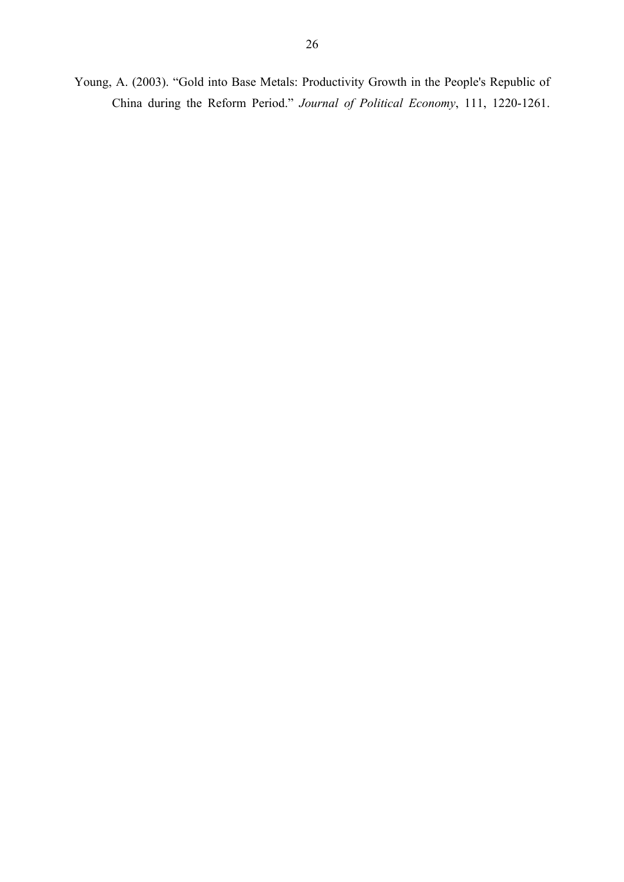Young, A. (2003). "Gold into Base Metals: Productivity Growth in the People's Republic of China during the Reform Period." *Journal of Political Economy*, 111, 1220-1261.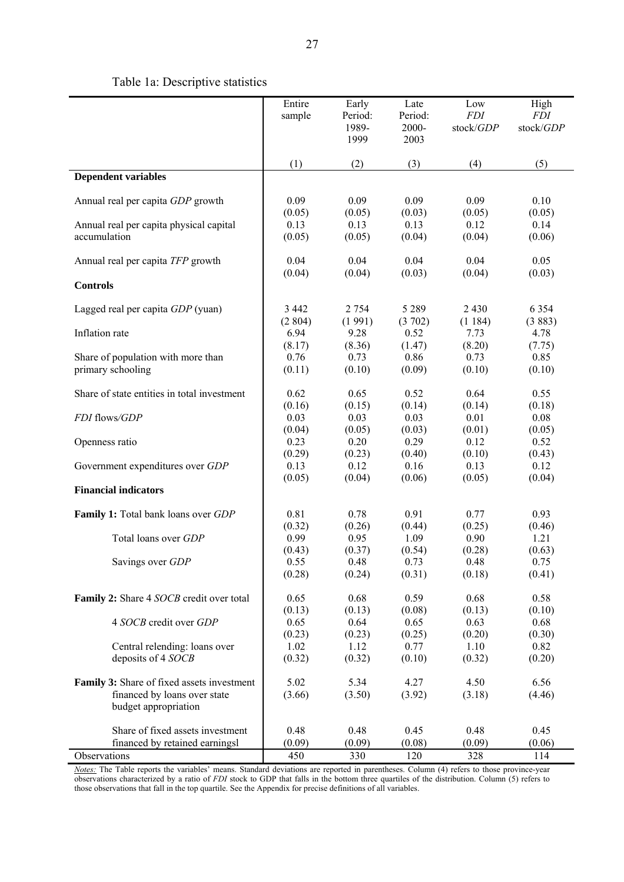# Table 1a: Descriptive statistics

|                                             | Entire         | Early<br>Period: | Late                     | Low<br><b>FDI</b> | High<br><b>FDI</b> |
|---------------------------------------------|----------------|------------------|--------------------------|-------------------|--------------------|
|                                             | sample         | 1989-<br>1999    | Period:<br>2000-<br>2003 | stock/GDP         | stock/GDP          |
|                                             | (1)            | (2)              | (3)                      | (4)               | (5)                |
| <b>Dependent variables</b>                  |                |                  |                          |                   |                    |
| Annual real per capita GDP growth           | 0.09           | 0.09             | 0.09                     | 0.09              | 0.10               |
|                                             | (0.05)         | (0.05)           | (0.03)                   | (0.05)            | (0.05)             |
| Annual real per capita physical capital     | 0.13           | 0.13             | 0.13                     | 0.12              | 0.14               |
| accumulation                                | (0.05)         | (0.05)           | (0.04)                   | (0.04)            | (0.06)             |
| Annual real per capita TFP growth           | 0.04           | 0.04             | 0.04                     | 0.04              | 0.05               |
|                                             | (0.04)         | (0.04)           | (0.03)                   | (0.04)            | (0.03)             |
| <b>Controls</b>                             |                |                  |                          |                   |                    |
| Lagged real per capita GDP (yuan)           | 3 4 4 2        | 2 7 5 4          | 5 2 8 9                  | 2 4 3 0           | 6 3 5 4            |
|                                             | (2804)         | (1991)           | (3702)                   | (1184)            | (3883)             |
| Inflation rate                              | 6.94           | 9.28             | 0.52                     | 7.73              | 4.78               |
|                                             | (8.17)         | (8.36)           | (1.47)                   | (8.20)            | (7.75)             |
| Share of population with more than          | 0.76           | 0.73             | 0.86<br>(0.09)           | 0.73<br>(0.10)    | 0.85               |
| primary schooling                           | (0.11)         | (0.10)           |                          |                   | (0.10)             |
| Share of state entities in total investment | 0.62           | 0.65             | 0.52                     | 0.64              | 0.55               |
|                                             | (0.16)         | (0.15)           | (0.14)                   | (0.14)            | (0.18)             |
| FDI flows/GDP                               | 0.03           | 0.03             | 0.03                     | 0.01              | 0.08               |
|                                             | (0.04)         | (0.05)           | (0.03)                   | (0.01)            | (0.05)             |
| Openness ratio                              | 0.23<br>(0.29) | 0.20<br>(0.23)   | 0.29<br>(0.40)           | 0.12<br>(0.10)    | 0.52<br>(0.43)     |
| Government expenditures over GDP            | 0.13           | 0.12             | 0.16                     | 0.13              | 0.12               |
|                                             | (0.05)         | (0.04)           | (0.06)                   | (0.05)            | (0.04)             |
| <b>Financial indicators</b>                 |                |                  |                          |                   |                    |
| Family 1: Total bank loans over GDP         | 0.81           | 0.78             | 0.91                     | 0.77              | 0.93               |
|                                             | (0.32)         | (0.26)           | (0.44)                   | (0.25)            | (0.46)             |
| Total loans over GDP                        | 0.99           | 0.95             | 1.09                     | 0.90              | 1.21               |
|                                             | (0.43)         | (0.37)           | (0.54)                   | (0.28)            | (0.63)             |
| Savings over GDP                            | 0.55           | 0.48             | 0.73                     | 0.48              | 0.75               |
|                                             | (0.28)         | (0.24)           | (0.31)                   | (0.18)            | (0.41)             |
| Family 2: Share 4 SOCB credit over total    | 0.65           | 0.68             | 0.59                     | 0.68              | 0.58               |
|                                             | (0.13)         | (0.13)           | (0.08)                   | (0.13)            | (0.10)             |
| 4 SOCB credit over GDP                      | 0.65           | 0.64             | 0.65                     | 0.63              | 0.68               |
|                                             | (0.23)         | (0.23)           | (0.25)                   | (0.20)            | (0.30)             |
| Central relending: loans over               | 1.02           | 1.12             | 0.77                     | 1.10              | 0.82               |
| deposits of 4 SOCB                          | (0.32)         | (0.32)           | (0.10)                   | (0.32)            | (0.20)             |
| Family 3: Share of fixed assets investment  | 5.02           | 5.34             | 4.27                     | 4.50              | 6.56               |
| financed by loans over state                | (3.66)         | (3.50)           | (3.92)                   | (3.18)            | (4.46)             |
| budget appropriation                        |                |                  |                          |                   |                    |
| Share of fixed assets investment            |                |                  |                          |                   |                    |
| financed by retained earningsl              | 0.48<br>(0.09) | 0.48<br>(0.09)   | 0.45<br>(0.08)           | 0.48<br>(0.09)    | 0.45<br>(0.06)     |
| Observations                                | 450            | 330              | 120                      | 328               | 114                |

*Notes:* The Table reports the variables' means. Standard deviations are reported in parentheses. Column (4) refers to those province-year observations characterized by a ratio of *FDI* stock to GDP that falls in the bottom three quartiles of the distribution. Column (5) refers to those observations that fall in the top quartile. See the Appendix for precise definitions of all variables.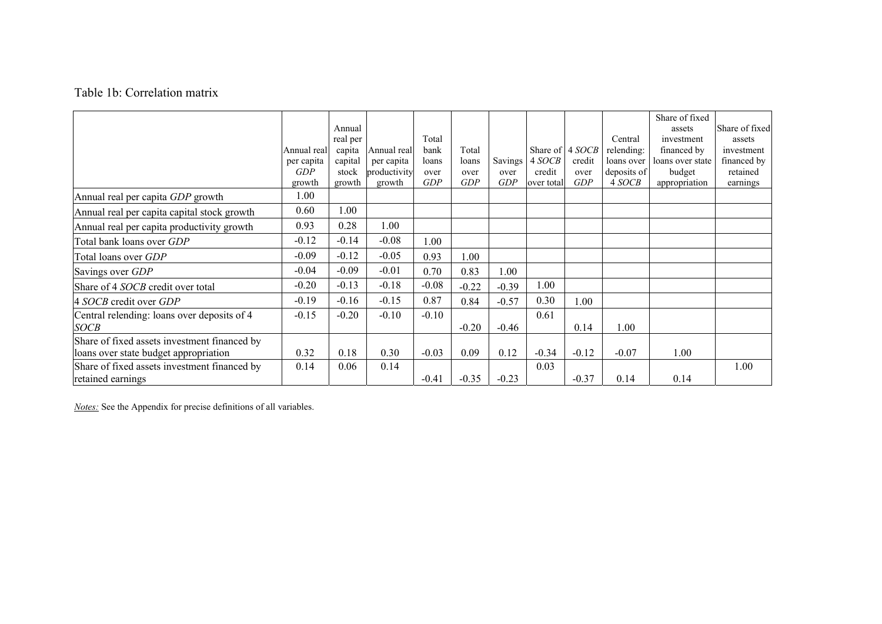# Table 1b: Correlation matrix

|                                                                                       | Annual real<br>per capita<br>GDP<br>growth | Annual<br>real per<br>capita<br>capital<br>stock<br>growth | Annual real<br>per capita<br>productivity<br>growth | Total<br>bank<br>loans<br>over<br>GDP | Total<br>loans<br>over<br><b>GDP</b> | Savings<br>over<br>GDP | Share of 4 SOCB<br>4 SOCB<br>credit<br>over total | credit<br>over<br>GDP | Central<br>relending:<br>loans over<br>deposits of<br>4 SOCB | Share of fixed<br>assets<br>investment<br>financed by<br>loans over state<br>budget<br>appropriation | Share of fixed<br>assets<br>investment<br>financed by<br>retained<br>earnings |
|---------------------------------------------------------------------------------------|--------------------------------------------|------------------------------------------------------------|-----------------------------------------------------|---------------------------------------|--------------------------------------|------------------------|---------------------------------------------------|-----------------------|--------------------------------------------------------------|------------------------------------------------------------------------------------------------------|-------------------------------------------------------------------------------|
| Annual real per capita GDP growth                                                     | 1.00                                       |                                                            |                                                     |                                       |                                      |                        |                                                   |                       |                                                              |                                                                                                      |                                                                               |
| Annual real per capita capital stock growth                                           | 0.60                                       | 1.00                                                       |                                                     |                                       |                                      |                        |                                                   |                       |                                                              |                                                                                                      |                                                                               |
| Annual real per capita productivity growth                                            | 0.93                                       | 0.28                                                       | 1.00                                                |                                       |                                      |                        |                                                   |                       |                                                              |                                                                                                      |                                                                               |
| Total bank loans over GDP                                                             | $-0.12$                                    | $-0.14$                                                    | $-0.08$                                             | 1.00                                  |                                      |                        |                                                   |                       |                                                              |                                                                                                      |                                                                               |
| Total loans over GDP                                                                  | $-0.09$                                    | $-0.12$                                                    | $-0.05$                                             | 0.93                                  | 1.00                                 |                        |                                                   |                       |                                                              |                                                                                                      |                                                                               |
| Savings over GDP                                                                      | $-0.04$                                    | $-0.09$                                                    | $-0.01$                                             | 0.70                                  | 0.83                                 | 1.00                   |                                                   |                       |                                                              |                                                                                                      |                                                                               |
| Share of 4 SOCB credit over total                                                     | $-0.20$                                    | $-0.13$                                                    | $-0.18$                                             | $-0.08$                               | $-0.22$                              | $-0.39$                | 1.00                                              |                       |                                                              |                                                                                                      |                                                                               |
| 4 SOCB credit over GDP                                                                | $-0.19$                                    | $-0.16$                                                    | $-0.15$                                             | 0.87                                  | 0.84                                 | $-0.57$                | 0.30                                              | 1.00                  |                                                              |                                                                                                      |                                                                               |
| Central relending: loans over deposits of 4<br><b>SOCB</b>                            | $-0.15$                                    | $-0.20$                                                    | $-0.10$                                             | $-0.10$                               | $-0.20$                              | $-0.46$                | 0.61                                              | 0.14                  | 1.00                                                         |                                                                                                      |                                                                               |
| Share of fixed assets investment financed by<br>loans over state budget appropriation | 0.32                                       | 0.18                                                       | 0.30                                                | $-0.03$                               | 0.09                                 | 0.12                   | $-0.34$                                           | $-0.12$               | $-0.07$                                                      | 1.00                                                                                                 |                                                                               |
| Share of fixed assets investment financed by<br>retained earnings                     | 0.14                                       | 0.06                                                       | 0.14                                                | $-0.41$                               | $-0.35$                              | $-0.23$                | 0.03                                              | $-0.37$               | 0.14                                                         | 0.14                                                                                                 | 1.00                                                                          |

*Notes:* See the Appendix for precise definitions of all variables.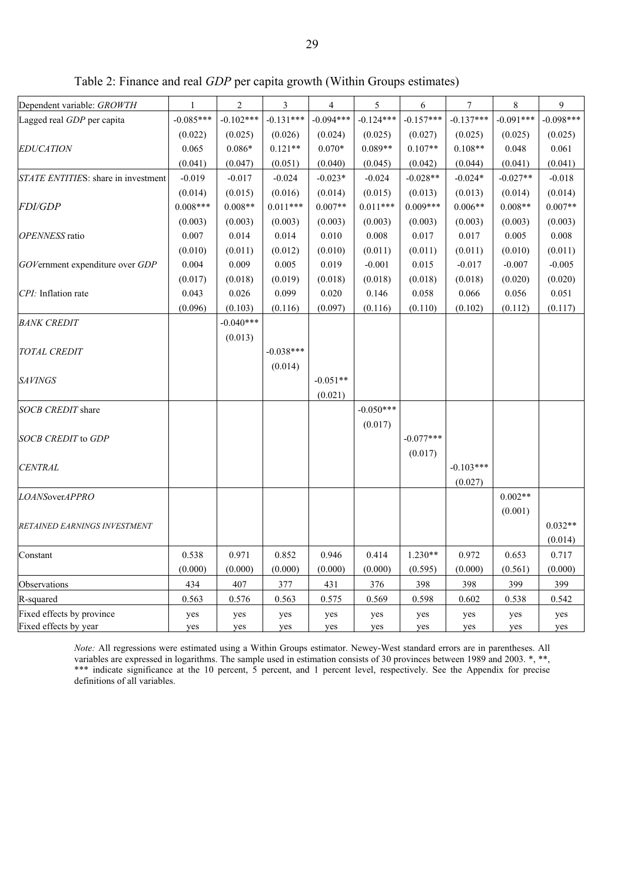| Dependent variable: GROWTH          | $\mathbf{1}$ | $\boldsymbol{2}$ | $\mathfrak{Z}$ | $\overline{\mathcal{L}}$ | 5           | 6           | $\boldsymbol{7}$ | $\,8\,$     | 9           |
|-------------------------------------|--------------|------------------|----------------|--------------------------|-------------|-------------|------------------|-------------|-------------|
| Lagged real GDP per capita          | $-0.085***$  | $-0.102***$      | $-0.131***$    | $-0.094***$              | $-0.124***$ | $-0.157***$ | $-0.137***$      | $-0.091***$ | $-0.098***$ |
|                                     | (0.022)      | (0.025)          | (0.026)        | (0.024)                  | (0.025)     | (0.027)     | (0.025)          | (0.025)     | (0.025)     |
| <b>EDUCATION</b>                    | 0.065        | $0.086*$         | $0.121**$      | $0.070*$                 | $0.089**$   | $0.107**$   | $0.108**$        | 0.048       | 0.061       |
|                                     | (0.041)      | (0.047)          | (0.051)        | (0.040)                  | (0.045)     | (0.042)     | (0.044)          | (0.041)     | (0.041)     |
| STATE ENTITIES: share in investment | $-0.019$     | $-0.017$         | $-0.024$       | $-0.023*$                | $-0.024$    | $-0.028**$  | $-0.024*$        | $-0.027**$  | $-0.018$    |
|                                     | (0.014)      | (0.015)          | (0.016)        | (0.014)                  | (0.015)     | (0.013)     | (0.013)          | (0.014)     | (0.014)     |
| <i>FDI/GDP</i>                      | $0.008***$   | $0.008**$        | $0.011***$     | $0.007**$                | $0.011***$  | $0.009***$  | $0.006**$        | $0.008**$   | $0.007**$   |
|                                     | (0.003)      | (0.003)          | (0.003)        | (0.003)                  | (0.003)     | (0.003)     | (0.003)          | (0.003)     | (0.003)     |
| <i>OPENNESS</i> ratio               | 0.007        | 0.014            | 0.014          | 0.010                    | 0.008       | 0.017       | 0.017            | 0.005       | 0.008       |
|                                     | (0.010)      | (0.011)          | (0.012)        | (0.010)                  | (0.011)     | (0.011)     | (0.011)          | (0.010)     | (0.011)     |
| GOVernment expenditure over GDP     | 0.004        | 0.009            | 0.005          | 0.019                    | $-0.001$    | 0.015       | $-0.017$         | $-0.007$    | $-0.005$    |
|                                     | (0.017)      | (0.018)          | (0.019)        | (0.018)                  | (0.018)     | (0.018)     | (0.018)          | (0.020)     | (0.020)     |
| CPI: Inflation rate                 | 0.043        | 0.026            | 0.099          | 0.020                    | 0.146       | 0.058       | 0.066            | 0.056       | 0.051       |
|                                     | (0.096)      | (0.103)          | (0.116)        | (0.097)                  | (0.116)     | (0.110)     | (0.102)          | (0.112)     | (0.117)     |
| <b>BANK CREDIT</b>                  |              | $-0.040***$      |                |                          |             |             |                  |             |             |
|                                     |              | (0.013)          |                |                          |             |             |                  |             |             |
| TOTAL CREDIT                        |              |                  | $-0.038***$    |                          |             |             |                  |             |             |
|                                     |              |                  | (0.014)        |                          |             |             |                  |             |             |
| <b>SAVINGS</b>                      |              |                  |                | $-0.051**$               |             |             |                  |             |             |
|                                     |              |                  |                | (0.021)                  |             |             |                  |             |             |
| SOCB CREDIT share                   |              |                  |                |                          | $-0.050***$ |             |                  |             |             |
|                                     |              |                  |                |                          | (0.017)     |             |                  |             |             |
| SOCB CREDIT to GDP                  |              |                  |                |                          |             | $-0.077***$ |                  |             |             |
|                                     |              |                  |                |                          |             | (0.017)     |                  |             |             |
| <b>CENTRAL</b>                      |              |                  |                |                          |             |             | $-0.103***$      |             |             |
|                                     |              |                  |                |                          |             |             | (0.027)          |             |             |
| LOANSoverAPPRO                      |              |                  |                |                          |             |             |                  | $0.002**$   |             |
|                                     |              |                  |                |                          |             |             |                  | (0.001)     |             |
| RETAINED EARNINGS INVESTMENT        |              |                  |                |                          |             |             |                  |             | $0.032**$   |
|                                     |              |                  |                |                          |             |             |                  |             | (0.014)     |
| Constant                            | 0.538        | 0.971            | 0.852          | 0.946                    | 0.414       | $1.230**$   | 0.972            | 0.653       | 0.717       |
|                                     | (0.000)      | (0.000)          | (0.000)        | (0.000)                  | (0.000)     | (0.595)     | (0.000)          | (0.561)     | (0.000)     |
| Observations                        | 434          | 407              | 377            | 431                      | 376         | 398         | 398              | 399         | 399         |
| R-squared                           | 0.563        | 0.576            | 0.563          | 0.575                    | 0.569       | 0.598       | 0.602            | 0.538       | 0.542       |
| Fixed effects by province           | yes          | yes              | yes            | yes                      | yes         | yes         | yes              | yes         | yes         |
| Fixed effects by year               | yes          | yes              | yes            | yes                      | yes         | yes         | yes              | yes         | yes         |

Table 2: Finance and real *GDP* per capita growth (Within Groups estimates)

*Note:* All regressions were estimated using a Within Groups estimator. Newey-West standard errors are in parentheses. All variables are expressed in logarithms. The sample used in estimation consists of 30 provinces between 1989 and 2003. \*, \*\*, \*\*\* indicate significance at the 10 percent, 5 percent, and 1 percent level, respectively. See the Appendix for precise definitions of all variables.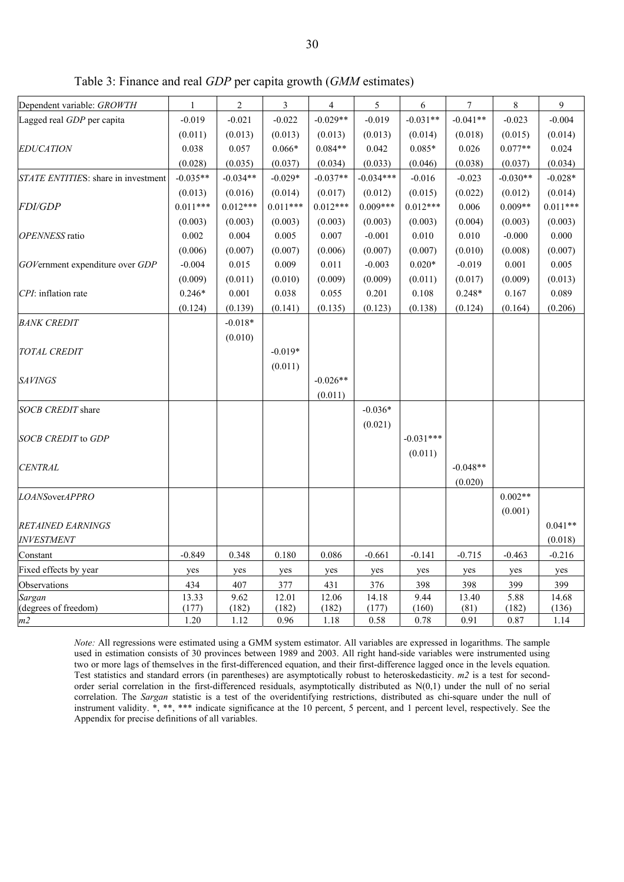| Dependent variable: GROWTH          | $\mathbf{1}$ | $\overline{2}$ | 3          | $\overline{4}$ | 5           | $\sqrt{6}$  | $\tau$     | $8\,$      | 9          |
|-------------------------------------|--------------|----------------|------------|----------------|-------------|-------------|------------|------------|------------|
| Lagged real GDP per capita          | $-0.019$     | $-0.021$       | $-0.022$   | $-0.029**$     | $-0.019$    | $-0.031**$  | $-0.041**$ | $-0.023$   | $-0.004$   |
|                                     | (0.011)      | (0.013)        | (0.013)    | (0.013)        | (0.013)     | (0.014)     | (0.018)    | (0.015)    | (0.014)    |
| <b>EDUCATION</b>                    | 0.038        | 0.057          | $0.066*$   | $0.084**$      | 0.042       | $0.085*$    | 0.026      | $0.077**$  | 0.024      |
|                                     | (0.028)      | (0.035)        | (0.037)    | (0.034)        | (0.033)     | (0.046)     | (0.038)    | (0.037)    | (0.034)    |
| STATE ENTITIES: share in investment | $-0.035**$   | $-0.034**$     | $-0.029*$  | $-0.037**$     | $-0.034***$ | $-0.016$    | $-0.023$   | $-0.030**$ | $-0.028*$  |
|                                     | (0.013)      | (0.016)        | (0.014)    | (0.017)        | (0.012)     | (0.015)     | (0.022)    | (0.012)    | (0.014)    |
| <b>FDI/GDP</b>                      | $0.011***$   | $0.012***$     | $0.011***$ | $0.012***$     | $0.009***$  | $0.012***$  | 0.006      | $0.009**$  | $0.011***$ |
|                                     | (0.003)      | (0.003)        | (0.003)    | (0.003)        | (0.003)     | (0.003)     | (0.004)    | (0.003)    | (0.003)    |
| OPENNESS ratio                      | 0.002        | 0.004          | 0.005      | 0.007          | $-0.001$    | 0.010       | 0.010      | $-0.000$   | 0.000      |
|                                     | (0.006)      | (0.007)        | (0.007)    | (0.006)        | (0.007)     | (0.007)     | (0.010)    | (0.008)    | (0.007)    |
| GOVernment expenditure over GDP     | $-0.004$     | 0.015          | 0.009      | 0.011          | $-0.003$    | $0.020*$    | $-0.019$   | 0.001      | 0.005      |
|                                     | (0.009)      | (0.011)        | (0.010)    | (0.009)        | (0.009)     | (0.011)     | (0.017)    | (0.009)    | (0.013)    |
| CPI: inflation rate                 | $0.246*$     | 0.001          | 0.038      | 0.055          | 0.201       | 0.108       | $0.248*$   | 0.167      | 0.089      |
|                                     | (0.124)      | (0.139)        | (0.141)    | (0.135)        | (0.123)     | (0.138)     | (0.124)    | (0.164)    | (0.206)    |
| <b>BANK CREDIT</b>                  |              | $-0.018*$      |            |                |             |             |            |            |            |
|                                     |              | (0.010)        |            |                |             |             |            |            |            |
| TOTAL CREDIT                        |              |                | $-0.019*$  |                |             |             |            |            |            |
|                                     |              |                | (0.011)    |                |             |             |            |            |            |
| <i>SAVINGS</i>                      |              |                |            | $-0.026**$     |             |             |            |            |            |
|                                     |              |                |            | (0.011)        |             |             |            |            |            |
| SOCB CREDIT share                   |              |                |            |                | $-0.036*$   |             |            |            |            |
|                                     |              |                |            |                | (0.021)     |             |            |            |            |
| SOCB CREDIT to GDP                  |              |                |            |                |             | $-0.031***$ |            |            |            |
|                                     |              |                |            |                |             | (0.011)     |            |            |            |
| <b>CENTRAL</b>                      |              |                |            |                |             |             | $-0.048**$ |            |            |
|                                     |              |                |            |                |             |             | (0.020)    |            |            |
| LOANSoverAPPRO                      |              |                |            |                |             |             |            | $0.002**$  |            |
|                                     |              |                |            |                |             |             |            | (0.001)    |            |
| <b>RETAINED EARNINGS</b>            |              |                |            |                |             |             |            |            | $0.041**$  |
| <b>INVESTMENT</b>                   |              |                |            |                |             |             |            |            | (0.018)    |
| Constant                            | $-0.849$     | 0.348          | 0.180      | 0.086          | $-0.661$    | $-0.141$    | $-0.715$   | $-0.463$   | $-0.216$   |
| Fixed effects by year               | yes          | yes            | yes        | yes            | yes         | yes         | yes        | yes        | yes        |
| Observations                        | 434          | 407            | 377        | 431            | 376         | 398         | 398        | 399        | 399        |
| Sargan                              | 13.33        | 9.62           | 12.01      | 12.06          | 14.18       | 9.44        | 13.40      | 5.88       | 14.68      |
| (degrees of freedom)                | (177)        | (182)          | (182)      | (182)          | (177)       | (160)       | (81)       | (182)      | (136)      |
| m <sub>2</sub>                      | 1.20         | 1.12           | 0.96       | 1.18           | 0.58        | 0.78        | 0.91       | 0.87       | 1.14       |

Table 3: Finance and real *GDP* per capita growth (*GMM* estimates)

*Note:* All regressions were estimated using a GMM system estimator. All variables are expressed in logarithms. The sample used in estimation consists of 30 provinces between 1989 and 2003. All right hand-side variables were instrumented using two or more lags of themselves in the first-differenced equation, and their first-difference lagged once in the levels equation. Test statistics and standard errors (in parentheses) are asymptotically robust to heteroskedasticity. *m2* is a test for secondorder serial correlation in the first-differenced residuals, asymptotically distributed as N(0,1) under the null of no serial correlation. The *Sargan* statistic is a test of the overidentifying restrictions, distributed as chi-square under the null of instrument validity. \*, \*\*, \*\*\* indicate significance at the 10 percent, 5 percent, and 1 percent level, respectively. See the Appendix for precise definitions of all variables.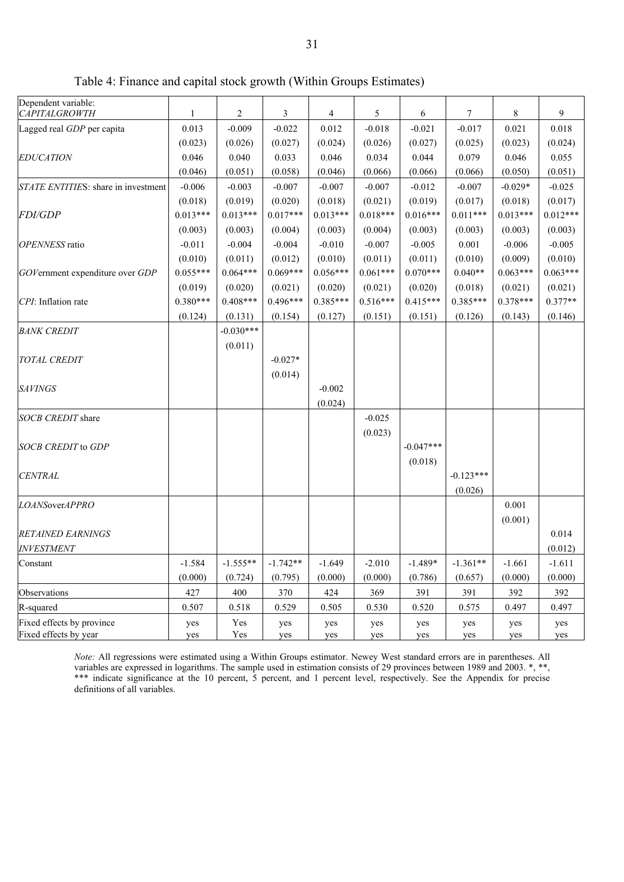| Dependent variable:<br><b>CAPITALGROWTH</b> | $\mathbf{1}$ | $\overline{c}$ | 3          | $\overline{\mathcal{L}}$ | 5          | 6           | 7           | 8          | 9          |
|---------------------------------------------|--------------|----------------|------------|--------------------------|------------|-------------|-------------|------------|------------|
| Lagged real GDP per capita                  | 0.013        | $-0.009$       | $-0.022$   | 0.012                    | $-0.018$   | $-0.021$    | $-0.017$    | 0.021      | 0.018      |
|                                             | (0.023)      | (0.026)        | (0.027)    | (0.024)                  | (0.026)    | (0.027)     | (0.025)     | (0.023)    | (0.024)    |
| <b>EDUCATION</b>                            | 0.046        | 0.040          | 0.033      | 0.046                    | 0.034      | 0.044       | 0.079       | 0.046      | 0.055      |
|                                             | (0.046)      | (0.051)        | (0.058)    | (0.046)                  | (0.066)    | (0.066)     | (0.066)     | (0.050)    | (0.051)    |
| STATE ENTITIES: share in investment         | $-0.006$     | $-0.003$       | $-0.007$   | $-0.007$                 | $-0.007$   | $-0.012$    | $-0.007$    | $-0.029*$  | $-0.025$   |
|                                             | (0.018)      | (0.019)        | (0.020)    | (0.018)                  | (0.021)    | (0.019)     | (0.017)     | (0.018)    | (0.017)    |
| <b>FDI/GDP</b>                              | $0.013***$   | $0.013***$     | $0.017***$ | $0.013***$               | $0.018***$ | $0.016***$  | $0.011***$  | $0.013***$ | $0.012***$ |
|                                             | (0.003)      | (0.003)        | (0.004)    | (0.003)                  | (0.004)    | (0.003)     | (0.003)     | (0.003)    | (0.003)    |
| OPENNESS ratio                              | $-0.011$     | $-0.004$       | $-0.004$   | $-0.010$                 | $-0.007$   | $-0.005$    | 0.001       | $-0.006$   | $-0.005$   |
|                                             | (0.010)      | (0.011)        | (0.012)    | (0.010)                  | (0.011)    | (0.011)     | (0.010)     | (0.009)    | (0.010)    |
| GOVernment expenditure over GDP             | $0.055***$   | $0.064***$     | $0.069***$ | $0.056***$               | $0.061***$ | $0.070***$  | $0.040**$   | $0.063***$ | $0.063***$ |
|                                             | (0.019)      | (0.020)        | (0.021)    | (0.020)                  | (0.021)    | (0.020)     | (0.018)     | (0.021)    | (0.021)    |
| CPI: Inflation rate                         | $0.380***$   | $0.408***$     | $0.496***$ | $0.385***$               | $0.516***$ | $0.415***$  | $0.385***$  | $0.378***$ | $0.377**$  |
|                                             | (0.124)      | (0.131)        | (0.154)    | (0.127)                  | (0.151)    | (0.151)     | (0.126)     | (0.143)    | (0.146)    |
| <b>BANK CREDIT</b>                          |              | $-0.030***$    |            |                          |            |             |             |            |            |
|                                             |              | (0.011)        |            |                          |            |             |             |            |            |
| <b>TOTAL CREDIT</b>                         |              |                | $-0.027*$  |                          |            |             |             |            |            |
|                                             |              |                | (0.014)    |                          |            |             |             |            |            |
| <b>SAVINGS</b>                              |              |                |            | $-0.002$                 |            |             |             |            |            |
|                                             |              |                |            | (0.024)                  |            |             |             |            |            |
| SOCB CREDIT share                           |              |                |            |                          | $-0.025$   |             |             |            |            |
|                                             |              |                |            |                          | (0.023)    |             |             |            |            |
| SOCB CREDIT to GDP                          |              |                |            |                          |            | $-0.047***$ |             |            |            |
|                                             |              |                |            |                          |            | (0.018)     |             |            |            |
| <b>CENTRAL</b>                              |              |                |            |                          |            |             | $-0.123***$ |            |            |
|                                             |              |                |            |                          |            |             | (0.026)     |            |            |
| LOANSoverAPPRO                              |              |                |            |                          |            |             |             | 0.001      |            |
|                                             |              |                |            |                          |            |             |             | (0.001)    |            |
| <b>RETAINED EARNINGS</b>                    |              |                |            |                          |            |             |             |            | 0.014      |
| <b>INVESTMENT</b>                           |              |                |            |                          |            |             |             |            | (0.012)    |
| Constant                                    | $-1.584$     | $-1.555**$     | $-1.742**$ | $-1.649$                 | $-2.010$   | $-1.489*$   | $-1.361**$  | $-1.661$   | $-1.611$   |
|                                             | (0.000)      | (0.724)        | (0.795)    | (0.000)                  | (0.000)    | (0.786)     | (0.657)     | (0.000)    | (0.000)    |
| Observations                                | 427          | 400            | 370        | 424                      | 369        | 391         | 391         | 392        | 392        |
| R-squared                                   | 0.507        | 0.518          | 0.529      | 0.505                    | 0.530      | 0.520       | 0.575       | 0.497      | 0.497      |
| Fixed effects by province                   | yes          | Yes            | yes        | yes                      | yes        | yes         | yes         | yes        | yes        |
| Fixed effects by year                       | yes          | Yes            | yes        | yes                      | yes        | yes         | yes         | yes        | yes        |

Table 4: Finance and capital stock growth (Within Groups Estimates)

*Note:* All regressions were estimated using a Within Groups estimator. Newey West standard errors are in parentheses. All variables are expressed in logarithms. The sample used in estimation consists of 29 provinces between 1989 and 2003.  $*, **$ , \*\*\* indicate significance at the 10 percent, 5 percent, and 1 percent level, respectively. See the Appendix for precise definitions of all variables.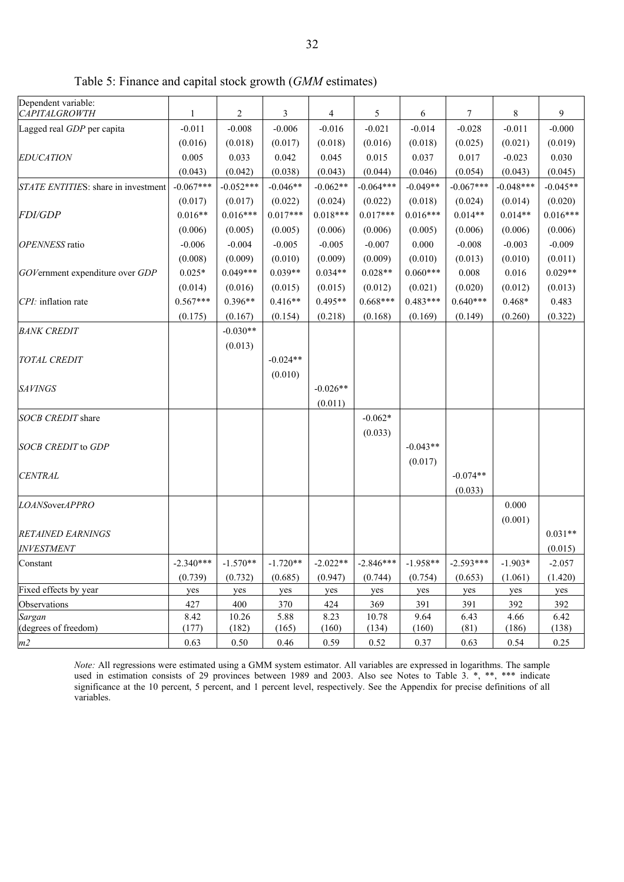| Dependent variable:<br><b>CAPITALGROWTH</b> | 1           | $\overline{c}$ | 3          | 4          | 5           | 6          | 7           | 8           | 9          |
|---------------------------------------------|-------------|----------------|------------|------------|-------------|------------|-------------|-------------|------------|
| Lagged real GDP per capita                  | $-0.011$    | $-0.008$       | $-0.006$   | $-0.016$   | $-0.021$    | $-0.014$   | $-0.028$    | $-0.011$    | $-0.000$   |
|                                             | (0.016)     | (0.018)        | (0.017)    | (0.018)    | (0.016)     | (0.018)    | (0.025)     | (0.021)     | (0.019)    |
| <b>EDUCATION</b>                            | 0.005       | 0.033          | 0.042      | 0.045      | 0.015       | 0.037      | 0.017       | $-0.023$    | 0.030      |
|                                             | (0.043)     | (0.042)        | (0.038)    | (0.043)    | (0.044)     | (0.046)    | (0.054)     | (0.043)     | (0.045)    |
| STATE ENTITIES: share in investment         | $-0.067***$ | $-0.052***$    | $-0.046**$ | $-0.062**$ | $-0.064***$ | $-0.049**$ | $-0.067***$ | $-0.048***$ | $-0.045**$ |
|                                             | (0.017)     | (0.017)        | (0.022)    | (0.024)    | (0.022)     | (0.018)    | (0.024)     | (0.014)     | (0.020)    |
| <b>FDI/GDP</b>                              | $0.016**$   | $0.016***$     | $0.017***$ | $0.018***$ | $0.017***$  | $0.016***$ | $0.014**$   | $0.014**$   | $0.016***$ |
|                                             | (0.006)     | (0.005)        | (0.005)    | (0.006)    | (0.006)     | (0.005)    | (0.006)     | (0.006)     | (0.006)    |
| OPENNESS ratio                              | $-0.006$    | $-0.004$       | $-0.005$   | $-0.005$   | $-0.007$    | 0.000      | $-0.008$    | $-0.003$    | $-0.009$   |
|                                             | (0.008)     | (0.009)        | (0.010)    | (0.009)    | (0.009)     | (0.010)    | (0.013)     | (0.010)     | (0.011)    |
| GOVernment expenditure over GDP             | $0.025*$    | $0.049***$     | $0.039**$  | $0.034**$  | $0.028**$   | $0.060***$ | 0.008       | 0.016       | $0.029**$  |
|                                             | (0.014)     | (0.016)        | (0.015)    | (0.015)    | (0.012)     | (0.021)    | (0.020)     | (0.012)     | (0.013)    |
| CPI: inflation rate                         | $0.567***$  | $0.396**$      | $0.416**$  | $0.495**$  | $0.668***$  | $0.483***$ | $0.640***$  | $0.468*$    | 0.483      |
|                                             | (0.175)     | (0.167)        | (0.154)    | (0.218)    | (0.168)     | (0.169)    | (0.149)     | (0.260)     | (0.322)    |
| <b>BANK CREDIT</b>                          |             | $-0.030**$     |            |            |             |            |             |             |            |
|                                             |             | (0.013)        |            |            |             |            |             |             |            |
| <b>TOTAL CREDIT</b>                         |             |                | $-0.024**$ |            |             |            |             |             |            |
|                                             |             |                | (0.010)    |            |             |            |             |             |            |
| <b>SAVINGS</b>                              |             |                |            | $-0.026**$ |             |            |             |             |            |
|                                             |             |                |            | (0.011)    |             |            |             |             |            |
| SOCB CREDIT share                           |             |                |            |            | $-0.062*$   |            |             |             |            |
|                                             |             |                |            |            | (0.033)     |            |             |             |            |
| SOCB CREDIT to GDP                          |             |                |            |            |             | $-0.043**$ |             |             |            |
|                                             |             |                |            |            |             | (0.017)    |             |             |            |
| <b>CENTRAL</b>                              |             |                |            |            |             |            | $-0.074**$  |             |            |
|                                             |             |                |            |            |             |            | (0.033)     |             |            |
| LOANSoverAPPRO                              |             |                |            |            |             |            |             | 0.000       |            |
|                                             |             |                |            |            |             |            |             | (0.001)     |            |
| <b>RETAINED EARNINGS</b>                    |             |                |            |            |             |            |             |             | $0.031**$  |
| <b>INVESTMENT</b>                           |             |                |            |            |             |            |             |             | (0.015)    |
| Constant                                    | $-2.340***$ | $-1.570**$     | $-1.720**$ | $-2.022**$ | $-2.846***$ | $-1.958**$ | $-2.593***$ | $-1.903*$   | $-2.057$   |
|                                             | (0.739)     | (0.732)        | (0.685)    | (0.947)    | (0.744)     | (0.754)    | (0.653)     | (1.061)     | (1.420)    |
| Fixed effects by year                       | yes         | yes            | yes        | yes        | yes         | yes        | yes         | yes         | yes        |
| Observations                                | 427         | 400            | 370        | 424        | 369         | 391        | 391         | 392         | 392        |
| Sargan                                      | 8.42        | 10.26          | 5.88       | 8.23       | 10.78       | 9.64       | 6.43        | 4.66        | 6.42       |
| (degrees of freedom)                        | (177)       | (182)          | (165)      | (160)      | (134)       | (160)      | (81)        | (186)       | (138)      |
| m2                                          | 0.63        | 0.50           | 0.46       | 0.59       | 0.52        | 0.37       | 0.63        | 0.54        | 0.25       |

Table 5: Finance and capital stock growth (*GMM* estimates)

*Note:* All regressions were estimated using a GMM system estimator. All variables are expressed in logarithms. The sample used in estimation consists of 29 provinces between 1989 and 2003. Also see Notes to Table 3. \*, \*\*, \*\*\* indicate significance at the 10 percent, 5 percent, and 1 percent level, respectively. See the Appendix for precise definitions of all variables.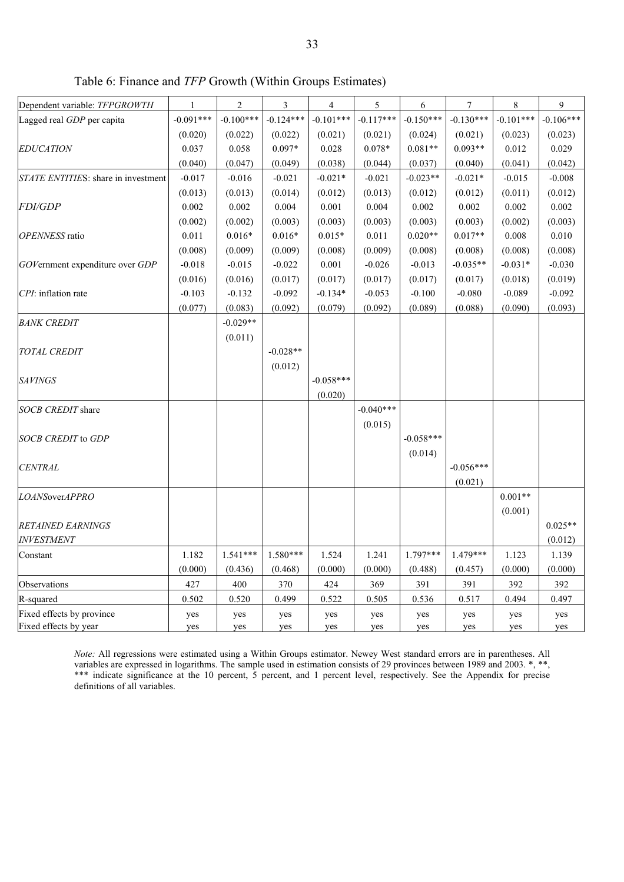Table 6: Finance and *TFP* Growth (Within Groups Estimates)

| Dependent variable: TFPGROWTH       | $\mathbf{1}$ | $\overline{c}$ | 3           | $\overline{4}$ | 5           | 6           | $\tau$      | $\,8\,$     | 9           |
|-------------------------------------|--------------|----------------|-------------|----------------|-------------|-------------|-------------|-------------|-------------|
| Lagged real GDP per capita          | $-0.091***$  | $-0.100***$    | $-0.124***$ | $-0.101***$    | $-0.117***$ | $-0.150***$ | $-0.130***$ | $-0.101***$ | $-0.106***$ |
|                                     | (0.020)      | (0.022)        | (0.022)     | (0.021)        | (0.021)     | (0.024)     | (0.021)     | (0.023)     | (0.023)     |
| <b>EDUCATION</b>                    | 0.037        | 0.058          | $0.097*$    | 0.028          | $0.078*$    | $0.081**$   | $0.093**$   | 0.012       | 0.029       |
|                                     | (0.040)      | (0.047)        | (0.049)     | (0.038)        | (0.044)     | (0.037)     | (0.040)     | (0.041)     | (0.042)     |
| STATE ENTITIES: share in investment | $-0.017$     | $-0.016$       | $-0.021$    | $-0.021*$      | $-0.021$    | $-0.023**$  | $-0.021*$   | $-0.015$    | $-0.008$    |
|                                     | (0.013)      | (0.013)        | (0.014)     | (0.012)        | (0.013)     | (0.012)     | (0.012)     | (0.011)     | (0.012)     |
| <b>FDI/GDP</b>                      | 0.002        | 0.002          | 0.004       | 0.001          | 0.004       | 0.002       | 0.002       | 0.002       | 0.002       |
|                                     | (0.002)      | (0.002)        | (0.003)     | (0.003)        | (0.003)     | (0.003)     | (0.003)     | (0.002)     | (0.003)     |
| <i>OPENNESS</i> ratio               | 0.011        | $0.016*$       | $0.016*$    | $0.015*$       | 0.011       | $0.020**$   | $0.017**$   | 0.008       | 0.010       |
|                                     | (0.008)      | (0.009)        | (0.009)     | (0.008)        | (0.009)     | (0.008)     | (0.008)     | (0.008)     | (0.008)     |
| GOVernment expenditure over GDP     | $-0.018$     | $-0.015$       | $-0.022$    | 0.001          | $-0.026$    | $-0.013$    | $-0.035**$  | $-0.031*$   | $-0.030$    |
|                                     | (0.016)      | (0.016)        | (0.017)     | (0.017)        | (0.017)     | (0.017)     | (0.017)     | (0.018)     | (0.019)     |
| CPI: inflation rate                 | $-0.103$     | $-0.132$       | $-0.092$    | $-0.134*$      | $-0.053$    | $-0.100$    | $-0.080$    | $-0.089$    | $-0.092$    |
|                                     | (0.077)      | (0.083)        | (0.092)     | (0.079)        | (0.092)     | (0.089)     | (0.088)     | (0.090)     | (0.093)     |
| <b>BANK CREDIT</b>                  |              | $-0.029**$     |             |                |             |             |             |             |             |
|                                     |              | (0.011)        |             |                |             |             |             |             |             |
| TOTAL CREDIT                        |              |                | $-0.028**$  |                |             |             |             |             |             |
|                                     |              |                | (0.012)     |                |             |             |             |             |             |
| <b>SAVINGS</b>                      |              |                |             | $-0.058***$    |             |             |             |             |             |
|                                     |              |                |             | (0.020)        |             |             |             |             |             |
| SOCB CREDIT share                   |              |                |             |                | $-0.040***$ |             |             |             |             |
|                                     |              |                |             |                | (0.015)     |             |             |             |             |
| SOCB CREDIT to GDP                  |              |                |             |                |             | $-0.058***$ |             |             |             |
|                                     |              |                |             |                |             | (0.014)     |             |             |             |
| <b>CENTRAL</b>                      |              |                |             |                |             |             | $-0.056***$ |             |             |
|                                     |              |                |             |                |             |             | (0.021)     |             |             |
| LOANSoverAPPRO                      |              |                |             |                |             |             |             | $0.001**$   |             |
|                                     |              |                |             |                |             |             |             | (0.001)     |             |
| <b>RETAINED EARNINGS</b>            |              |                |             |                |             |             |             |             | $0.025**$   |
| <b>INVESTMENT</b>                   |              |                |             |                |             |             |             |             | (0.012)     |
| Constant                            | 1.182        | $1.541***$     | $1.580***$  | 1.524          | 1.241       | $1.797***$  | 1.479***    | 1.123       | 1.139       |
|                                     | (0.000)      | (0.436)        | (0.468)     | (0.000)        | (0.000)     | (0.488)     | (0.457)     | (0.000)     | (0.000)     |
| Observations                        | 427          | 400            | 370         | 424            | 369         | 391         | 391         | 392         | 392         |
| R-squared                           | 0.502        | 0.520          | 0.499       | 0.522          | 0.505       | 0.536       | 0.517       | 0.494       | 0.497       |
| Fixed effects by province           | yes          | yes            | yes         | yes            | yes         | yes         | yes         | yes         | yes         |
| Fixed effects by year               | yes          | yes            | yes         | yes            | yes         | yes         | yes         | yes         | yes         |
|                                     |              |                |             |                |             |             |             |             |             |

*Note:* All regressions were estimated using a Within Groups estimator. Newey West standard errors are in parentheses. All variables are expressed in logarithms. The sample used in estimation consists of 29 provinces between 1989 and 2003. \*, \*\*, \*\*\* indicate significance at the 10 percent, 5 percent, and 1 percent level, respectively. See the Appendix for precise definitions of all variables.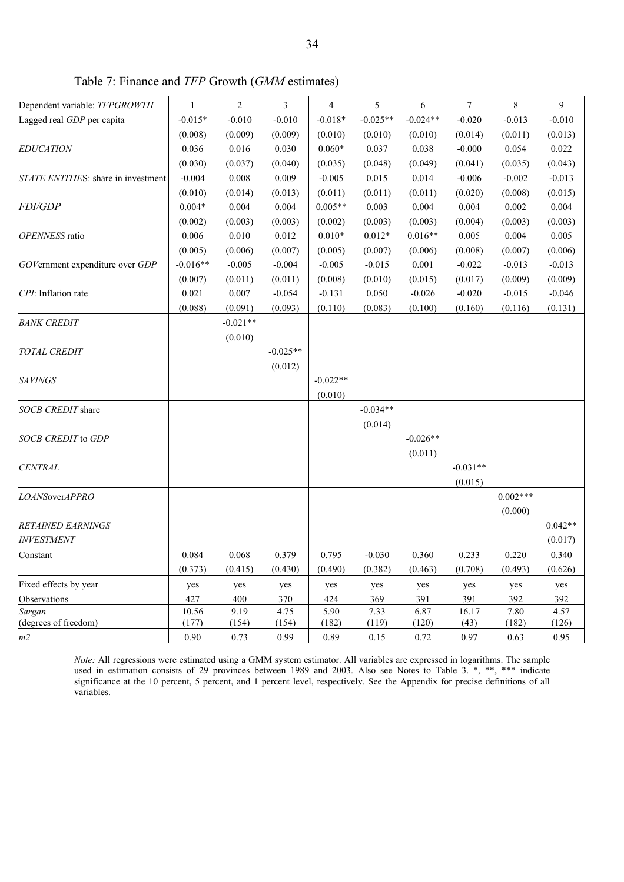| Dependent variable: TFPGROWTH       | $\mathbf{1}$ | $\overline{2}$ | 3          | $\overline{\mathcal{L}}$ | 5          | 6          | $\tau$     | $8\,$      | 9         |
|-------------------------------------|--------------|----------------|------------|--------------------------|------------|------------|------------|------------|-----------|
| Lagged real GDP per capita          | $-0.015*$    | $-0.010$       | $-0.010$   | $-0.018*$                | $-0.025**$ | $-0.024**$ | $-0.020$   | $-0.013$   | $-0.010$  |
|                                     | (0.008)      | (0.009)        | (0.009)    | (0.010)                  | (0.010)    | (0.010)    | (0.014)    | (0.011)    | (0.013)   |
| <b>EDUCATION</b>                    | 0.036        | 0.016          | 0.030      | $0.060*$                 | 0.037      | 0.038      | $-0.000$   | 0.054      | 0.022     |
|                                     | (0.030)      | (0.037)        | (0.040)    | (0.035)                  | (0.048)    | (0.049)    | (0.041)    | (0.035)    | (0.043)   |
| STATE ENTITIES: share in investment | $-0.004$     | 0.008          | 0.009      | $-0.005$                 | 0.015      | 0.014      | $-0.006$   | $-0.002$   | $-0.013$  |
|                                     | (0.010)      | (0.014)        | (0.013)    | (0.011)                  | (0.011)    | (0.011)    | (0.020)    | (0.008)    | (0.015)   |
| <b>FDI/GDP</b>                      | $0.004*$     | 0.004          | 0.004      | $0.005**$                | 0.003      | 0.004      | 0.004      | 0.002      | 0.004     |
|                                     | (0.002)      | (0.003)        | (0.003)    | (0.002)                  | (0.003)    | (0.003)    | (0.004)    | (0.003)    | (0.003)   |
| OPENNESS ratio                      | 0.006        | 0.010          | 0.012      | $0.010*$                 | $0.012*$   | $0.016**$  | 0.005      | 0.004      | 0.005     |
|                                     | (0.005)      | (0.006)        | (0.007)    | (0.005)                  | (0.007)    | (0.006)    | (0.008)    | (0.007)    | (0.006)   |
| GOVernment expenditure over GDP     | $-0.016**$   | $-0.005$       | $-0.004$   | $-0.005$                 | $-0.015$   | 0.001      | $-0.022$   | $-0.013$   | $-0.013$  |
|                                     | (0.007)      | (0.011)        | (0.011)    | (0.008)                  | (0.010)    | (0.015)    | (0.017)    | (0.009)    | (0.009)   |
| CPI: Inflation rate                 | 0.021        | 0.007          | $-0.054$   | $-0.131$                 | 0.050      | $-0.026$   | $-0.020$   | $-0.015$   | $-0.046$  |
|                                     | (0.088)      | (0.091)        | (0.093)    | (0.110)                  | (0.083)    | (0.100)    | (0.160)    | (0.116)    | (0.131)   |
| <b>BANK CREDIT</b>                  |              | $-0.021**$     |            |                          |            |            |            |            |           |
|                                     |              | (0.010)        |            |                          |            |            |            |            |           |
| <b>TOTAL CREDIT</b>                 |              |                | $-0.025**$ |                          |            |            |            |            |           |
|                                     |              |                | (0.012)    |                          |            |            |            |            |           |
| <b>SAVINGS</b>                      |              |                |            | $-0.022**$               |            |            |            |            |           |
|                                     |              |                |            | (0.010)                  |            |            |            |            |           |
| SOCB CREDIT share                   |              |                |            |                          | $-0.034**$ |            |            |            |           |
|                                     |              |                |            |                          | (0.014)    |            |            |            |           |
| SOCB CREDIT to GDP                  |              |                |            |                          |            | $-0.026**$ |            |            |           |
|                                     |              |                |            |                          |            | (0.011)    |            |            |           |
| <b>CENTRAL</b>                      |              |                |            |                          |            |            | $-0.031**$ |            |           |
|                                     |              |                |            |                          |            |            | (0.015)    |            |           |
| LOANSoverAPPRO                      |              |                |            |                          |            |            |            | $0.002***$ |           |
|                                     |              |                |            |                          |            |            |            | (0.000)    |           |
| <b>RETAINED EARNINGS</b>            |              |                |            |                          |            |            |            |            | $0.042**$ |
| <b>INVESTMENT</b>                   |              |                |            |                          |            |            |            |            | (0.017)   |
| Constant                            | 0.084        | 0.068          | 0.379      | 0.795                    | $-0.030$   | 0.360      | 0.233      | 0.220      | 0.340     |
|                                     | (0.373)      | (0.415)        | (0.430)    | (0.490)                  | (0.382)    | (0.463)    | (0.708)    | (0.493)    | (0.626)   |
| Fixed effects by year               | yes          | yes            | yes        | yes                      | yes        | yes        | yes        | yes        | yes       |
| Observations                        | 427          | 400            | 370        | 424                      | 369        | 391        | 391        | 392        | 392       |
| Sargan                              | 10.56        | 9.19           | 4.75       | 5.90                     | 7.33       | 6.87       | 16.17      | 7.80       | 4.57      |
| (degrees of freedom)                | (177)        | (154)          | (154)      | (182)                    | (119)      | (120)      | (43)       | (182)      | (126)     |
| m <sub>2</sub>                      | 0.90         | 0.73           | 0.99       | 0.89                     | 0.15       | 0.72       | 0.97       | 0.63       | 0.95      |

Table 7: Finance and *TFP* Growth (*GMM* estimates)

*Note:* All regressions were estimated using a GMM system estimator. All variables are expressed in logarithms. The sample used in estimation consists of 29 provinces between 1989 and 2003. Also see Notes to Table 3. \*, \*\*, \*\*\* indicate significance at the 10 percent, 5 percent, and 1 percent level, respectively. See the Appendix for precise definitions of all variables.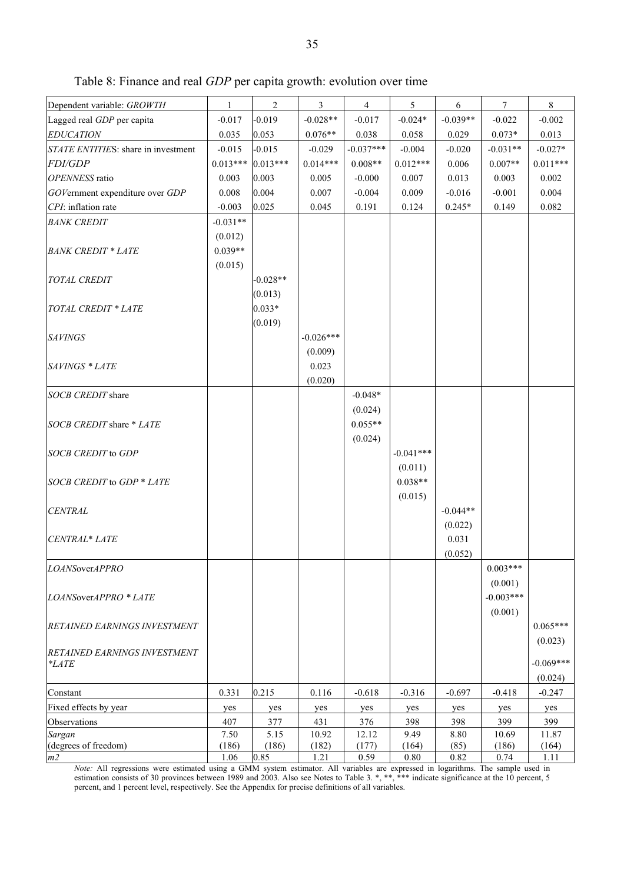| Dependent variable: GROWTH          | 1             | $\overline{c}$ | 3              | 4              | 5             | 6            | 7              | $\,8\,$        |
|-------------------------------------|---------------|----------------|----------------|----------------|---------------|--------------|----------------|----------------|
| Lagged real GDP per capita          | $-0.017$      | $-0.019$       | $-0.028**$     | $-0.017$       | $-0.024*$     | $-0.039**$   | $-0.022$       | $-0.002$       |
| <b>EDUCATION</b>                    | 0.035         | 0.053          | $0.076**$      | 0.038          | 0.058         | 0.029        | $0.073*$       | 0.013          |
| STATE ENTITIES: share in investment | $-0.015$      | $-0.015$       | $-0.029$       | $-0.037***$    | $-0.004$      | $-0.020$     | $-0.031**$     | $-0.027*$      |
| <b>FDI/GDP</b>                      | $0.013***$    | $0.013***$     | $0.014***$     | $0.008**$      | $0.012***$    | 0.006        | $0.007**$      | $0.011***$     |
| OPENNESS ratio                      | 0.003         | 0.003          | 0.005          | $-0.000$       | 0.007         | 0.013        | 0.003          | 0.002          |
| GOVernment expenditure over GDP     | 0.008         | 0.004          | 0.007          | $-0.004$       | 0.009         | $-0.016$     | $-0.001$       | 0.004          |
| CPI: inflation rate                 | $-0.003$      | 0.025          | 0.045          | 0.191          | 0.124         | $0.245*$     | 0.149          | 0.082          |
| <b>BANK CREDIT</b>                  | $-0.031**$    |                |                |                |               |              |                |                |
|                                     | (0.012)       |                |                |                |               |              |                |                |
| <b>BANK CREDIT * LATE</b>           | $0.039**$     |                |                |                |               |              |                |                |
|                                     | (0.015)       |                |                |                |               |              |                |                |
| TOTAL CREDIT                        |               | $-0.028**$     |                |                |               |              |                |                |
|                                     |               | (0.013)        |                |                |               |              |                |                |
| TOTAL CREDIT * LATE                 |               | $0.033*$       |                |                |               |              |                |                |
|                                     |               | (0.019)        |                |                |               |              |                |                |
| <b>SAVINGS</b>                      |               |                | $-0.026***$    |                |               |              |                |                |
|                                     |               |                | (0.009)        |                |               |              |                |                |
| SAVINGS * LATE                      |               |                | 0.023          |                |               |              |                |                |
|                                     |               |                | (0.020)        |                |               |              |                |                |
| SOCB CREDIT share                   |               |                |                | $-0.048*$      |               |              |                |                |
|                                     |               |                |                | (0.024)        |               |              |                |                |
| SOCB CREDIT share * LATE            |               |                |                | $0.055**$      |               |              |                |                |
|                                     |               |                |                | (0.024)        |               |              |                |                |
| SOCB CREDIT to GDP                  |               |                |                |                | $-0.041***$   |              |                |                |
|                                     |               |                |                |                | (0.011)       |              |                |                |
| SOCB CREDIT to GDP * LATE           |               |                |                |                | $0.038**$     |              |                |                |
|                                     |               |                |                |                | (0.015)       |              |                |                |
| <b>CENTRAL</b>                      |               |                |                |                |               | $-0.044**$   |                |                |
|                                     |               |                |                |                |               | (0.022)      |                |                |
| CENTRAL* LATE                       |               |                |                |                |               | 0.031        |                |                |
|                                     |               |                |                |                |               | (0.052)      |                |                |
| LOANSoverAPPRO                      |               |                |                |                |               |              | $0.003***$     |                |
|                                     |               |                |                |                |               |              | (0.001)        |                |
| LOANSoverAPPRO * LATE               |               |                |                |                |               |              | $-0.003***$    |                |
|                                     |               |                |                |                |               |              | (0.001)        |                |
| RETAINED EARNINGS INVESTMENT        |               |                |                |                |               |              |                | $0.065***$     |
|                                     |               |                |                |                |               |              |                | (0.023)        |
| RETAINED EARNINGS INVESTMENT        |               |                |                |                |               |              |                |                |
| $*LATE$                             |               |                |                |                |               |              |                | $-0.069***$    |
|                                     |               |                |                |                |               |              |                | (0.024)        |
| Constant                            | 0.331         | 0.215          | 0.116          | $-0.618$       | $-0.316$      | $-0.697$     | $-0.418$       | $-0.247$       |
| Fixed effects by year               | yes           | yes            | yes            | yes            | yes           | yes          | yes            | yes            |
| Observations                        | 407           | 377            | 431            | 376            | 398           | 398          | 399            | 399            |
| Sargan<br>(degrees of freedom)      | 7.50<br>(186) | 5.15<br>(186)  | 10.92<br>(182) | 12.12<br>(177) | 9.49<br>(164) | 8.80<br>(85) | 10.69<br>(186) | 11.87<br>(164) |
| m <sub>2</sub>                      | 1.06          | 0.85           | 1.21           | 0.59           | 0.80          | 0.82         | 0.74           | 1.11           |

Table 8: Finance and real *GDP* per capita growth: evolution over time

*Note:* All regressions were estimated using a GMM system estimator. All variables are expressed in logarithms. The sample used in estimation consists of 30 provinces between 1989 and 2003. Also see Notes to Table 3. \*, \*\*, \*\*\* indicate significance at the 10 percent, 5 percent, and 1 percent level, respectively. See the Appendix for precise definitions of all variables.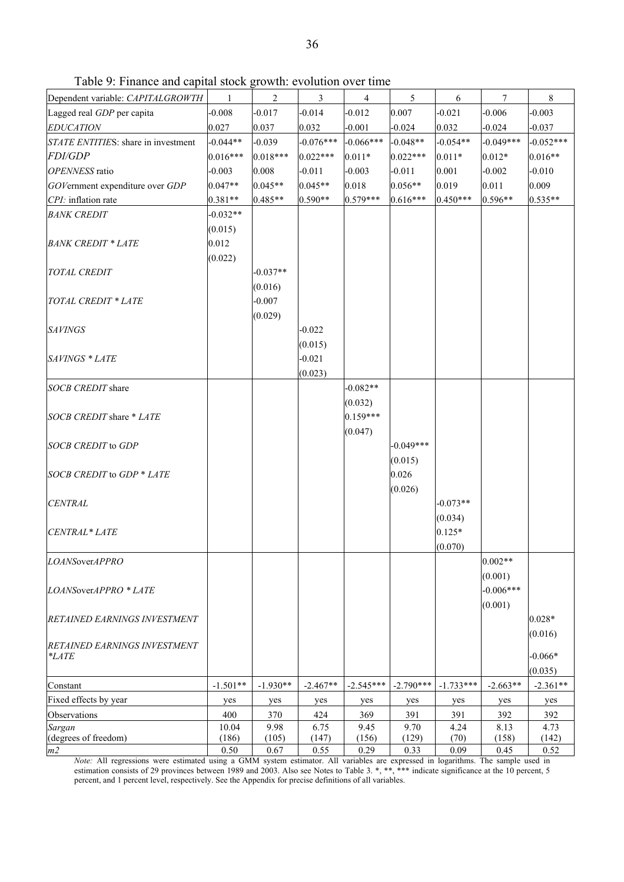Table 9: Finance and capital stock growth: evolution over time

| Dependent variable: CAPITALGROWTH              | 1          | $\boldsymbol{2}$ | 3           | 4           | 5           | 6           | 7           | 8           |
|------------------------------------------------|------------|------------------|-------------|-------------|-------------|-------------|-------------|-------------|
| Lagged real GDP per capita                     | $-0.008$   | $-0.017$         | $-0.014$    | $-0.012$    | 0.007       | $-0.021$    | $-0.006$    | $-0.003$    |
| <b>EDUCATION</b>                               | 0.027      | 0.037            | 0.032       | $-0.001$    | $-0.024$    | 0.032       | $-0.024$    | $-0.037$    |
| STATE ENTITIES: share in investment            | $-0.044**$ | $-0.039$         | $-0.076***$ | $-0.066***$ | $-0.048**$  | $-0.054**$  | $-0.049***$ | $-0.052***$ |
| <b>FDI/GDP</b>                                 | $0.016***$ | $0.018***$       | $0.022***$  | $0.011*$    | $0.022***$  | $0.011*$    | $0.012*$    | $0.016**$   |
| OPENNESS ratio                                 | $-0.003$   | 0.008            | $-0.011$    | $-0.003$    | $-0.011$    | 0.001       | $-0.002$    | $-0.010$    |
| GOVernment expenditure over GDP                | $0.047**$  | $0.045**$        | $0.045**$   | 0.018       | $0.056**$   | 0.019       | 0.011       | 0.009       |
| CPI: inflation rate                            | 0.381**    | 0.485**          | 0.590**     | 0.579***    | $0.616***$  | $0.450***$  | 0.596**     | $0.535**$   |
| <b>BANK CREDIT</b>                             | $-0.032**$ |                  |             |             |             |             |             |             |
|                                                | (0.015)    |                  |             |             |             |             |             |             |
| <b>BANK CREDIT * LATE</b>                      | 0.012      |                  |             |             |             |             |             |             |
|                                                | (0.022)    |                  |             |             |             |             |             |             |
| <b>TOTAL CREDIT</b>                            |            | $-0.037**$       |             |             |             |             |             |             |
|                                                |            | (0.016)          |             |             |             |             |             |             |
| TOTAL CREDIT * LATE                            |            | $-0.007$         |             |             |             |             |             |             |
|                                                |            | (0.029)          |             |             |             |             |             |             |
| <b>SAVINGS</b>                                 |            |                  | $-0.022$    |             |             |             |             |             |
|                                                |            |                  | (0.015)     |             |             |             |             |             |
| SAVINGS * LATE                                 |            |                  | $-0.021$    |             |             |             |             |             |
|                                                |            |                  | (0.023)     |             |             |             |             |             |
| SOCB CREDIT share                              |            |                  |             | $-0.082**$  |             |             |             |             |
|                                                |            |                  |             | (0.032)     |             |             |             |             |
| SOCB CREDIT share * LATE                       |            |                  |             | $0.159***$  |             |             |             |             |
|                                                |            |                  |             | (0.047)     |             |             |             |             |
| SOCB CREDIT to GDP                             |            |                  |             |             | $-0.049***$ |             |             |             |
|                                                |            |                  |             |             | (0.015)     |             |             |             |
| SOCB CREDIT to GDP * LATE                      |            |                  |             |             | 0.026       |             |             |             |
|                                                |            |                  |             |             | (0.026)     |             |             |             |
| <b>CENTRAL</b>                                 |            |                  |             |             |             | $-0.073**$  |             |             |
|                                                |            |                  |             |             |             | (0.034)     |             |             |
| CENTRAL <sup>*</sup> LATE                      |            |                  |             |             |             | $0.125*$    |             |             |
|                                                |            |                  |             |             |             | (0.070)     |             |             |
| LOANSoverAPPRO                                 |            |                  |             |             |             |             | $0.002**$   |             |
|                                                |            |                  |             |             |             |             | (0.001)     |             |
| LOANSoverAPPRO * LATE                          |            |                  |             |             |             |             | $-0.006***$ |             |
|                                                |            |                  |             |             |             |             | (0.001)     |             |
| RETAINED EARNINGS INVESTMENT                   |            |                  |             |             |             |             |             | $0.028*$    |
|                                                |            |                  |             |             |             |             |             | (0.016)     |
| <b>RETAINED EARNINGS INVESTMENT</b><br>$*LATE$ |            |                  |             |             |             |             |             | $-0.066*$   |
|                                                |            |                  |             |             |             |             |             | (0.035)     |
| Constant                                       | $-1.501**$ | $-1.930**$       | $-2.467**$  | $-2.545***$ | $-2.790***$ | $-1.733***$ | $-2.663**$  | $-2.361**$  |
| Fixed effects by year                          | yes        | yes              | yes         | yes         | yes         | yes         | yes         | yes         |
| Observations                                   | 400        | 370              | 424         | 369         | 391         | 391         | 392         | 392         |
| Sargan                                         | 10.04      | 9.98             | 6.75        | 9.45        | 9.70        | 4.24        | 8.13        | 4.73        |
| (degrees of freedom)                           | (186)      | (105)            | (147)       | (156)       | (129)       | (70)        | (158)       | (142)       |
| m2                                             | 0.50       | 0.67             | 0.55        | 0.29        | 0.33        | 0.09        | 0.45        | 0.52        |

*Note:* All regressions were estimated using a GMM system estimator. All variables are expressed in logarithms. The sample used in estimation consists of 29 provinces between 1989 and 2003. Also see Notes to Table 3. \*, \*\*, \*\*\* indicate significance at the 10 percent, 5 percent, and 1 percent level, respectively. See the Appendix for precise definitions of all variables.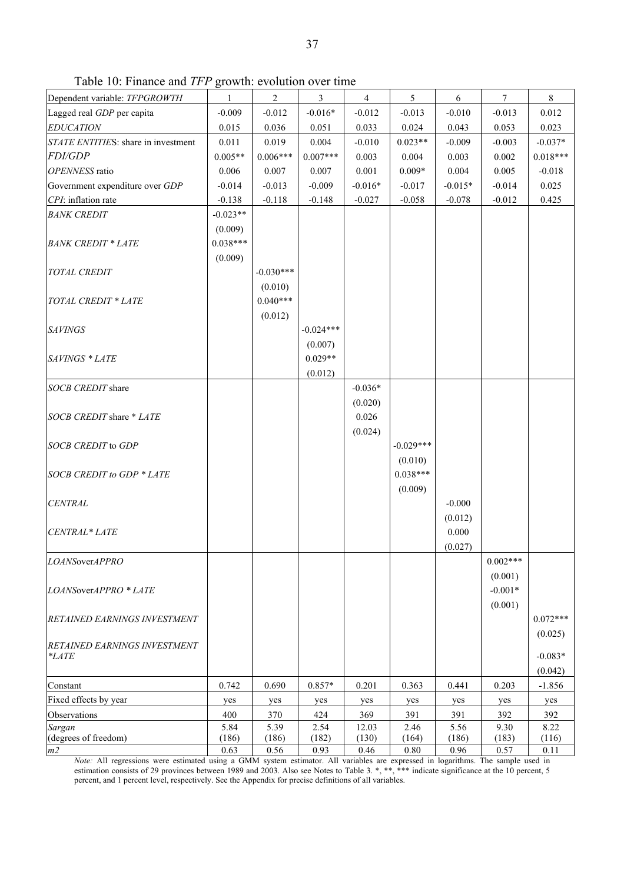Table 10: Finance and *TFP* growth: evolution over time

| Table TO: Finance and <i>IFP</i> growth: evolution over time |            |                |                |                |             |            |                |            |
|--------------------------------------------------------------|------------|----------------|----------------|----------------|-------------|------------|----------------|------------|
| Dependent variable: TFPGROWTH                                | 1          | $\overline{2}$ | $\overline{3}$ | $\overline{4}$ | 5           | $\sqrt{6}$ | $\overline{7}$ | $8\,$      |
| Lagged real GDP per capita                                   | $-0.009$   | $-0.012$       | $-0.016*$      | $-0.012$       | $-0.013$    | $-0.010$   | $-0.013$       | 0.012      |
| <b>EDUCATION</b>                                             | 0.015      | 0.036          | 0.051          | 0.033          | 0.024       | 0.043      | 0.053          | 0.023      |
| STATE ENTITIES: share in investment                          | 0.011      | 0.019          | 0.004          | $-0.010$       | $0.023**$   | $-0.009$   | $-0.003$       | $-0.037*$  |
| <b>FDI/GDP</b>                                               | $0.005**$  | $0.006***$     | $0.007***$     | 0.003          | 0.004       | 0.003      | 0.002          | $0.018***$ |
| OPENNESS ratio                                               | 0.006      | 0.007          | 0.007          | 0.001          | $0.009*$    | 0.004      | 0.005          | $-0.018$   |
| Government expenditure over GDP                              | $-0.014$   | $-0.013$       | $-0.009$       | $-0.016*$      | $-0.017$    | $-0.015*$  | $-0.014$       | 0.025      |
| CPI: inflation rate                                          | $-0.138$   | $-0.118$       | $-0.148$       | $-0.027$       | $-0.058$    | $-0.078$   | $-0.012$       | 0.425      |
| <b>BANK CREDIT</b>                                           | $-0.023**$ |                |                |                |             |            |                |            |
|                                                              | (0.009)    |                |                |                |             |            |                |            |
| <b>BANK CREDIT * LATE</b>                                    | $0.038***$ |                |                |                |             |            |                |            |
|                                                              | (0.009)    |                |                |                |             |            |                |            |
| TOTAL CREDIT                                                 |            | $-0.030***$    |                |                |             |            |                |            |
|                                                              |            | (0.010)        |                |                |             |            |                |            |
| TOTAL CREDIT * LATE                                          |            | $0.040***$     |                |                |             |            |                |            |
|                                                              |            | (0.012)        |                |                |             |            |                |            |
| <b>SAVINGS</b>                                               |            |                | $-0.024***$    |                |             |            |                |            |
|                                                              |            |                | (0.007)        |                |             |            |                |            |
| SAVINGS * LATE                                               |            |                | $0.029**$      |                |             |            |                |            |
|                                                              |            |                | (0.012)        |                |             |            |                |            |
| SOCB CREDIT share                                            |            |                |                | $-0.036*$      |             |            |                |            |
|                                                              |            |                |                | (0.020)        |             |            |                |            |
| SOCB CREDIT share * LATE                                     |            |                |                | 0.026          |             |            |                |            |
|                                                              |            |                |                | (0.024)        |             |            |                |            |
| SOCB CREDIT to GDP                                           |            |                |                |                | $-0.029***$ |            |                |            |
|                                                              |            |                |                |                | (0.010)     |            |                |            |
| SOCB CREDIT to GDP * LATE                                    |            |                |                |                | $0.038***$  |            |                |            |
|                                                              |            |                |                |                | (0.009)     |            |                |            |
| <b>CENTRAL</b>                                               |            |                |                |                |             | $-0.000$   |                |            |
|                                                              |            |                |                |                |             | (0.012)    |                |            |
| CENTRAL* LATE                                                |            |                |                |                |             | 0.000      |                |            |
|                                                              |            |                |                |                |             | (0.027)    |                |            |
| LOANSoverAPPRO                                               |            |                |                |                |             |            | $0.002***$     |            |
|                                                              |            |                |                |                |             |            | (0.001)        |            |
| LOANSoverAPPRO * LATE                                        |            |                |                |                |             |            | $-0.001*$      |            |
|                                                              |            |                |                |                |             |            | (0.001)        |            |
| RETAINED EARNINGS INVESTMENT                                 |            |                |                |                |             |            |                | $0.072***$ |
| RETAINED EARNINGS INVESTMENT                                 |            |                |                |                |             |            |                | (0.025)    |
| $*LATE$                                                      |            |                |                |                |             |            |                | $-0.083*$  |
|                                                              |            |                |                |                |             |            |                | (0.042)    |
| Constant                                                     | 0.742      | 0.690          | 0.857*         | 0.201          | 0.363       | 0.441      | 0.203          | $-1.856$   |
| Fixed effects by year                                        | yes        | yes            | yes            | yes            | yes         | yes        | yes            | yes        |
| Observations                                                 | 400        | 370            | 424            | 369            | 391         | 391        | 392            | 392        |
| Sargan                                                       | 5.84       | 5.39           | 2.54           | 12.03          | 2.46        | 5.56       | 9.30           | 8.22       |
| (degrees of freedom)                                         | (186)      | (186)          | (182)          | (130)          | (164)       | (186)      | (183)          | (116)      |
| m2                                                           | 0.63       | 0.56           | 0.93           | 0.46           | 0.80        | 0.96       | 0.57           | 0.11       |

*Note:* All regressions were estimated using a GMM system estimator. All variables are expressed in logarithms. The sample used in estimation consists of 29 provinces between 1989 and 2003. Also see Notes to Table 3. \*, \*\*, \*\*\* indicate significance at the 10 percent, 5 percent, and 1 percent level, respectively. See the Appendix for precise definitions of all variables.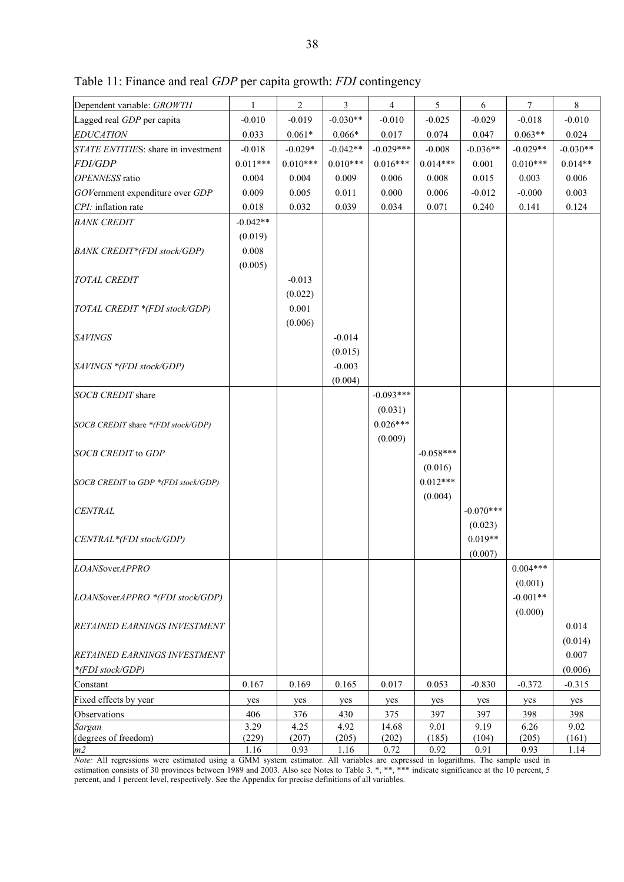| Lagged real GDP per capita<br>$-0.010$<br>$-0.030**$<br>$-0.010$<br>$-0.019$<br>$-0.010$<br>$-0.025$<br>$-0.029$<br>$-0.018$<br><b>EDUCATION</b><br>0.033<br>$0.061*$<br>$0.066*$<br>0.017<br>0.074<br>$0.063**$<br>0.024<br>0.047<br>$-0.018$<br>$-0.029*$<br>$-0.042**$<br>$-0.029***$<br>$-0.036**$<br>$-0.029**$<br>$-0.030**$<br>STATE ENTITIES: share in investment<br>$-0.008$<br><b>FDI/GDP</b><br>$0.010***$<br>$0.010***$<br>$0.010***$<br>$0.011***$<br>$0.016***$<br>$0.014***$<br>$0.014**$<br>0.001<br>OPENNESS ratio<br>0.004<br>0.004<br>0.009<br>0.006<br>0.015<br>0.003<br>0.006<br>0.008<br>GOVernment expenditure over GDP<br>0.009<br>0.005<br>0.011<br>0.000<br>0.006<br>$-0.012$<br>$-0.000$<br>0.003<br>CPI: inflation rate<br>0.018<br>0.032<br>0.039<br>0.034<br>0.071<br>0.240<br>0.124<br>0.141<br>$-0.042**$<br><b>BANK CREDIT</b><br>(0.019)<br>0.008<br><b>BANK CREDIT*(FDI stock/GDP)</b><br>(0.005)<br>TOTAL CREDIT<br>$-0.013$<br>(0.022)<br>0.001<br>TOTAL CREDIT *(FDI stock/GDP)<br>(0.006)<br><b>SAVINGS</b><br>$-0.014$<br>(0.015)<br>$-0.003$<br>SAVINGS *(FDI stock/GDP)<br>(0.004)<br>$-0.093***$<br>SOCB CREDIT share<br>(0.031)<br>$0.026***$<br>SOCB CREDIT share *(FDI stock/GDP)<br>(0.009)<br>$-0.058***$<br>SOCB CREDIT to GDP<br>(0.016)<br>$0.012***$<br>SOCB CREDIT to GDP *(FDI stock/GDP)<br>(0.004)<br>$-0.070***$<br><b>CENTRAL</b><br>(0.023)<br>$0.019**$<br>CENTRAL*(FDI stock/GDP)<br>(0.007)<br>LOANSoverAPPRO<br>$0.004***$<br>(0.001)<br>$-0.001**$<br>LOANSoverAPPRO *(FDI stock/GDP)<br>(0.000)<br>RETAINED EARNINGS INVESTMENT<br>0.014<br>(0.014)<br>0.007<br><b>RETAINED EARNINGS INVESTMENT</b><br>*(FDI stock/GDP)<br>(0.006)<br>0.167<br>0.169<br>0.017<br>$-0.315$<br>Constant<br>0.165<br>0.053<br>$-0.830$<br>$-0.372$<br>Fixed effects by year<br>yes<br>yes<br>yes<br>yes<br>yes<br>yes<br>yes<br>yes<br>Observations<br>406<br>398<br>376<br>430<br>375<br>397<br>397<br>398<br>Sargan<br>3.29<br>4.25<br>9.01<br>9.19<br>9.02<br>4.92<br>14.68<br>6.26<br>(degrees of freedom)<br>(229)<br>(207)<br>(205)<br>(202)<br>(205)<br>(161)<br>(185)<br>(104) | Dependent variable: GROWTH | 1    | $\overline{c}$ | 3    | 4    | 5    | 6    | 7    | $\,8\,$ |
|--------------------------------------------------------------------------------------------------------------------------------------------------------------------------------------------------------------------------------------------------------------------------------------------------------------------------------------------------------------------------------------------------------------------------------------------------------------------------------------------------------------------------------------------------------------------------------------------------------------------------------------------------------------------------------------------------------------------------------------------------------------------------------------------------------------------------------------------------------------------------------------------------------------------------------------------------------------------------------------------------------------------------------------------------------------------------------------------------------------------------------------------------------------------------------------------------------------------------------------------------------------------------------------------------------------------------------------------------------------------------------------------------------------------------------------------------------------------------------------------------------------------------------------------------------------------------------------------------------------------------------------------------------------------------------------------------------------------------------------------------------------------------------------------------------------------------------------------------------------------------------------------------------------------------------------------------------------------------------------------------------------------------------------------------------------------------------------------------------------------------------------|----------------------------|------|----------------|------|------|------|------|------|---------|
|                                                                                                                                                                                                                                                                                                                                                                                                                                                                                                                                                                                                                                                                                                                                                                                                                                                                                                                                                                                                                                                                                                                                                                                                                                                                                                                                                                                                                                                                                                                                                                                                                                                                                                                                                                                                                                                                                                                                                                                                                                                                                                                                      |                            |      |                |      |      |      |      |      |         |
|                                                                                                                                                                                                                                                                                                                                                                                                                                                                                                                                                                                                                                                                                                                                                                                                                                                                                                                                                                                                                                                                                                                                                                                                                                                                                                                                                                                                                                                                                                                                                                                                                                                                                                                                                                                                                                                                                                                                                                                                                                                                                                                                      |                            |      |                |      |      |      |      |      |         |
|                                                                                                                                                                                                                                                                                                                                                                                                                                                                                                                                                                                                                                                                                                                                                                                                                                                                                                                                                                                                                                                                                                                                                                                                                                                                                                                                                                                                                                                                                                                                                                                                                                                                                                                                                                                                                                                                                                                                                                                                                                                                                                                                      |                            |      |                |      |      |      |      |      |         |
|                                                                                                                                                                                                                                                                                                                                                                                                                                                                                                                                                                                                                                                                                                                                                                                                                                                                                                                                                                                                                                                                                                                                                                                                                                                                                                                                                                                                                                                                                                                                                                                                                                                                                                                                                                                                                                                                                                                                                                                                                                                                                                                                      |                            |      |                |      |      |      |      |      |         |
|                                                                                                                                                                                                                                                                                                                                                                                                                                                                                                                                                                                                                                                                                                                                                                                                                                                                                                                                                                                                                                                                                                                                                                                                                                                                                                                                                                                                                                                                                                                                                                                                                                                                                                                                                                                                                                                                                                                                                                                                                                                                                                                                      |                            |      |                |      |      |      |      |      |         |
|                                                                                                                                                                                                                                                                                                                                                                                                                                                                                                                                                                                                                                                                                                                                                                                                                                                                                                                                                                                                                                                                                                                                                                                                                                                                                                                                                                                                                                                                                                                                                                                                                                                                                                                                                                                                                                                                                                                                                                                                                                                                                                                                      |                            |      |                |      |      |      |      |      |         |
|                                                                                                                                                                                                                                                                                                                                                                                                                                                                                                                                                                                                                                                                                                                                                                                                                                                                                                                                                                                                                                                                                                                                                                                                                                                                                                                                                                                                                                                                                                                                                                                                                                                                                                                                                                                                                                                                                                                                                                                                                                                                                                                                      |                            |      |                |      |      |      |      |      |         |
|                                                                                                                                                                                                                                                                                                                                                                                                                                                                                                                                                                                                                                                                                                                                                                                                                                                                                                                                                                                                                                                                                                                                                                                                                                                                                                                                                                                                                                                                                                                                                                                                                                                                                                                                                                                                                                                                                                                                                                                                                                                                                                                                      |                            |      |                |      |      |      |      |      |         |
|                                                                                                                                                                                                                                                                                                                                                                                                                                                                                                                                                                                                                                                                                                                                                                                                                                                                                                                                                                                                                                                                                                                                                                                                                                                                                                                                                                                                                                                                                                                                                                                                                                                                                                                                                                                                                                                                                                                                                                                                                                                                                                                                      |                            |      |                |      |      |      |      |      |         |
|                                                                                                                                                                                                                                                                                                                                                                                                                                                                                                                                                                                                                                                                                                                                                                                                                                                                                                                                                                                                                                                                                                                                                                                                                                                                                                                                                                                                                                                                                                                                                                                                                                                                                                                                                                                                                                                                                                                                                                                                                                                                                                                                      |                            |      |                |      |      |      |      |      |         |
|                                                                                                                                                                                                                                                                                                                                                                                                                                                                                                                                                                                                                                                                                                                                                                                                                                                                                                                                                                                                                                                                                                                                                                                                                                                                                                                                                                                                                                                                                                                                                                                                                                                                                                                                                                                                                                                                                                                                                                                                                                                                                                                                      |                            |      |                |      |      |      |      |      |         |
|                                                                                                                                                                                                                                                                                                                                                                                                                                                                                                                                                                                                                                                                                                                                                                                                                                                                                                                                                                                                                                                                                                                                                                                                                                                                                                                                                                                                                                                                                                                                                                                                                                                                                                                                                                                                                                                                                                                                                                                                                                                                                                                                      |                            |      |                |      |      |      |      |      |         |
|                                                                                                                                                                                                                                                                                                                                                                                                                                                                                                                                                                                                                                                                                                                                                                                                                                                                                                                                                                                                                                                                                                                                                                                                                                                                                                                                                                                                                                                                                                                                                                                                                                                                                                                                                                                                                                                                                                                                                                                                                                                                                                                                      |                            |      |                |      |      |      |      |      |         |
|                                                                                                                                                                                                                                                                                                                                                                                                                                                                                                                                                                                                                                                                                                                                                                                                                                                                                                                                                                                                                                                                                                                                                                                                                                                                                                                                                                                                                                                                                                                                                                                                                                                                                                                                                                                                                                                                                                                                                                                                                                                                                                                                      |                            |      |                |      |      |      |      |      |         |
|                                                                                                                                                                                                                                                                                                                                                                                                                                                                                                                                                                                                                                                                                                                                                                                                                                                                                                                                                                                                                                                                                                                                                                                                                                                                                                                                                                                                                                                                                                                                                                                                                                                                                                                                                                                                                                                                                                                                                                                                                                                                                                                                      |                            |      |                |      |      |      |      |      |         |
|                                                                                                                                                                                                                                                                                                                                                                                                                                                                                                                                                                                                                                                                                                                                                                                                                                                                                                                                                                                                                                                                                                                                                                                                                                                                                                                                                                                                                                                                                                                                                                                                                                                                                                                                                                                                                                                                                                                                                                                                                                                                                                                                      |                            |      |                |      |      |      |      |      |         |
|                                                                                                                                                                                                                                                                                                                                                                                                                                                                                                                                                                                                                                                                                                                                                                                                                                                                                                                                                                                                                                                                                                                                                                                                                                                                                                                                                                                                                                                                                                                                                                                                                                                                                                                                                                                                                                                                                                                                                                                                                                                                                                                                      |                            |      |                |      |      |      |      |      |         |
|                                                                                                                                                                                                                                                                                                                                                                                                                                                                                                                                                                                                                                                                                                                                                                                                                                                                                                                                                                                                                                                                                                                                                                                                                                                                                                                                                                                                                                                                                                                                                                                                                                                                                                                                                                                                                                                                                                                                                                                                                                                                                                                                      |                            |      |                |      |      |      |      |      |         |
|                                                                                                                                                                                                                                                                                                                                                                                                                                                                                                                                                                                                                                                                                                                                                                                                                                                                                                                                                                                                                                                                                                                                                                                                                                                                                                                                                                                                                                                                                                                                                                                                                                                                                                                                                                                                                                                                                                                                                                                                                                                                                                                                      |                            |      |                |      |      |      |      |      |         |
|                                                                                                                                                                                                                                                                                                                                                                                                                                                                                                                                                                                                                                                                                                                                                                                                                                                                                                                                                                                                                                                                                                                                                                                                                                                                                                                                                                                                                                                                                                                                                                                                                                                                                                                                                                                                                                                                                                                                                                                                                                                                                                                                      |                            |      |                |      |      |      |      |      |         |
|                                                                                                                                                                                                                                                                                                                                                                                                                                                                                                                                                                                                                                                                                                                                                                                                                                                                                                                                                                                                                                                                                                                                                                                                                                                                                                                                                                                                                                                                                                                                                                                                                                                                                                                                                                                                                                                                                                                                                                                                                                                                                                                                      |                            |      |                |      |      |      |      |      |         |
|                                                                                                                                                                                                                                                                                                                                                                                                                                                                                                                                                                                                                                                                                                                                                                                                                                                                                                                                                                                                                                                                                                                                                                                                                                                                                                                                                                                                                                                                                                                                                                                                                                                                                                                                                                                                                                                                                                                                                                                                                                                                                                                                      |                            |      |                |      |      |      |      |      |         |
|                                                                                                                                                                                                                                                                                                                                                                                                                                                                                                                                                                                                                                                                                                                                                                                                                                                                                                                                                                                                                                                                                                                                                                                                                                                                                                                                                                                                                                                                                                                                                                                                                                                                                                                                                                                                                                                                                                                                                                                                                                                                                                                                      |                            |      |                |      |      |      |      |      |         |
|                                                                                                                                                                                                                                                                                                                                                                                                                                                                                                                                                                                                                                                                                                                                                                                                                                                                                                                                                                                                                                                                                                                                                                                                                                                                                                                                                                                                                                                                                                                                                                                                                                                                                                                                                                                                                                                                                                                                                                                                                                                                                                                                      |                            |      |                |      |      |      |      |      |         |
|                                                                                                                                                                                                                                                                                                                                                                                                                                                                                                                                                                                                                                                                                                                                                                                                                                                                                                                                                                                                                                                                                                                                                                                                                                                                                                                                                                                                                                                                                                                                                                                                                                                                                                                                                                                                                                                                                                                                                                                                                                                                                                                                      |                            |      |                |      |      |      |      |      |         |
|                                                                                                                                                                                                                                                                                                                                                                                                                                                                                                                                                                                                                                                                                                                                                                                                                                                                                                                                                                                                                                                                                                                                                                                                                                                                                                                                                                                                                                                                                                                                                                                                                                                                                                                                                                                                                                                                                                                                                                                                                                                                                                                                      |                            |      |                |      |      |      |      |      |         |
|                                                                                                                                                                                                                                                                                                                                                                                                                                                                                                                                                                                                                                                                                                                                                                                                                                                                                                                                                                                                                                                                                                                                                                                                                                                                                                                                                                                                                                                                                                                                                                                                                                                                                                                                                                                                                                                                                                                                                                                                                                                                                                                                      |                            |      |                |      |      |      |      |      |         |
|                                                                                                                                                                                                                                                                                                                                                                                                                                                                                                                                                                                                                                                                                                                                                                                                                                                                                                                                                                                                                                                                                                                                                                                                                                                                                                                                                                                                                                                                                                                                                                                                                                                                                                                                                                                                                                                                                                                                                                                                                                                                                                                                      |                            |      |                |      |      |      |      |      |         |
|                                                                                                                                                                                                                                                                                                                                                                                                                                                                                                                                                                                                                                                                                                                                                                                                                                                                                                                                                                                                                                                                                                                                                                                                                                                                                                                                                                                                                                                                                                                                                                                                                                                                                                                                                                                                                                                                                                                                                                                                                                                                                                                                      |                            |      |                |      |      |      |      |      |         |
|                                                                                                                                                                                                                                                                                                                                                                                                                                                                                                                                                                                                                                                                                                                                                                                                                                                                                                                                                                                                                                                                                                                                                                                                                                                                                                                                                                                                                                                                                                                                                                                                                                                                                                                                                                                                                                                                                                                                                                                                                                                                                                                                      |                            |      |                |      |      |      |      |      |         |
|                                                                                                                                                                                                                                                                                                                                                                                                                                                                                                                                                                                                                                                                                                                                                                                                                                                                                                                                                                                                                                                                                                                                                                                                                                                                                                                                                                                                                                                                                                                                                                                                                                                                                                                                                                                                                                                                                                                                                                                                                                                                                                                                      |                            |      |                |      |      |      |      |      |         |
|                                                                                                                                                                                                                                                                                                                                                                                                                                                                                                                                                                                                                                                                                                                                                                                                                                                                                                                                                                                                                                                                                                                                                                                                                                                                                                                                                                                                                                                                                                                                                                                                                                                                                                                                                                                                                                                                                                                                                                                                                                                                                                                                      |                            |      |                |      |      |      |      |      |         |
|                                                                                                                                                                                                                                                                                                                                                                                                                                                                                                                                                                                                                                                                                                                                                                                                                                                                                                                                                                                                                                                                                                                                                                                                                                                                                                                                                                                                                                                                                                                                                                                                                                                                                                                                                                                                                                                                                                                                                                                                                                                                                                                                      |                            |      |                |      |      |      |      |      |         |
|                                                                                                                                                                                                                                                                                                                                                                                                                                                                                                                                                                                                                                                                                                                                                                                                                                                                                                                                                                                                                                                                                                                                                                                                                                                                                                                                                                                                                                                                                                                                                                                                                                                                                                                                                                                                                                                                                                                                                                                                                                                                                                                                      |                            |      |                |      |      |      |      |      |         |
|                                                                                                                                                                                                                                                                                                                                                                                                                                                                                                                                                                                                                                                                                                                                                                                                                                                                                                                                                                                                                                                                                                                                                                                                                                                                                                                                                                                                                                                                                                                                                                                                                                                                                                                                                                                                                                                                                                                                                                                                                                                                                                                                      |                            |      |                |      |      |      |      |      |         |
|                                                                                                                                                                                                                                                                                                                                                                                                                                                                                                                                                                                                                                                                                                                                                                                                                                                                                                                                                                                                                                                                                                                                                                                                                                                                                                                                                                                                                                                                                                                                                                                                                                                                                                                                                                                                                                                                                                                                                                                                                                                                                                                                      |                            |      |                |      |      |      |      |      |         |
|                                                                                                                                                                                                                                                                                                                                                                                                                                                                                                                                                                                                                                                                                                                                                                                                                                                                                                                                                                                                                                                                                                                                                                                                                                                                                                                                                                                                                                                                                                                                                                                                                                                                                                                                                                                                                                                                                                                                                                                                                                                                                                                                      |                            |      |                |      |      |      |      |      |         |
|                                                                                                                                                                                                                                                                                                                                                                                                                                                                                                                                                                                                                                                                                                                                                                                                                                                                                                                                                                                                                                                                                                                                                                                                                                                                                                                                                                                                                                                                                                                                                                                                                                                                                                                                                                                                                                                                                                                                                                                                                                                                                                                                      |                            |      |                |      |      |      |      |      |         |
|                                                                                                                                                                                                                                                                                                                                                                                                                                                                                                                                                                                                                                                                                                                                                                                                                                                                                                                                                                                                                                                                                                                                                                                                                                                                                                                                                                                                                                                                                                                                                                                                                                                                                                                                                                                                                                                                                                                                                                                                                                                                                                                                      |                            |      |                |      |      |      |      |      |         |
|                                                                                                                                                                                                                                                                                                                                                                                                                                                                                                                                                                                                                                                                                                                                                                                                                                                                                                                                                                                                                                                                                                                                                                                                                                                                                                                                                                                                                                                                                                                                                                                                                                                                                                                                                                                                                                                                                                                                                                                                                                                                                                                                      |                            |      |                |      |      |      |      |      |         |
|                                                                                                                                                                                                                                                                                                                                                                                                                                                                                                                                                                                                                                                                                                                                                                                                                                                                                                                                                                                                                                                                                                                                                                                                                                                                                                                                                                                                                                                                                                                                                                                                                                                                                                                                                                                                                                                                                                                                                                                                                                                                                                                                      |                            |      |                |      |      |      |      |      |         |
|                                                                                                                                                                                                                                                                                                                                                                                                                                                                                                                                                                                                                                                                                                                                                                                                                                                                                                                                                                                                                                                                                                                                                                                                                                                                                                                                                                                                                                                                                                                                                                                                                                                                                                                                                                                                                                                                                                                                                                                                                                                                                                                                      |                            |      |                |      |      |      |      |      |         |
|                                                                                                                                                                                                                                                                                                                                                                                                                                                                                                                                                                                                                                                                                                                                                                                                                                                                                                                                                                                                                                                                                                                                                                                                                                                                                                                                                                                                                                                                                                                                                                                                                                                                                                                                                                                                                                                                                                                                                                                                                                                                                                                                      |                            |      |                |      |      |      |      |      |         |
|                                                                                                                                                                                                                                                                                                                                                                                                                                                                                                                                                                                                                                                                                                                                                                                                                                                                                                                                                                                                                                                                                                                                                                                                                                                                                                                                                                                                                                                                                                                                                                                                                                                                                                                                                                                                                                                                                                                                                                                                                                                                                                                                      | m <sub>2</sub>             | 1.16 | 0.93           | 1.16 | 0.72 | 0.92 | 0.91 | 0.93 | 1.14    |

Table 11: Finance and real *GDP* per capita growth: *FDI* contingency

*Note:* All regressions were estimated using a GMM system estimator. All variables are expressed in logarithms. The sample used in estimation consists of 30 provinces between 1989 and 2003. Also see Notes to Table 3. \*, \*\*, \*\*\* indicate significance at the 10 percent, 5 percent, and 1 percent level, respectively. See the Appendix for precise definitions of all variables.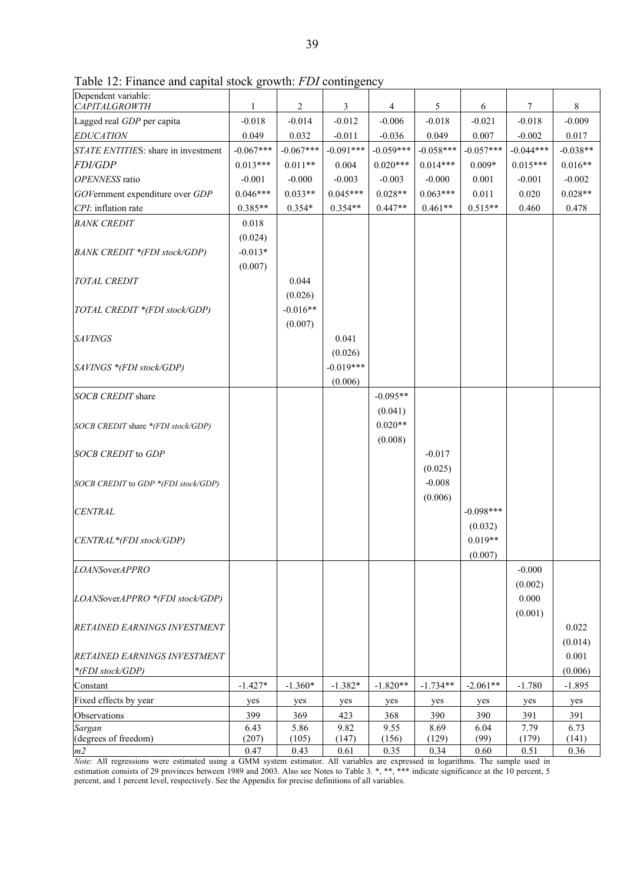| Dependent variable:<br><b>CAPITALGROWTH</b> | 1           | $\sqrt{2}$  | 3           | 4           | 5           | 6           | $\tau$      | 8          |
|---------------------------------------------|-------------|-------------|-------------|-------------|-------------|-------------|-------------|------------|
| Lagged real GDP per capita                  | $-0.018$    | $-0.014$    | $-0.012$    | $-0.006$    | $-0.018$    | $-0.021$    | $-0.018$    | $-0.009$   |
| <b>EDUCATION</b>                            | 0.049       | 0.032       | $-0.011$    | $-0.036$    | 0.049       | 0.007       | $-0.002$    | 0.017      |
| STATE ENTITIES: share in investment         | $-0.067***$ | $-0.067***$ | $-0.091***$ | $-0.059***$ | $-0.058***$ | $-0.057***$ | $-0.044***$ | $-0.038**$ |
| <b>FDI/GDP</b>                              | $0.013***$  | $0.011**$   | 0.004       | $0.020***$  | $0.014***$  | $0.009*$    | $0.015***$  | $0.016**$  |
| OPENNESS ratio                              | $-0.001$    | $-0.000$    | $-0.003$    | $-0.003$    | $-0.000$    | 0.001       | $-0.001$    | $-0.002$   |
| GOVernment expenditure over GDP             | $0.046***$  | $0.033**$   | $0.045***$  | $0.028**$   | $0.063***$  | 0.011       | 0.020       | $0.028**$  |
| CPI: inflation rate                         | $0.385**$   | $0.354*$    | $0.354**$   | $0.447**$   | $0.461**$   | $0.515**$   | 0.460       | 0.478      |
| <b>BANK CREDIT</b>                          | 0.018       |             |             |             |             |             |             |            |
|                                             | (0.024)     |             |             |             |             |             |             |            |
| <b>BANK CREDIT *(FDI stock/GDP)</b>         | $-0.013*$   |             |             |             |             |             |             |            |
|                                             | (0.007)     |             |             |             |             |             |             |            |
| TOTAL CREDIT                                |             | 0.044       |             |             |             |             |             |            |
|                                             |             | (0.026)     |             |             |             |             |             |            |
| TOTAL CREDIT *(FDI stock/GDP)               |             | $-0.016**$  |             |             |             |             |             |            |
|                                             |             | (0.007)     |             |             |             |             |             |            |
| <b>SAVINGS</b>                              |             |             | 0.041       |             |             |             |             |            |
|                                             |             |             | (0.026)     |             |             |             |             |            |
| SAVINGS *(FDI stock/GDP)                    |             |             | $-0.019***$ |             |             |             |             |            |
|                                             |             |             | (0.006)     |             |             |             |             |            |
| SOCB CREDIT share                           |             |             |             | $-0.095**$  |             |             |             |            |
|                                             |             |             |             | (0.041)     |             |             |             |            |
| SOCB CREDIT share *(FDI stock/GDP)          |             |             |             | $0.020**$   |             |             |             |            |
|                                             |             |             |             | (0.008)     |             |             |             |            |
| SOCB CREDIT to GDP                          |             |             |             |             | $-0.017$    |             |             |            |
|                                             |             |             |             |             | (0.025)     |             |             |            |
| SOCB CREDIT to GDP *(FDI stock/GDP)         |             |             |             |             | $-0.008$    |             |             |            |
|                                             |             |             |             |             | (0.006)     |             |             |            |
| <b>CENTRAL</b>                              |             |             |             |             |             | $-0.098***$ |             |            |
|                                             |             |             |             |             |             | (0.032)     |             |            |
| CENTRAL*(FDI stock/GDP)                     |             |             |             |             |             | $0.019**$   |             |            |
|                                             |             |             |             |             |             | (0.007)     |             |            |
| LOANSoverAPPRO                              |             |             |             |             |             |             | $-0.000$    |            |
|                                             |             |             |             |             |             |             | (0.002)     |            |
| LOANSoverAPPRO *(FDI stock/GDP)             |             |             |             |             |             |             | 0.000       |            |
|                                             |             |             |             |             |             |             | (0.001)     |            |
| RETAINED EARNINGS INVESTMENT                |             |             |             |             |             |             |             | 0.022      |
|                                             |             |             |             |             |             |             |             | (0.014)    |
| <b>RETAINED EARNINGS INVESTMENT</b>         |             |             |             |             |             |             |             | 0.001      |
| *(FDI stock/GDP)                            |             |             |             |             |             |             |             | (0.006)    |
| Constant                                    | $-1.427*$   | $-1.360*$   | $-1.382*$   | $-1.820**$  | $-1.734**$  | $-2.061**$  | $-1.780$    | $-1.895$   |
| Fixed effects by year                       | yes         | yes         | yes         | yes         | yes         | yes         | yes         | yes        |
| Observations                                | 399         | 369         | 423         | 368         | 390         | 390         | 391         | 391        |
| Sargan                                      | 6.43        | 5.86        | 9.82        | 9.55        | 8.69        | 6.04        | 7.79        | 6.73       |
| (degrees of freedom)                        | (207)       | (105)       | (147)       | (156)       | (129)       | (99)        | (179)       | (141)      |
| m <sub>2</sub>                              | 0.47        | 0.43        | 0.61        | 0.35        | 0.34        | 0.60        | 0.51        | 0.36       |

Table 12: Finance and capital stock growth: *FDI* contingency

*Note:* All regressions were estimated using a GMM system estimator. All variables are expressed in logarithms. The sample used in estimation consists of 29 provinces between 1989 and 2003. Also see Notes to Table 3. \*, \*\*, \*\*\* indicate significance at the 10 percent, 5 percent, and 1 percent level, respectively. See the Appendix for precise definitions of all variables.